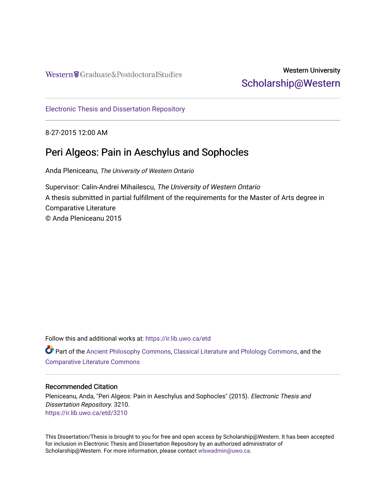Western Craduate&PostdoctoralStudies

# Western University [Scholarship@Western](https://ir.lib.uwo.ca/)

[Electronic Thesis and Dissertation Repository](https://ir.lib.uwo.ca/etd)

8-27-2015 12:00 AM

# Peri Algeos: Pain in Aeschylus and Sophocles

Anda Pleniceanu, The University of Western Ontario

Supervisor: Calin-Andrei Mihailescu, The University of Western Ontario A thesis submitted in partial fulfillment of the requirements for the Master of Arts degree in Comparative Literature © Anda Pleniceanu 2015

Follow this and additional works at: [https://ir.lib.uwo.ca/etd](https://ir.lib.uwo.ca/etd?utm_source=ir.lib.uwo.ca%2Fetd%2F3210&utm_medium=PDF&utm_campaign=PDFCoverPages) 

Part of the [Ancient Philosophy Commons](http://network.bepress.com/hgg/discipline/448?utm_source=ir.lib.uwo.ca%2Fetd%2F3210&utm_medium=PDF&utm_campaign=PDFCoverPages), [Classical Literature and Philology Commons,](http://network.bepress.com/hgg/discipline/451?utm_source=ir.lib.uwo.ca%2Fetd%2F3210&utm_medium=PDF&utm_campaign=PDFCoverPages) and the [Comparative Literature Commons](http://network.bepress.com/hgg/discipline/454?utm_source=ir.lib.uwo.ca%2Fetd%2F3210&utm_medium=PDF&utm_campaign=PDFCoverPages) 

### Recommended Citation

Pleniceanu, Anda, "Peri Algeos: Pain in Aeschylus and Sophocles" (2015). Electronic Thesis and Dissertation Repository. 3210. [https://ir.lib.uwo.ca/etd/3210](https://ir.lib.uwo.ca/etd/3210?utm_source=ir.lib.uwo.ca%2Fetd%2F3210&utm_medium=PDF&utm_campaign=PDFCoverPages)

This Dissertation/Thesis is brought to you for free and open access by Scholarship@Western. It has been accepted for inclusion in Electronic Thesis and Dissertation Repository by an authorized administrator of Scholarship@Western. For more information, please contact [wlswadmin@uwo.ca.](mailto:wlswadmin@uwo.ca)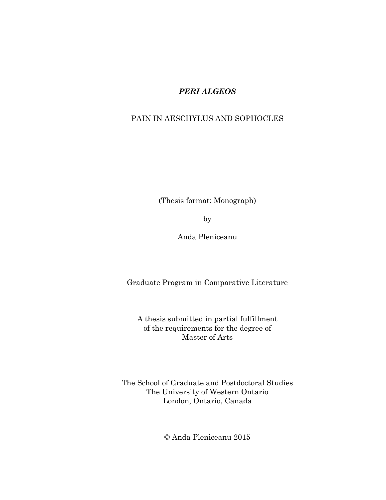## *PERI ALGEOS*

## PAIN IN AESCHYLUS AND SOPHOCLES

(Thesis format: Monograph)

by

Anda Pleniceanu

Graduate Program in Comparative Literature

A thesis submitted in partial fulfillment of the requirements for the degree of Master of Arts

The School of Graduate and Postdoctoral Studies The University of Western Ontario London, Ontario, Canada

© Anda Pleniceanu 2015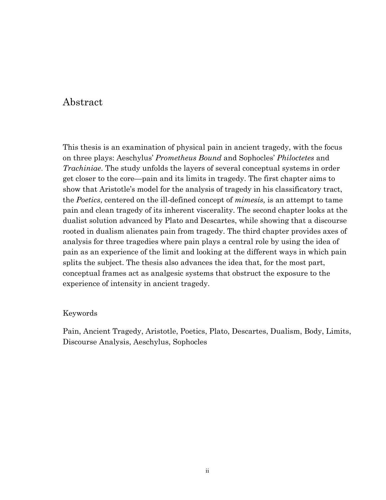## Abstract

This thesis is an examination of physical pain in ancient tragedy, with the focus on three plays: Aeschylus' *Prometheus Bound* and Sophocles' *Philoctetes* and *Trachiniae*. The study unfolds the layers of several conceptual systems in order get closer to the core—pain and its limits in tragedy. The first chapter aims to show that Aristotle's model for the analysis of tragedy in his classificatory tract, the *Poetics*, centered on the ill-defined concept of *mimesis,* is an attempt to tame pain and clean tragedy of its inherent viscerality. The second chapter looks at the dualist solution advanced by Plato and Descartes, while showing that a discourse rooted in dualism alienates pain from tragedy. The third chapter provides axes of analysis for three tragedies where pain plays a central role by using the idea of pain as an experience of the limit and looking at the different ways in which pain splits the subject. The thesis also advances the idea that, for the most part, conceptual frames act as analgesic systems that obstruct the exposure to the experience of intensity in ancient tragedy.

### Keywords

Pain, Ancient Tragedy, Aristotle, Poetics, Plato, Descartes, Dualism, Body, Limits, Discourse Analysis, Aeschylus, Sophocles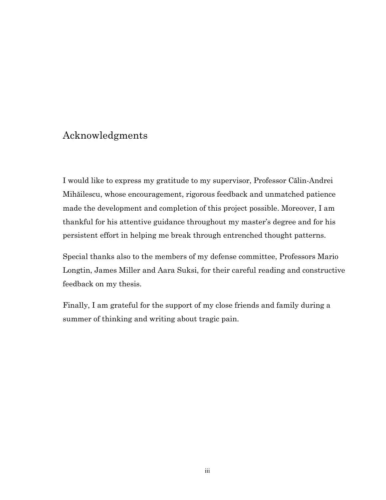# Acknowledgments

I would like to express my gratitude to my supervisor, Professor Călin-Andrei Mihăilescu, whose encouragement, rigorous feedback and unmatched patience made the development and completion of this project possible. Moreover, I am thankful for his attentive guidance throughout my master's degree and for his persistent effort in helping me break through entrenched thought patterns.

Special thanks also to the members of my defense committee, Professors Mario Longtin, James Miller and Aara Suksi, for their careful reading and constructive feedback on my thesis.

Finally, I am grateful for the support of my close friends and family during a summer of thinking and writing about tragic pain.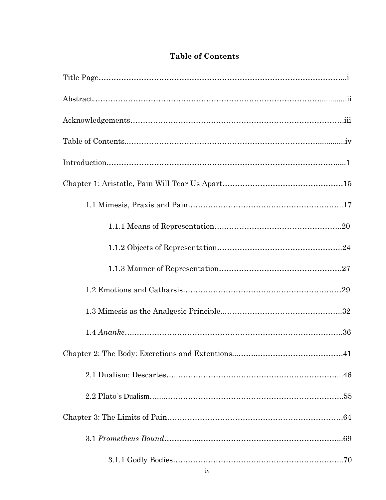## **Table of Contents**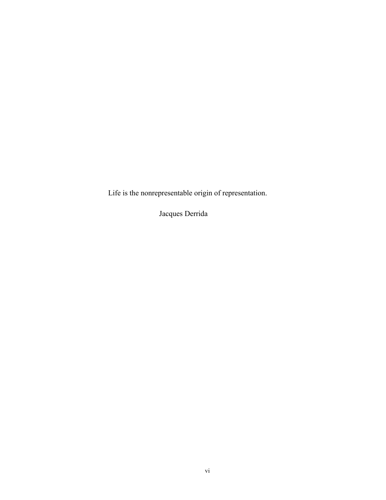Life is the nonrepresentable origin of representation.

Jacques Derrida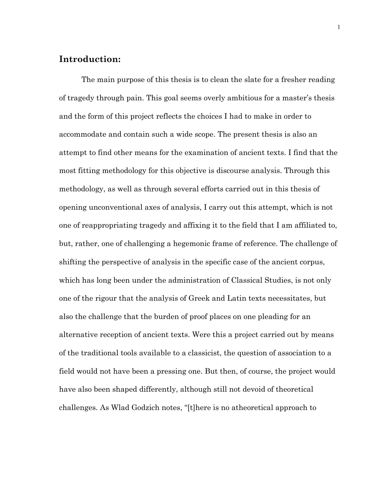## **Introduction:**

The main purpose of this thesis is to clean the slate for a fresher reading of tragedy through pain. This goal seems overly ambitious for a master's thesis and the form of this project reflects the choices I had to make in order to accommodate and contain such a wide scope. The present thesis is also an attempt to find other means for the examination of ancient texts. I find that the most fitting methodology for this objective is discourse analysis. Through this methodology, as well as through several efforts carried out in this thesis of opening unconventional axes of analysis, I carry out this attempt, which is not one of reappropriating tragedy and affixing it to the field that I am affiliated to, but, rather, one of challenging a hegemonic frame of reference. The challenge of shifting the perspective of analysis in the specific case of the ancient corpus, which has long been under the administration of Classical Studies, is not only one of the rigour that the analysis of Greek and Latin texts necessitates, but also the challenge that the burden of proof places on one pleading for an alternative reception of ancient texts. Were this a project carried out by means of the traditional tools available to a classicist, the question of association to a field would not have been a pressing one. But then, of course, the project would have also been shaped differently, although still not devoid of theoretical challenges. As Wlad Godzich notes, "[t]here is no atheoretical approach to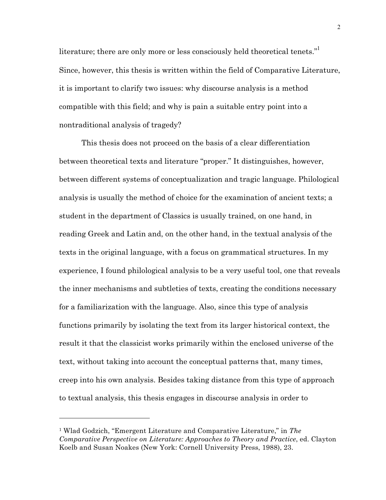literature; there are only more or less consciously held theoretical tenets."<sup>1</sup> Since, however, this thesis is written within the field of Comparative Literature, it is important to clarify two issues: why discourse analysis is a method compatible with this field; and why is pain a suitable entry point into a nontraditional analysis of tragedy?

This thesis does not proceed on the basis of a clear differentiation between theoretical texts and literature "proper." It distinguishes, however, between different systems of conceptualization and tragic language. Philological analysis is usually the method of choice for the examination of ancient texts; a student in the department of Classics is usually trained, on one hand, in reading Greek and Latin and, on the other hand, in the textual analysis of the texts in the original language, with a focus on grammatical structures. In my experience, I found philological analysis to be a very useful tool, one that reveals the inner mechanisms and subtleties of texts, creating the conditions necessary for a familiarization with the language. Also, since this type of analysis functions primarily by isolating the text from its larger historical context, the result it that the classicist works primarily within the enclosed universe of the text, without taking into account the conceptual patterns that, many times, creep into his own analysis. Besides taking distance from this type of approach to textual analysis, this thesis engages in discourse analysis in order to

<sup>1</sup> Wlad Godzich, "Emergent Literature and Comparative Literature," in *The Comparative Perspective on Literature: Approaches to Theory and Practice*, ed. Clayton Koelb and Susan Noakes (New York: Cornell University Press, 1988), 23.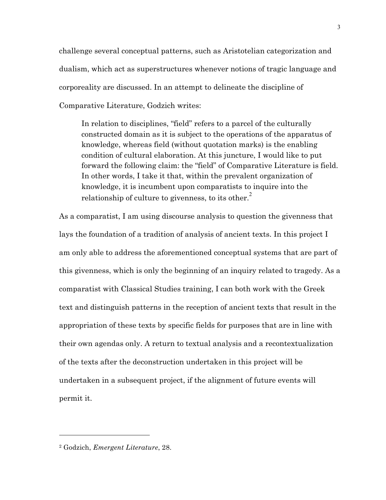challenge several conceptual patterns, such as Aristotelian categorization and dualism, which act as superstructures whenever notions of tragic language and corporeality are discussed. In an attempt to delineate the discipline of Comparative Literature, Godzich writes:

In relation to disciplines, "field" refers to a parcel of the culturally constructed domain as it is subject to the operations of the apparatus of knowledge, whereas field (without quotation marks) is the enabling condition of cultural elaboration. At this juncture, I would like to put forward the following claim: the "field" of Comparative Literature is field. In other words, I take it that, within the prevalent organization of knowledge, it is incumbent upon comparatists to inquire into the relationship of culture to givenness, to its other.<sup>2</sup>

As a comparatist, I am using discourse analysis to question the givenness that lays the foundation of a tradition of analysis of ancient texts. In this project I am only able to address the aforementioned conceptual systems that are part of this givenness, which is only the beginning of an inquiry related to tragedy. As a comparatist with Classical Studies training, I can both work with the Greek text and distinguish patterns in the reception of ancient texts that result in the appropriation of these texts by specific fields for purposes that are in line with their own agendas only. A return to textual analysis and a recontextualization of the texts after the deconstruction undertaken in this project will be undertaken in a subsequent project, if the alignment of future events will permit it.

<sup>2</sup> Godzich, *Emergent Literature*, 28.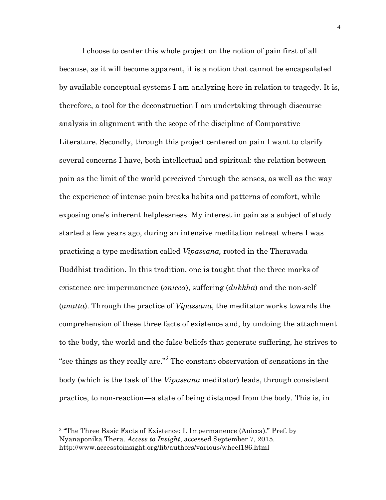I choose to center this whole project on the notion of pain first of all because, as it will become apparent, it is a notion that cannot be encapsulated by available conceptual systems I am analyzing here in relation to tragedy. It is, therefore, a tool for the deconstruction I am undertaking through discourse analysis in alignment with the scope of the discipline of Comparative Literature. Secondly, through this project centered on pain I want to clarify several concerns I have, both intellectual and spiritual: the relation between pain as the limit of the world perceived through the senses, as well as the way the experience of intense pain breaks habits and patterns of comfort, while exposing one's inherent helplessness. My interest in pain as a subject of study started a few years ago, during an intensive meditation retreat where I was practicing a type meditation called *Vipassana,* rooted in the Theravada Buddhist tradition. In this tradition, one is taught that the three marks of existence are impermanence (*anicca*), suffering (*dukkha*) and the non-self (*anatta*). Through the practice of *Vipassana*, the meditator works towards the comprehension of these three facts of existence and, by undoing the attachment to the body, the world and the false beliefs that generate suffering, he strives to "see things as they really are."<sup>3</sup> The constant observation of sensations in the body (which is the task of the *Vipassana* meditator) leads, through consistent practice, to non-reaction—a state of being distanced from the body. This is, in

<sup>&</sup>lt;sup>3</sup> "The Three Basic Facts of Existence: I. Impermanence (Anicca)." Pref. by Nyanaponika Thera. *Access to Insight*, accessed September 7, 2015. http://www.accesstoinsight.org/lib/authors/various/wheel186.html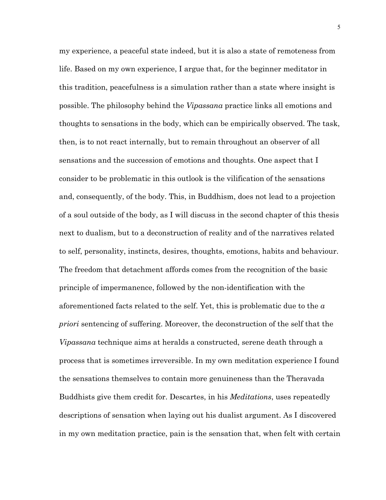my experience, a peaceful state indeed, but it is also a state of remoteness from life. Based on my own experience, I argue that, for the beginner meditator in this tradition, peacefulness is a simulation rather than a state where insight is possible. The philosophy behind the *Vipassana* practice links all emotions and thoughts to sensations in the body, which can be empirically observed. The task, then, is to not react internally, but to remain throughout an observer of all sensations and the succession of emotions and thoughts. One aspect that I consider to be problematic in this outlook is the vilification of the sensations and, consequently, of the body. This, in Buddhism, does not lead to a projection of a soul outside of the body, as I will discuss in the second chapter of this thesis next to dualism, but to a deconstruction of reality and of the narratives related to self, personality, instincts, desires, thoughts, emotions, habits and behaviour. The freedom that detachment affords comes from the recognition of the basic principle of impermanence, followed by the non-identification with the aforementioned facts related to the self. Yet, this is problematic due to the *a priori* sentencing of suffering. Moreover, the deconstruction of the self that the *Vipassana* technique aims at heralds a constructed, serene death through a process that is sometimes irreversible. In my own meditation experience I found the sensations themselves to contain more genuineness than the Theravada Buddhists give them credit for. Descartes, in his *Meditations*, uses repeatedly descriptions of sensation when laying out his dualist argument. As I discovered in my own meditation practice, pain is the sensation that, when felt with certain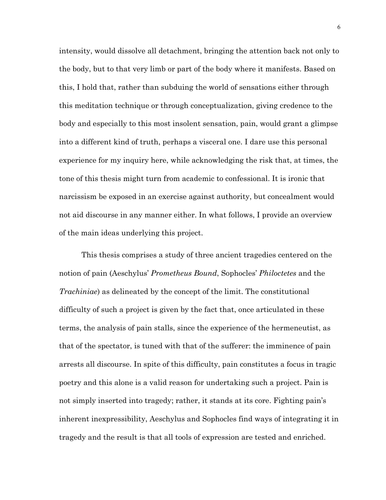intensity, would dissolve all detachment, bringing the attention back not only to the body, but to that very limb or part of the body where it manifests. Based on this, I hold that, rather than subduing the world of sensations either through this meditation technique or through conceptualization, giving credence to the body and especially to this most insolent sensation, pain, would grant a glimpse into a different kind of truth, perhaps a visceral one. I dare use this personal experience for my inquiry here, while acknowledging the risk that, at times, the tone of this thesis might turn from academic to confessional. It is ironic that narcissism be exposed in an exercise against authority, but concealment would not aid discourse in any manner either. In what follows, I provide an overview of the main ideas underlying this project.

This thesis comprises a study of three ancient tragedies centered on the notion of pain (Aeschylus' *Prometheus Bound*, Sophocles' *Philoctetes* and the *Trachiniae*) as delineated by the concept of the limit. The constitutional difficulty of such a project is given by the fact that, once articulated in these terms, the analysis of pain stalls, since the experience of the hermeneutist, as that of the spectator, is tuned with that of the sufferer: the imminence of pain arrests all discourse. In spite of this difficulty, pain constitutes a focus in tragic poetry and this alone is a valid reason for undertaking such a project. Pain is not simply inserted into tragedy; rather, it stands at its core. Fighting pain's inherent inexpressibility, Aeschylus and Sophocles find ways of integrating it in tragedy and the result is that all tools of expression are tested and enriched.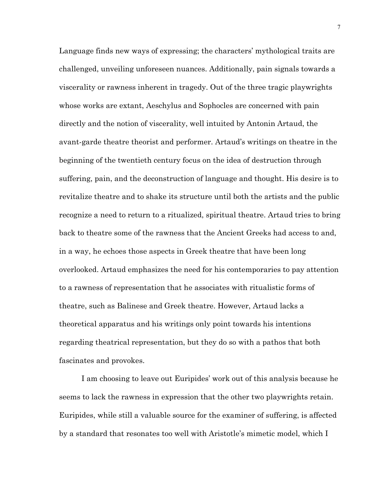Language finds new ways of expressing; the characters' mythological traits are challenged, unveiling unforeseen nuances. Additionally, pain signals towards a viscerality or rawness inherent in tragedy. Out of the three tragic playwrights whose works are extant, Aeschylus and Sophocles are concerned with pain directly and the notion of viscerality, well intuited by Antonin Artaud, the avant-garde theatre theorist and performer. Artaud's writings on theatre in the beginning of the twentieth century focus on the idea of destruction through suffering, pain, and the deconstruction of language and thought. His desire is to revitalize theatre and to shake its structure until both the artists and the public recognize a need to return to a ritualized, spiritual theatre. Artaud tries to bring back to theatre some of the rawness that the Ancient Greeks had access to and, in a way, he echoes those aspects in Greek theatre that have been long overlooked. Artaud emphasizes the need for his contemporaries to pay attention to a rawness of representation that he associates with ritualistic forms of theatre, such as Balinese and Greek theatre. However, Artaud lacks a theoretical apparatus and his writings only point towards his intentions regarding theatrical representation, but they do so with a pathos that both fascinates and provokes.

I am choosing to leave out Euripides' work out of this analysis because he seems to lack the rawness in expression that the other two playwrights retain. Euripides, while still a valuable source for the examiner of suffering, is affected by a standard that resonates too well with Aristotle's mimetic model, which I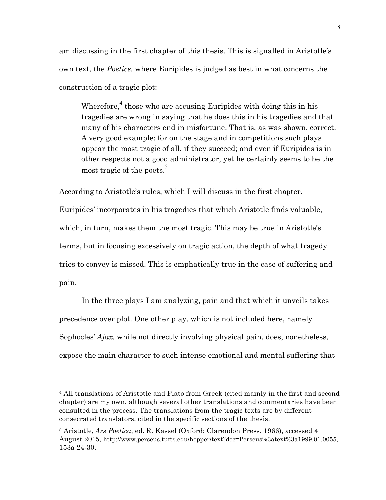am discussing in the first chapter of this thesis. This is signalled in Aristotle's own text, the *Poetics,* where Euripides is judged as best in what concerns the construction of a tragic plot:

Wherefore, $4$  those who are accusing Euripides with doing this in his tragedies are wrong in saying that he does this in his tragedies and that many of his characters end in misfortune. That is, as was shown, correct. A very good example: for on the stage and in competitions such plays appear the most tragic of all, if they succeed; and even if Euripides is in other respects not a good administrator, yet he certainly seems to be the most tragic of the poets.<sup>5</sup>

According to Aristotle's rules, which I will discuss in the first chapter,

Euripides' incorporates in his tragedies that which Aristotle finds valuable, which, in turn, makes them the most tragic. This may be true in Aristotle's terms, but in focusing excessively on tragic action, the depth of what tragedy tries to convey is missed. This is emphatically true in the case of suffering and pain.

In the three plays I am analyzing, pain and that which it unveils takes precedence over plot. One other play, which is not included here, namely Sophocles' *Ajax,* while not directly involving physical pain, does, nonetheless, expose the main character to such intense emotional and mental suffering that

<sup>4</sup> All translations of Aristotle and Plato from Greek (cited mainly in the first and second chapter) are my own, although several other translations and commentaries have been consulted in the process. The translations from the tragic texts are by different consecrated translators, cited in the specific sections of the thesis.

<sup>5</sup> Aristotle, *Ars Poetica*, ed. R. Kassel (Oxford: Clarendon Press. 1966), accessed 4 August 2015, http://www.perseus.tufts.edu/hopper/text?doc=Perseus%3atext%3a1999.01.0055, 153a 24-30.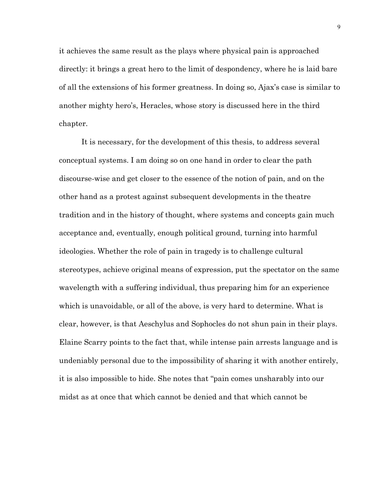it achieves the same result as the plays where physical pain is approached directly: it brings a great hero to the limit of despondency, where he is laid bare of all the extensions of his former greatness. In doing so, Ajax's case is similar to another mighty hero's, Heracles, whose story is discussed here in the third chapter.

It is necessary, for the development of this thesis, to address several conceptual systems. I am doing so on one hand in order to clear the path discourse-wise and get closer to the essence of the notion of pain, and on the other hand as a protest against subsequent developments in the theatre tradition and in the history of thought, where systems and concepts gain much acceptance and, eventually, enough political ground, turning into harmful ideologies. Whether the role of pain in tragedy is to challenge cultural stereotypes, achieve original means of expression, put the spectator on the same wavelength with a suffering individual, thus preparing him for an experience which is unavoidable, or all of the above, is very hard to determine. What is clear, however, is that Aeschylus and Sophocles do not shun pain in their plays. Elaine Scarry points to the fact that, while intense pain arrests language and is undeniably personal due to the impossibility of sharing it with another entirely, it is also impossible to hide. She notes that "pain comes unsharably into our midst as at once that which cannot be denied and that which cannot be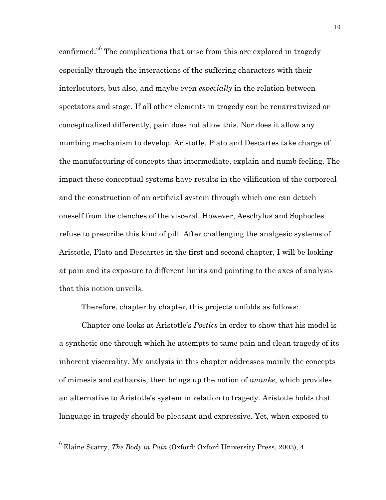confirmed."<sup>6</sup> The complications that arise from this are explored in tragedy especially through the interactions of the suffering characters with their interlocutors, but also, and maybe even *especially* in the relation between spectators and stage. If all other elements in tragedy can be renarrativized or conceptualized differently, pain does not allow this. Nor does it allow any numbing mechanism to develop. Aristotle, Plato and Descartes take charge of the manufacturing of concepts that intermediate, explain and numb feeling. The impact these conceptual systems have results in the vilification of the corporeal and the construction of an artificial system through which one can detach oneself from the clenches of the visceral. However, Aeschylus and Sophocles refuse to prescribe this kind of pill. After challenging the analgesic systems of Aristotle, Plato and Descartes in the first and second chapter, I will be looking at pain and its exposure to different limits and pointing to the axes of analysis that this notion unveils.

Therefore, chapter by chapter, this projects unfolds as follows:

Chapter one looks at Aristotle's *Poetics* in order to show that his model is a synthetic one through which he attempts to tame pain and clean tragedy of its inherent viscerality. My analysis in this chapter addresses mainly the concepts of mimesis and catharsis, then brings up the notion of *ananke*, which provides an alternative to Aristotle's system in relation to tragedy. Aristotle holds that language in tragedy should be pleasant and expressive. Yet, when exposed to

<sup>6</sup> Elaine Scarry, *The Body in Pain* (Oxford: Oxford University Press, 2003), 4.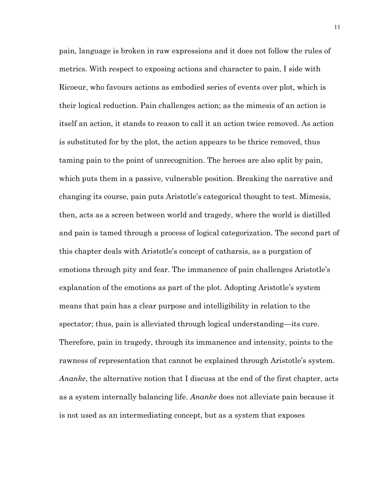pain, language is broken in raw expressions and it does not follow the rules of metrics. With respect to exposing actions and character to pain, I side with Ricoeur, who favours actions as embodied series of events over plot, which is their logical reduction. Pain challenges action; as the mimesis of an action is itself an action, it stands to reason to call it an action twice removed. As action is substituted for by the plot, the action appears to be thrice removed, thus taming pain to the point of unrecognition. The heroes are also split by pain, which puts them in a passive, vulnerable position. Breaking the narrative and changing its course, pain puts Aristotle's categorical thought to test. Mimesis, then, acts as a screen between world and tragedy, where the world is distilled and pain is tamed through a process of logical categorization. The second part of this chapter deals with Aristotle's concept of catharsis, as a purgation of emotions through pity and fear. The immanence of pain challenges Aristotle's explanation of the emotions as part of the plot. Adopting Aristotle's system means that pain has a clear purpose and intelligibility in relation to the spectator; thus, pain is alleviated through logical understanding—its cure. Therefore, pain in tragedy, through its immanence and intensity, points to the rawness of representation that cannot be explained through Aristotle's system. *Ananke*, the alternative notion that I discuss at the end of the first chapter, acts as a system internally balancing life. *Ananke* does not alleviate pain because it is not used as an intermediating concept, but as a system that exposes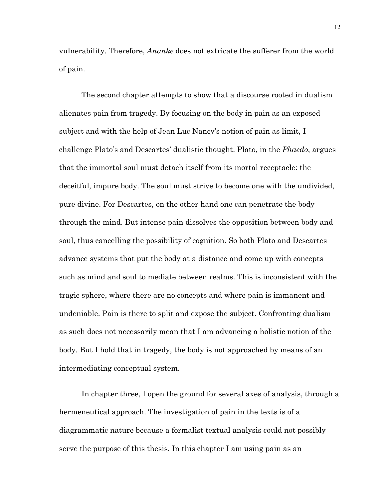vulnerability. Therefore, *Ananke* does not extricate the sufferer from the world of pain.

The second chapter attempts to show that a discourse rooted in dualism alienates pain from tragedy. By focusing on the body in pain as an exposed subject and with the help of Jean Luc Nancy's notion of pain as limit, I challenge Plato's and Descartes' dualistic thought. Plato, in the *Phaedo*, argues that the immortal soul must detach itself from its mortal receptacle: the deceitful, impure body. The soul must strive to become one with the undivided, pure divine. For Descartes, on the other hand one can penetrate the body through the mind. But intense pain dissolves the opposition between body and soul, thus cancelling the possibility of cognition. So both Plato and Descartes advance systems that put the body at a distance and come up with concepts such as mind and soul to mediate between realms. This is inconsistent with the tragic sphere, where there are no concepts and where pain is immanent and undeniable. Pain is there to split and expose the subject. Confronting dualism as such does not necessarily mean that I am advancing a holistic notion of the body. But I hold that in tragedy, the body is not approached by means of an intermediating conceptual system.

In chapter three, I open the ground for several axes of analysis, through a hermeneutical approach. The investigation of pain in the texts is of a diagrammatic nature because a formalist textual analysis could not possibly serve the purpose of this thesis. In this chapter I am using pain as an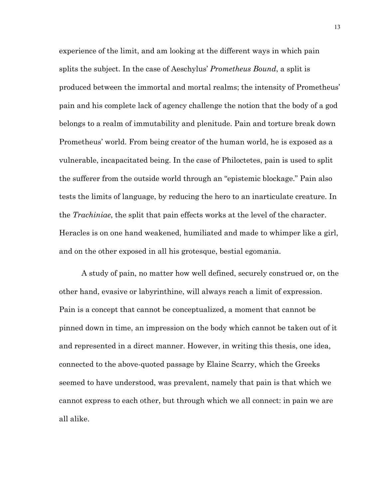experience of the limit, and am looking at the different ways in which pain splits the subject. In the case of Aeschylus' *Prometheus Bound*, a split is produced between the immortal and mortal realms; the intensity of Prometheus' pain and his complete lack of agency challenge the notion that the body of a god belongs to a realm of immutability and plenitude. Pain and torture break down Prometheus' world. From being creator of the human world, he is exposed as a vulnerable, incapacitated being. In the case of Philoctetes, pain is used to split the sufferer from the outside world through an "epistemic blockage." Pain also tests the limits of language, by reducing the hero to an inarticulate creature. In the *Trachiniae*, the split that pain effects works at the level of the character. Heracles is on one hand weakened, humiliated and made to whimper like a girl, and on the other exposed in all his grotesque, bestial egomania.

A study of pain, no matter how well defined, securely construed or, on the other hand, evasive or labyrinthine, will always reach a limit of expression. Pain is a concept that cannot be conceptualized, a moment that cannot be pinned down in time, an impression on the body which cannot be taken out of it and represented in a direct manner. However, in writing this thesis, one idea, connected to the above-quoted passage by Elaine Scarry, which the Greeks seemed to have understood, was prevalent, namely that pain is that which we cannot express to each other, but through which we all connect: in pain we are all alike.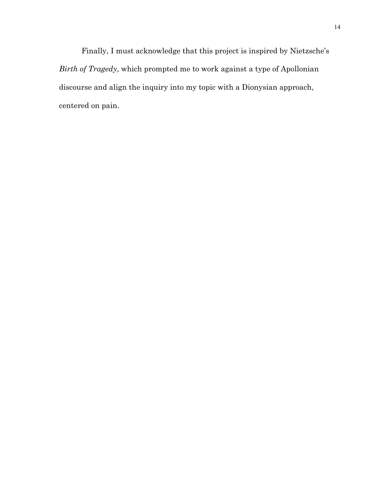Finally, I must acknowledge that this project is inspired by Nietzsche's *Birth of Tragedy*, which prompted me to work against a type of Apollonian discourse and align the inquiry into my topic with a Dionysian approach, centered on pain.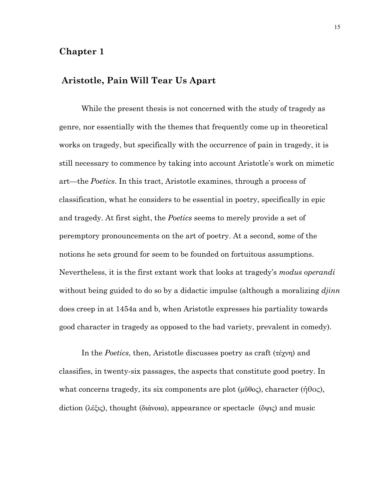## **Chapter 1**

## **Aristotle, Pain Will Tear Us Apart**

While the present thesis is not concerned with the study of tragedy as genre, nor essentially with the themes that frequently come up in theoretical works on tragedy, but specifically with the occurrence of pain in tragedy, it is still necessary to commence by taking into account Aristotle's work on mimetic art—the *Poetics*. In this tract, Aristotle examines, through a process of classification, what he considers to be essential in poetry, specifically in epic and tragedy. At first sight, the *Poetics* seems to merely provide a set of peremptory pronouncements on the art of poetry. At a second, some of the notions he sets ground for seem to be founded on fortuitous assumptions. Nevertheless, it is the first extant work that looks at tragedy's *modus operandi* without being guided to do so by a didactic impulse (although a moralizing *djinn* does creep in at 1454a and b, when Aristotle expresses his partiality towards good character in tragedy as opposed to the bad variety, prevalent in comedy).

In the *Poetics*, then, Aristotle discusses poetry as craft (τέχνη) and classifies, in twenty-six passages, the aspects that constitute good poetry. In what concerns tragedy, its six components are plot  $(\mu \tilde{\theta} \theta \circ c)$ , character ( $\tilde{\theta} \theta \circ c$ ), diction (λέξις), thought (διάνοια), appearance or spectacle (ὄψις) and music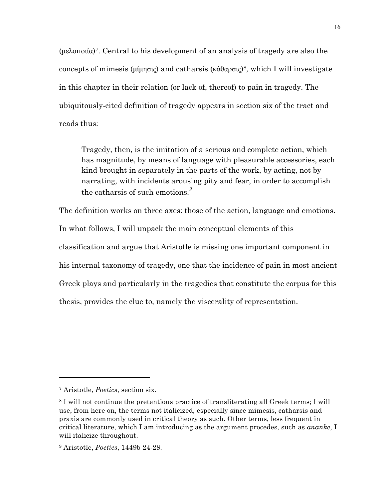(µελοποιία)7. Central to his development of an analysis of tragedy are also the concepts of mimesis (μίμησις) and catharsis (κάθαρσις)<sup>8</sup>, which I will investigate in this chapter in their relation (or lack of, thereof) to pain in tragedy. The ubiquitously-cited definition of tragedy appears in section six of the tract and reads thus:

Tragedy, then, is the imitation of a serious and complete action, which has magnitude, by means of language with pleasurable accessories, each kind brought in separately in the parts of the work, by acting, not by narrating, with incidents arousing pity and fear, in order to accomplish the catharsis of such emotions*. 9*

The definition works on three axes: those of the action, language and emotions. In what follows, I will unpack the main conceptual elements of this classification and argue that Aristotle is missing one important component in his internal taxonomy of tragedy, one that the incidence of pain in most ancient Greek plays and particularly in the tragedies that constitute the corpus for this thesis, provides the clue to, namely the viscerality of representation.

<sup>7</sup> Aristotle, *Poetics*, section six.

<sup>8</sup> I will not continue the pretentious practice of transliterating all Greek terms; I will use, from here on, the terms not italicized, especially since mimesis, catharsis and praxis are commonly used in critical theory as such. Other terms, less frequent in critical literature, which I am introducing as the argument procedes, such as *ananke*, I will italicize throughout.

<sup>9</sup> Aristotle, *Poetics*, 1449b 24-28.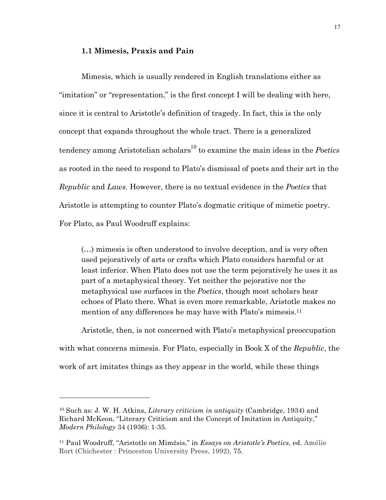#### **1.1 Mimesis, Praxis and Pain**

Mimesis, which is usually rendered in English translations either as "imitation" or "representation," is the first concept I will be dealing with here, since it is central to Aristotle's definition of tragedy. In fact, this is the only concept that expands throughout the whole tract. There is a generalized tendency among Aristotelian scholars<sup>10</sup> to examine the main ideas in the *Poetics* as rooted in the need to respond to Plato's dismissal of poets and their art in the *Republic* and *Laws.* However, there is no textual evidence in the *Poetics* that Aristotle is attempting to counter Plato's dogmatic critique of mimetic poetry. For Plato, as Paul Woodruff explains:

(…) mimesis is often understood to involve deception, and is very often used pejoratively of arts or crafts which Plato considers harmful or at least inferior. When Plato does not use the term pejoratively he uses it as part of a metaphysical theory. Yet neither the pejorative nor the metaphysical use surfaces in the *Poetics*, though most scholars hear echoes of Plato there. What is even more remarkable, Aristotle makes no mention of any differences he may have with Plato's mimesis.11

Aristotle, then, is not concerned with Plato's metaphysical preoccupation with what concerns mimesis. For Plato, especially in Book X of the *Republic*, the work of art imitates things as they appear in the world, while these things

<sup>10</sup> Such as: J. W. H. Atkins, *Literary criticism in antiquity* (Cambridge, 1934) and Richard McKeon, "Literary Criticism and the Concept of Imitation in Antiquity," *Modern Philology* 34 (1936): 1-35.

<sup>11</sup> Paul Woodruff, "Aristotle on Mimēsis," in *Essays on Aristotle's Poetics*, ed. Amélie Rort (Chichester : Princeston University Press, 1992), 75.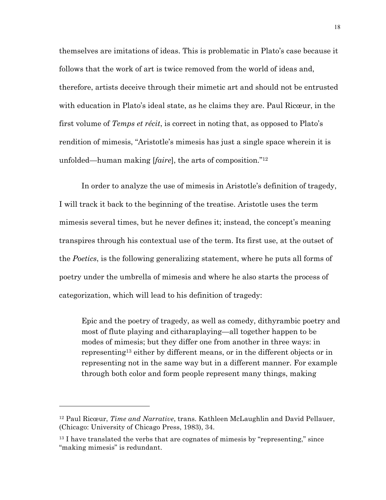themselves are imitations of ideas. This is problematic in Plato's case because it follows that the work of art is twice removed from the world of ideas and, therefore, artists deceive through their mimetic art and should not be entrusted with education in Plato's ideal state, as he claims they are. Paul Ricœur, in the first volume of *Temps et récit*, is correct in noting that, as opposed to Plato's rendition of mimesis, "Aristotle's mimesis has just a single space wherein it is unfolded—human making [*faire*], the arts of composition."12

In order to analyze the use of mimesis in Aristotle's definition of tragedy, I will track it back to the beginning of the treatise. Aristotle uses the term mimesis several times, but he never defines it; instead, the concept's meaning transpires through his contextual use of the term. Its first use, at the outset of the *Poetics*, is the following generalizing statement, where he puts all forms of poetry under the umbrella of mimesis and where he also starts the process of categorization, which will lead to his definition of tragedy:

Epic and the poetry of tragedy, as well as comedy, dithyrambic poetry and most of flute playing and citharaplaying—all together happen to be modes of mimesis; but they differ one from another in three ways: in representing13 either by different means, or in the different objects or in representing not in the same way but in a different manner. For example through both color and form people represent many things, making

<sup>12</sup> Paul Ricœur, *Time and Narrative*, trans. Kathleen McLaughlin and David Pellauer, (Chicago: University of Chicago Press, 1983), 34.

<sup>&</sup>lt;sup>13</sup> I have translated the verbs that are cognates of mimesis by "representing," since "making mimesis" is redundant.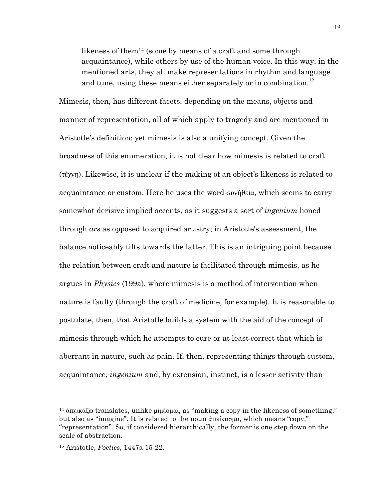likeness of them<sup>14</sup> (some by means of a craft and some through acquaintance), while others by use of the human voice. In this way, in the mentioned arts, they all make representations in rhythm and language and tune, using these means either separately or in combination.<sup>15</sup>

Mimesis, then, has different facets, depending on the means, objects and manner of representation, all of which apply to tragedy and are mentioned in Aristotle's definition; yet mimesis is also a unifying concept. Given the broadness of this enumeration, it is not clear how mimesis is related to craft (τέχνη). Likewise, it is unclear if the making of an object's likeness is related to acquaintance or custom. Here he uses the word συνήθεια, which seems to carry somewhat derisive implied accents, as it suggests a sort of *ingenium* honed through *ars* as opposed to acquired artistry; in Aristotle's assessment, the balance noticeably tilts towards the latter. This is an intriguing point because the relation between craft and nature is facilitated through mimesis, as he argues in *Physics* (199a), where mimesis is a method of intervention when nature is faulty (through the craft of medicine, for example). It is reasonable to postulate, then, that Aristotle builds a system with the aid of the concept of mimesis through which he attempts to cure or at least correct that which is aberrant in nature, such as pain. If, then, representing things through custom, acquaintance, *ingenium* and, by extension, instinct, is a lesser activity than

<sup>&</sup>lt;sup>14</sup> ἀπεικάζω translates, unlike μιμέομαι, as "making a copy in the likeness of something," but also as "imagine". It is related to the noun ἀπείκασµα, which means "copy," "representation". So, if considered hierarchically, the former is one step down on the scale of abstraction.

<sup>15</sup> Aristotle, *Poetics*, 1447a 15-22.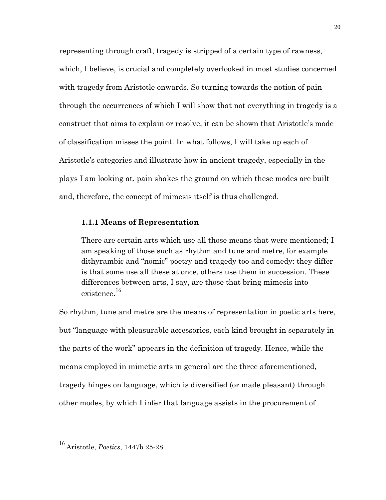representing through craft, tragedy is stripped of a certain type of rawness, which, I believe, is crucial and completely overlooked in most studies concerned with tragedy from Aristotle onwards. So turning towards the notion of pain through the occurrences of which I will show that not everything in tragedy is a construct that aims to explain or resolve, it can be shown that Aristotle's mode of classification misses the point. In what follows, I will take up each of Aristotle's categories and illustrate how in ancient tragedy, especially in the plays I am looking at, pain shakes the ground on which these modes are built and, therefore, the concept of mimesis itself is thus challenged.

#### **1.1.1 Means of Representation**

There are certain arts which use all those means that were mentioned; I am speaking of those such as rhythm and tune and metre, for example dithyrambic and "nomic" poetry and tragedy too and comedy: they differ is that some use all these at once, others use them in succession. These differences between arts, I say, are those that bring mimesis into existence. 16

So rhythm, tune and metre are the means of representation in poetic arts here, but "language with pleasurable accessories, each kind brought in separately in the parts of the work" appears in the definition of tragedy. Hence, while the means employed in mimetic arts in general are the three aforementioned, tragedy hinges on language, which is diversified (or made pleasant) through other modes, by which I infer that language assists in the procurement of

<sup>16</sup> Aristotle, *Poetics*, 1447b 25-28.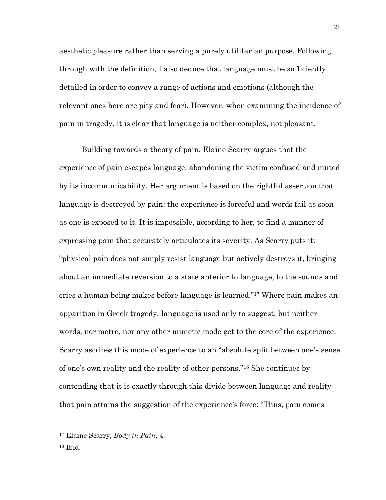aesthetic pleasure rather than serving a purely utilitarian purpose. Following through with the definition, I also deduce that language must be sufficiently detailed in order to convey a range of actions and emotions (although the relevant ones here are pity and fear). However, when examining the incidence of pain in tragedy, it is clear that language is neither complex, not pleasant.

Building towards a theory of pain, Elaine Scarry argues that the experience of pain escapes language, abandoning the victim confused and muted by its incommunicability. Her argument is based on the rightful assertion that language is destroyed by pain: the experience is forceful and words fail as soon as one is exposed to it. It is impossible, according to her, to find a manner of expressing pain that accurately articulates its severity. As Scarry puts it: "physical pain does not simply resist language but actively destroys it, bringing about an immediate reversion to a state anterior to language, to the sounds and cries a human being makes before language is learned."17 Where pain makes an apparition in Greek tragedy, language is used only to suggest, but neither words, nor metre, nor any other mimetic mode get to the core of the experience. Scarry ascribes this mode of experience to an "absolute split between one's sense of one's own reality and the reality of other persons."18 She continues by contending that it is exactly through this divide between language and reality that pain attains the suggestion of the experience's force: "Thus, pain comes

<sup>17</sup> Elaine Scarry, *Body in Pain*, 4.

<sup>18</sup> Ibid.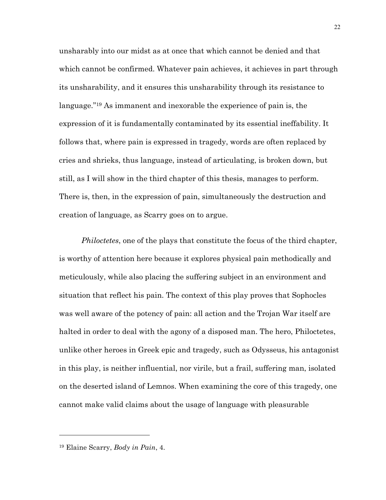unsharably into our midst as at once that which cannot be denied and that which cannot be confirmed. Whatever pain achieves, it achieves in part through its unsharability, and it ensures this unsharability through its resistance to language."19 As immanent and inexorable the experience of pain is, the expression of it is fundamentally contaminated by its essential ineffability. It follows that, where pain is expressed in tragedy, words are often replaced by cries and shrieks, thus language, instead of articulating, is broken down, but still, as I will show in the third chapter of this thesis, manages to perform. There is, then, in the expression of pain, simultaneously the destruction and creation of language, as Scarry goes on to argue.

*Philoctetes*, one of the plays that constitute the focus of the third chapter, is worthy of attention here because it explores physical pain methodically and meticulously, while also placing the suffering subject in an environment and situation that reflect his pain. The context of this play proves that Sophocles was well aware of the potency of pain: all action and the Trojan War itself are halted in order to deal with the agony of a disposed man. The hero, Philoctetes, unlike other heroes in Greek epic and tragedy, such as Odysseus, his antagonist in this play, is neither influential, nor virile, but a frail, suffering man, isolated on the deserted island of Lemnos. When examining the core of this tragedy, one cannot make valid claims about the usage of language with pleasurable

<sup>19</sup> Elaine Scarry, *Body in Pain*, 4.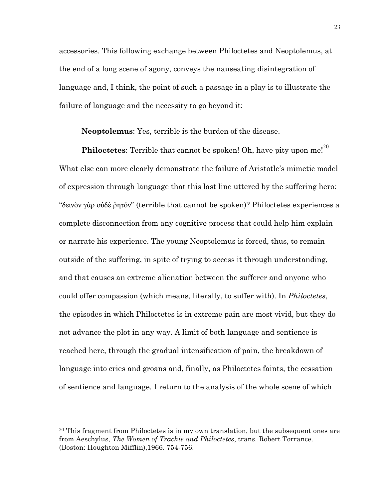accessories. This following exchange between Philoctetes and Neoptolemus, at the end of a long scene of agony, conveys the nauseating disintegration of language and, I think, the point of such a passage in a play is to illustrate the failure of language and the necessity to go beyond it:

**Neoptolemus**: Yes, terrible is the burden of the disease.

**Philoctetes**: Terrible that cannot be spoken! Oh, have pity upon me!<sup>20</sup> What else can more clearly demonstrate the failure of Aristotle's mimetic model of expression through language that this last line uttered by the suffering hero: "δεινὸν γὰρ οὐδὲ ῥητόν" (terrible that cannot be spoken)? Philoctetes experiences a complete disconnection from any cognitive process that could help him explain or narrate his experience. The young Neoptolemus is forced, thus, to remain outside of the suffering, in spite of trying to access it through understanding, and that causes an extreme alienation between the sufferer and anyone who could offer compassion (which means, literally, to suffer with). In *Philoctetes*, the episodes in which Philoctetes is in extreme pain are most vivid, but they do not advance the plot in any way. A limit of both language and sentience is reached here, through the gradual intensification of pain, the breakdown of language into cries and groans and, finally, as Philoctetes faints, the cessation of sentience and language. I return to the analysis of the whole scene of which

<sup>&</sup>lt;sup>20</sup> This fragment from Philoctetes is in my own translation, but the subsequent ones are from Aeschylus, *The Women of Trachis and Philoctetes*, trans. Robert Torrance. (Boston: Houghton Mifflin),1966. 754-756.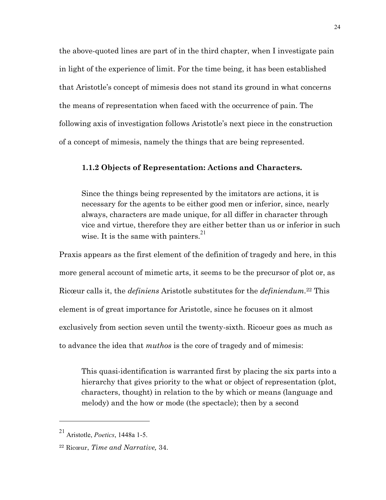the above-quoted lines are part of in the third chapter, when I investigate pain in light of the experience of limit. For the time being, it has been established that Aristotle's concept of mimesis does not stand its ground in what concerns the means of representation when faced with the occurrence of pain. The following axis of investigation follows Aristotle's next piece in the construction of a concept of mimesis, namely the things that are being represented.

#### **1.1.2 Objects of Representation: Actions and Characters.**

Since the things being represented by the imitators are actions, it is necessary for the agents to be either good men or inferior, since, nearly always, characters are made unique, for all differ in character through vice and virtue, therefore they are either better than us or inferior in such wise. It is the same with painters. $^{21}$ 

Praxis appears as the first element of the definition of tragedy and here, in this more general account of mimetic arts, it seems to be the precursor of plot or, as Ricœur calls it, the *definiens* Aristotle substitutes for the *definiendum.*<sup>22</sup> This element is of great importance for Aristotle, since he focuses on it almost exclusively from section seven until the twenty-sixth. Ricoeur goes as much as to advance the idea that *muthos* is the core of tragedy and of mimesis:

This quasi-identification is warranted first by placing the six parts into a hierarchy that gives priority to the what or object of representation (plot, characters, thought) in relation to the by which or means (language and melody) and the how or mode (the spectacle); then by a second

<sup>21</sup> Aristotle, *Poetics*, 1448a 1-5.

<sup>22</sup> Ricœur, *Time and Narrative,* 34.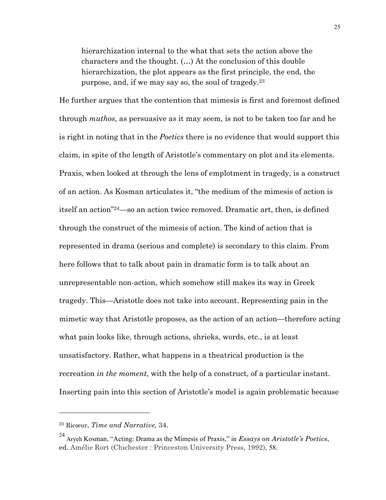hierarchization internal to the what that sets the action above the characters and the thought. (…) At the conclusion of this double hierarchization, the plot appears as the first principle, the end, the purpose, and, if we may say so, the soul of tragedy.23

He further argues that the contention that mimesis is first and foremost defined through *muthos*, as persuasive as it may seem, is not to be taken too far and he is right in noting that in the *Poetics* there is no evidence that would support this claim, in spite of the length of Aristotle's commentary on plot and its elements. Praxis, when looked at through the lens of emplotment in tragedy, is a construct of an action. As Kosman articulates it, "the medium of the mimesis of action is itself an action"24—so an action twice removed. Dramatic art, then, is defined through the construct of the mimesis of action. The kind of action that is represented in drama (serious and complete) is secondary to this claim. From here follows that to talk about pain in dramatic form is to talk about an unrepresentable non-action, which somehow still makes its way in Greek tragedy. This—Aristotle does not take into account. Representing pain in the mimetic way that Aristotle proposes, as the action of an action—therefore acting what pain looks like, through actions, shrieks, words, etc., is at least unsatisfactory. Rather, what happens in a theatrical production is the recreation *in the moment*, with the help of a construct, of a particular instant. Inserting pain into this section of Aristotle's model is again problematic because

<sup>23</sup> Ricœur, *Time and Narrative,* 34.

<sup>24</sup> Aryeh Kosman, "Acting: Drama as the Mimesis of Praxis," in *Essays on Aristotle's Poetics*, ed. Amélie Rort (Chichester : Princeston University Press, 1992), 58.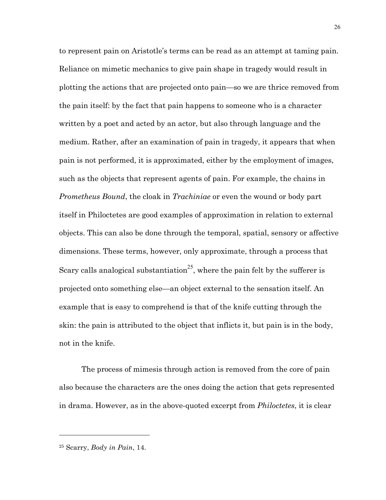to represent pain on Aristotle's terms can be read as an attempt at taming pain. Reliance on mimetic mechanics to give pain shape in tragedy would result in plotting the actions that are projected onto pain—so we are thrice removed from the pain itself: by the fact that pain happens to someone who is a character written by a poet and acted by an actor, but also through language and the medium. Rather, after an examination of pain in tragedy, it appears that when pain is not performed, it is approximated, either by the employment of images, such as the objects that represent agents of pain. For example, the chains in *Prometheus Bound*, the cloak in *Trachiniae* or even the wound or body part itself in Philoctetes are good examples of approximation in relation to external objects. This can also be done through the temporal, spatial, sensory or affective dimensions. These terms, however, only approximate, through a process that Scary calls analogical substantiation<sup>25</sup>, where the pain felt by the sufferer is projected onto something else—an object external to the sensation itself. An example that is easy to comprehend is that of the knife cutting through the skin: the pain is attributed to the object that inflicts it, but pain is in the body, not in the knife.

The process of mimesis through action is removed from the core of pain also because the characters are the ones doing the action that gets represented in drama. However, as in the above-quoted excerpt from *Philoctetes*, it is clear

<sup>25</sup> Scarry, *Body in Pain*, 14.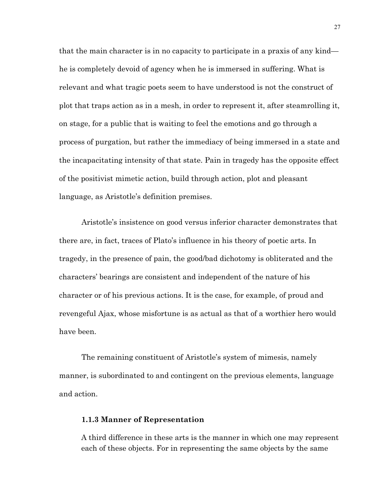that the main character is in no capacity to participate in a praxis of any kind he is completely devoid of agency when he is immersed in suffering. What is relevant and what tragic poets seem to have understood is not the construct of plot that traps action as in a mesh, in order to represent it, after steamrolling it, on stage, for a public that is waiting to feel the emotions and go through a process of purgation, but rather the immediacy of being immersed in a state and the incapacitating intensity of that state. Pain in tragedy has the opposite effect of the positivist mimetic action, build through action, plot and pleasant language, as Aristotle's definition premises.

Aristotle's insistence on good versus inferior character demonstrates that there are, in fact, traces of Plato's influence in his theory of poetic arts. In tragedy, in the presence of pain, the good/bad dichotomy is obliterated and the characters' bearings are consistent and independent of the nature of his character or of his previous actions. It is the case, for example, of proud and revengeful Ajax, whose misfortune is as actual as that of a worthier hero would have been.

The remaining constituent of Aristotle's system of mimesis, namely manner, is subordinated to and contingent on the previous elements, language and action.

#### **1.1.3 Manner of Representation**

A third difference in these arts is the manner in which one may represent each of these objects. For in representing the same objects by the same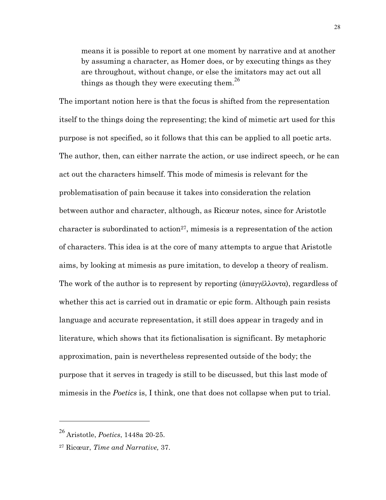means it is possible to report at one moment by narrative and at another by assuming a character, as Homer does, or by executing things as they are throughout, without change, or else the imitators may act out all things as though they were executing them.<sup>26</sup>

The important notion here is that the focus is shifted from the representation itself to the things doing the representing; the kind of mimetic art used for this purpose is not specified, so it follows that this can be applied to all poetic arts. The author, then, can either narrate the action, or use indirect speech, or he can act out the characters himself. This mode of mimesis is relevant for the problematisation of pain because it takes into consideration the relation between author and character, although, as Ricœur notes, since for Aristotle character is subordinated to action<sup>27</sup>, mimesis is a representation of the action of characters. This idea is at the core of many attempts to argue that Aristotle aims, by looking at mimesis as pure imitation, to develop a theory of realism. The work of the author is to represent by reporting  $(\hat{\alpha} \pi \alpha \gamma \gamma \hat{\alpha})$ , regardless of whether this act is carried out in dramatic or epic form. Although pain resists language and accurate representation, it still does appear in tragedy and in literature, which shows that its fictionalisation is significant. By metaphoric approximation, pain is nevertheless represented outside of the body; the purpose that it serves in tragedy is still to be discussed, but this last mode of mimesis in the *Poetics* is, I think, one that does not collapse when put to trial.

<sup>26</sup> Aristotle, *Poetics*, 1448a 20-25.

<sup>27</sup> Ricœur, *Time and Narrative,* 37.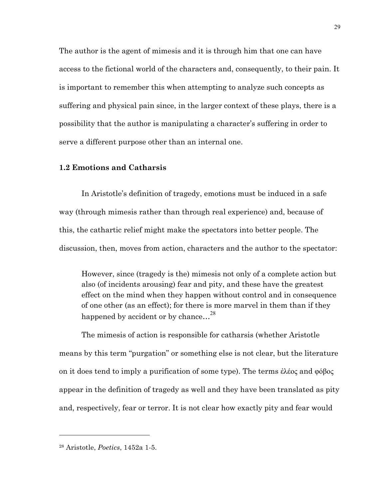The author is the agent of mimesis and it is through him that one can have access to the fictional world of the characters and, consequently, to their pain. It is important to remember this when attempting to analyze such concepts as suffering and physical pain since, in the larger context of these plays, there is a possibility that the author is manipulating a character's suffering in order to serve a different purpose other than an internal one.

### **1.2 Emotions and Catharsis**

In Aristotle's definition of tragedy, emotions must be induced in a safe way (through mimesis rather than through real experience) and, because of this, the cathartic relief might make the spectators into better people. The discussion, then, moves from action, characters and the author to the spectator:

However, since (tragedy is the) mimesis not only of a complete action but also (of incidents arousing) fear and pity, and these have the greatest effect on the mind when they happen without control and in consequence of one other (as an effect); for there is more marvel in them than if they happened by accident or by chance...<sup>28</sup>

The mimesis of action is responsible for catharsis (whether Aristotle means by this term "purgation" or something else is not clear, but the literature on it does tend to imply a purification of some type). The terms ἐλέος and φόβος appear in the definition of tragedy as well and they have been translated as pity and, respectively, fear or terror. It is not clear how exactly pity and fear would

<sup>28</sup> Aristotle, *Poetics*, 1452a 1-5.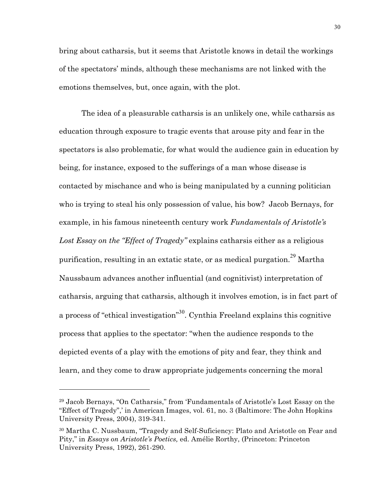bring about catharsis, but it seems that Aristotle knows in detail the workings of the spectators' minds, although these mechanisms are not linked with the emotions themselves, but, once again, with the plot.

The idea of a pleasurable catharsis is an unlikely one, while catharsis as education through exposure to tragic events that arouse pity and fear in the spectators is also problematic, for what would the audience gain in education by being, for instance, exposed to the sufferings of a man whose disease is contacted by mischance and who is being manipulated by a cunning politician who is trying to steal his only possession of value, his bow? Jacob Bernays, for example, in his famous nineteenth century work *Fundamentals of Aristotle's Lost Essay on the "Effect of Tragedy"* explains catharsis either as a religious purification, resulting in an extatic state, or as medical purgation.<sup>29</sup> Martha Naussbaum advances another influential (and cognitivist) interpretation of catharsis, arguing that catharsis, although it involves emotion, is in fact part of a process of "ethical investigation"<sup>30</sup>. Cynthia Freeland explains this cognitive process that applies to the spectator: "when the audience responds to the depicted events of a play with the emotions of pity and fear, they think and learn, and they come to draw appropriate judgements concerning the moral

<sup>29</sup> Jacob Bernays, "On Catharsis," from 'Fundamentals of Aristotle's Lost Essay on the "Effect of Tragedy",' in American Images, vol. 61, no. 3 (Baltimore: The John Hopkins University Press, 2004), 319-341.

<sup>30</sup> Martha C. Nussbaum, "Tragedy and Self-Suficiency: Plato and Aristotle on Fear and Pity," in *Essays on Aristotle's Poetics,* ed. Amélie Rorthy, (Princeton: Princeton University Press, 1992), 261-290.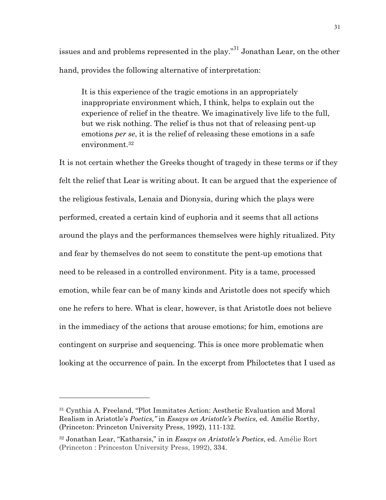issues and and problems represented in the play."<sup>31</sup> Jonathan Lear, on the other hand, provides the following alternative of interpretation:

It is this experience of the tragic emotions in an appropriately inappropriate environment which, I think, helps to explain out the experience of relief in the theatre. We imaginatively live life to the full, but we risk nothing. The relief is thus not that of releasing pent-up emotions *per se*, it is the relief of releasing these emotions in a safe environment.32

It is not certain whether the Greeks thought of tragedy in these terms or if they felt the relief that Lear is writing about. It can be argued that the experience of the religious festivals, Lenaia and Dionysia, during which the plays were performed, created a certain kind of euphoria and it seems that all actions around the plays and the performances themselves were highly ritualized. Pity and fear by themselves do not seem to constitute the pent-up emotions that need to be released in a controlled environment. Pity is a tame, processed emotion, while fear can be of many kinds and Aristotle does not specify which one he refers to here. What is clear, however, is that Aristotle does not believe in the immediacy of the actions that arouse emotions; for him, emotions are contingent on surprise and sequencing. This is once more problematic when looking at the occurrence of pain. In the excerpt from Philoctetes that I used as

<sup>31</sup> Cynthia A. Freeland, "Plot Immitates Action: Aesthetic Evaluation and Moral Realism in Aristotle's *Poetics,"* in *Essays on Aristotle's Poetics,* ed. Amélie Rorthy, (Princeton: Princeton University Press, 1992), 111-132.

<sup>32</sup> Jonathan Lear, "Katharsis," in in *Essays on Aristotle's Poetics*, ed. Amélie Rort (Princeton : Princeston University Press, 1992), 334.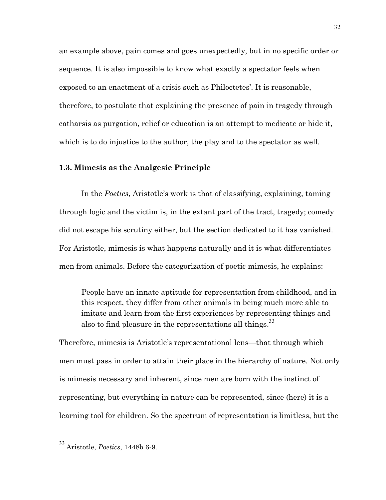an example above, pain comes and goes unexpectedly, but in no specific order or sequence. It is also impossible to know what exactly a spectator feels when exposed to an enactment of a crisis such as Philoctetes'. It is reasonable, therefore, to postulate that explaining the presence of pain in tragedy through catharsis as purgation, relief or education is an attempt to medicate or hide it, which is to do injustice to the author, the play and to the spectator as well.

## **1.3. Mimesis as the Analgesic Principle**

In the *Poetics*, Aristotle's work is that of classifying, explaining, taming through logic and the victim is, in the extant part of the tract, tragedy; comedy did not escape his scrutiny either, but the section dedicated to it has vanished. For Aristotle, mimesis is what happens naturally and it is what differentiates men from animals. Before the categorization of poetic mimesis, he explains:

People have an innate aptitude for representation from childhood, and in this respect, they differ from other animals in being much more able to imitate and learn from the first experiences by representing things and also to find pleasure in the representations all things.<sup>33</sup>

Therefore, mimesis is Aristotle's representational lens—that through which men must pass in order to attain their place in the hierarchy of nature. Not only is mimesis necessary and inherent, since men are born with the instinct of representing, but everything in nature can be represented, since (here) it is a learning tool for children. So the spectrum of representation is limitless, but the

<sup>33</sup> Aristotle, *Poetics*, 1448b 6-9.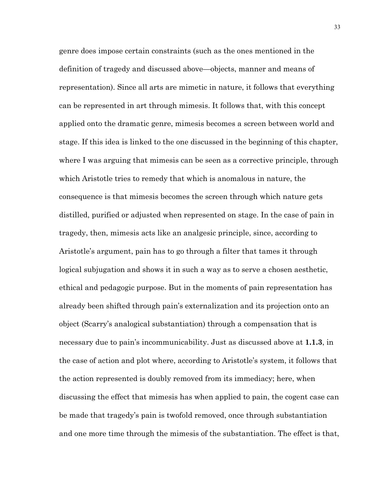genre does impose certain constraints (such as the ones mentioned in the definition of tragedy and discussed above—objects, manner and means of representation). Since all arts are mimetic in nature, it follows that everything can be represented in art through mimesis. It follows that, with this concept applied onto the dramatic genre, mimesis becomes a screen between world and stage. If this idea is linked to the one discussed in the beginning of this chapter, where I was arguing that mimesis can be seen as a corrective principle, through which Aristotle tries to remedy that which is anomalous in nature, the consequence is that mimesis becomes the screen through which nature gets distilled, purified or adjusted when represented on stage. In the case of pain in tragedy, then, mimesis acts like an analgesic principle, since, according to Aristotle's argument, pain has to go through a filter that tames it through logical subjugation and shows it in such a way as to serve a chosen aesthetic, ethical and pedagogic purpose. But in the moments of pain representation has already been shifted through pain's externalization and its projection onto an object (Scarry's analogical substantiation) through a compensation that is necessary due to pain's incommunicability. Just as discussed above at **1.1.3**, in the case of action and plot where, according to Aristotle's system, it follows that the action represented is doubly removed from its immediacy; here, when discussing the effect that mimesis has when applied to pain, the cogent case can be made that tragedy's pain is twofold removed, once through substantiation and one more time through the mimesis of the substantiation. The effect is that,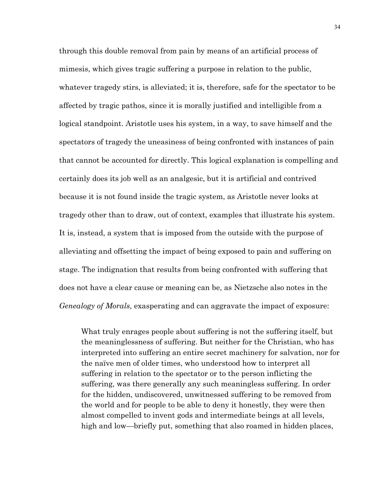through this double removal from pain by means of an artificial process of mimesis, which gives tragic suffering a purpose in relation to the public, whatever tragedy stirs, is alleviated; it is, therefore, safe for the spectator to be affected by tragic pathos, since it is morally justified and intelligible from a logical standpoint. Aristotle uses his system, in a way, to save himself and the spectators of tragedy the uneasiness of being confronted with instances of pain that cannot be accounted for directly. This logical explanation is compelling and certainly does its job well as an analgesic, but it is artificial and contrived because it is not found inside the tragic system, as Aristotle never looks at tragedy other than to draw, out of context, examples that illustrate his system. It is, instead, a system that is imposed from the outside with the purpose of alleviating and offsetting the impact of being exposed to pain and suffering on stage. The indignation that results from being confronted with suffering that does not have a clear cause or meaning can be, as Nietzsche also notes in the *Genealogy of Morals*, exasperating and can aggravate the impact of exposure:

What truly enrages people about suffering is not the suffering itself, but the meaninglessness of suffering. But neither for the Christian, who has interpreted into suffering an entire secret machinery for salvation, nor for the naïve men of older times, who understood how to interpret all suffering in relation to the spectator or to the person inflicting the suffering, was there generally any such meaningless suffering. In order for the hidden, undiscovered, unwitnessed suffering to be removed from the world and for people to be able to deny it honestly, they were then almost compelled to invent gods and intermediate beings at all levels, high and low—briefly put, something that also roamed in hidden places,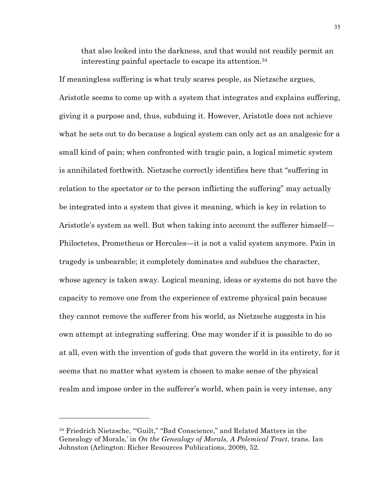that also looked into the darkness, and that would not readily permit an interesting painful spectacle to escape its attention.34

If meaningless suffering is what truly scares people, as Nietzsche argues, Aristotle seems to come up with a system that integrates and explains suffering, giving it a purpose and, thus, subduing it. However, Aristotle does not achieve what he sets out to do because a logical system can only act as an analgesic for a small kind of pain; when confronted with tragic pain, a logical mimetic system is annihilated forthwith. Nietzsche correctly identifies here that "suffering in relation to the spectator or to the person inflicting the suffering" may actually be integrated into a system that gives it meaning, which is key in relation to Aristotle's system as well. But when taking into account the sufferer himself— Philoctetes, Prometheus or Hercules—it is not a valid system anymore. Pain in tragedy is unbearable; it completely dominates and subdues the character, whose agency is taken away. Logical meaning, ideas or systems do not have the capacity to remove one from the experience of extreme physical pain because they cannot remove the sufferer from his world, as Nietzsche suggests in his own attempt at integrating suffering. One may wonder if it is possible to do so at all, even with the invention of gods that govern the world in its entirety, for it seems that no matter what system is chosen to make sense of the physical realm and impose order in the sufferer's world, when pain is very intense, any

<sup>34</sup> Friedrich Nietzsche, '"Guilt," "Bad Conscience," and Related Matters in the Genealogy of Morals,' in *On the Genealogy of Morals, A Polemical Tract*, trans. Ian Johnston (Arlington: Richer Resources Publications, 2009), 52.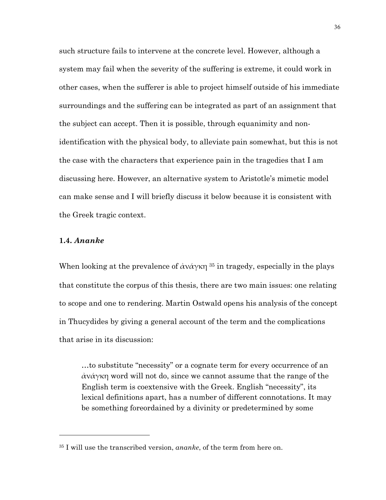such structure fails to intervene at the concrete level. However, although a system may fail when the severity of the suffering is extreme, it could work in other cases, when the sufferer is able to project himself outside of his immediate surroundings and the suffering can be integrated as part of an assignment that the subject can accept. Then it is possible, through equanimity and nonidentification with the physical body, to alleviate pain somewhat, but this is not the case with the characters that experience pain in the tragedies that I am discussing here. However, an alternative system to Aristotle's mimetic model can make sense and I will briefly discuss it below because it is consistent with the Greek tragic context.

## **1.4.** *Ananke*

 $\overline{a}$ 

When looking at the prevalence of  $\partial x \partial y \times \partial x$ <sup>35</sup> in tragedy, especially in the plays that constitute the corpus of this thesis, there are two main issues: one relating to scope and one to rendering. Martin Ostwald opens his analysis of the concept in Thucydides by giving a general account of the term and the complications that arise in its discussion:

…to substitute "necessity" or a cognate term for every occurrence of an ἀνάγκη word will not do, since we cannot assume that the range of the English term is coextensive with the Greek. English "necessity", its lexical definitions apart, has a number of different connotations. It may be something foreordained by a divinity or predetermined by some

<sup>35</sup> I will use the transcribed version, *ananke*, of the term from here on.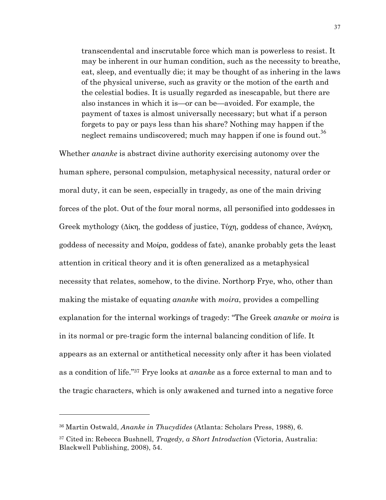transcendental and inscrutable force which man is powerless to resist. It may be inherent in our human condition, such as the necessity to breathe, eat, sleep, and eventually die; it may be thought of as inhering in the laws of the physical universe, such as gravity or the motion of the earth and the celestial bodies. It is usually regarded as inescapable, but there are also instances in which it is—or can be—avoided. For example, the payment of taxes is almost universally necessary; but what if a person forgets to pay or pays less than his share? Nothing may happen if the neglect remains undiscovered; much may happen if one is found out.<sup>36</sup>

Whether *ananke* is abstract divine authority exercising autonomy over the human sphere, personal compulsion, metaphysical necessity, natural order or moral duty, it can be seen, especially in tragedy, as one of the main driving forces of the plot. Out of the four moral norms, all personified into goddesses in Greek mythology (Δίκη, the goddess of justice, Τύχη, goddess of chance, Άνάγκη, goddess of necessity and Μοίρα, goddess of fate), ananke probably gets the least attention in critical theory and it is often generalized as a metaphysical necessity that relates, somehow, to the divine. Northorp Frye, who, other than making the mistake of equating *ananke* with *moira*, provides a compelling explanation for the internal workings of tragedy: "The Greek *ananke* or *moira* is in its normal or pre-tragic form the internal balancing condition of life. It appears as an external or antithetical necessity only after it has been violated as a condition of life."37 Frye looks at *ananke* as a force external to man and to the tragic characters, which is only awakened and turned into a negative force

<sup>36</sup> Martin Ostwald, *Ananke in Thucydides* (Atlanta: Scholars Press, 1988), 6.

<sup>37</sup> Cited in: Rebecca Bushnell, *Tragedy, a Short Introduction* (Victoria, Australia: Blackwell Publishing, 2008), 54.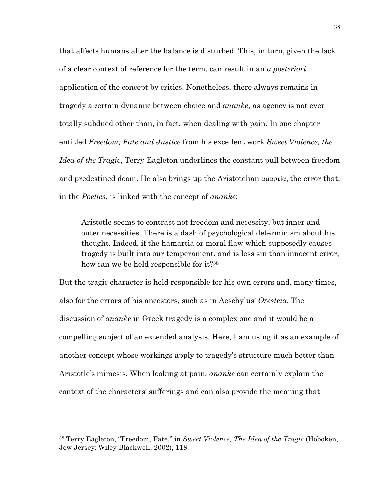that affects humans after the balance is disturbed. This, in turn, given the lack of a clear context of reference for the term, can result in an *a posteriori* application of the concept by critics. Nonetheless, there always remains in tragedy a certain dynamic between choice and *ananke*, as agency is not ever totally subdued other than, in fact, when dealing with pain. In one chapter entitled *Freedom, Fate and Justice* from his excellent work *Sweet Violence, the Idea of the Tragic*, Terry Eagleton underlines the constant pull between freedom and predestined doom. He also brings up the Aristotelian άμαρτία, the error that, in the *Poetics*, is linked with the concept of *ananke*:

Aristotle seems to contrast not freedom and necessity, but inner and outer necessities. There is a dash of psychological determinism about his thought. Indeed, if the hamartia or moral flaw which supposedly causes tragedy is built into our temperament, and is less sin than innocent error, how can we be held responsible for it?38

But the tragic character is held responsible for his own errors and, many times, also for the errors of his ancestors, such as in Aeschylus' *Oresteia*. The discussion of *ananke* in Greek tragedy is a complex one and it would be a compelling subject of an extended analysis. Here, I am using it as an example of another concept whose workings apply to tragedy's structure much better than Aristotle's mimesis. When looking at pain, *ananke* can certainly explain the context of the characters' sufferings and can also provide the meaning that

<sup>38</sup> Terry Eagleton, "Freedom, Fate," in *Sweet Violence, The Idea of the Tragic* (Hoboken, Jew Jersey: Wiley Blackwell, 2002), 118.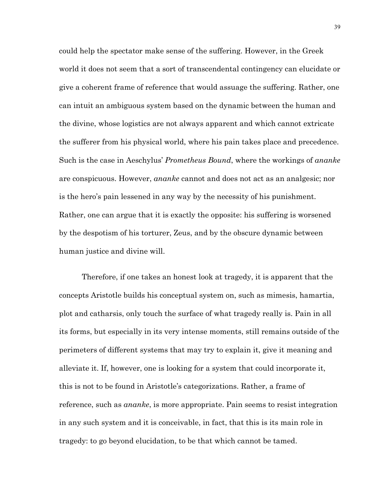could help the spectator make sense of the suffering. However, in the Greek world it does not seem that a sort of transcendental contingency can elucidate or give a coherent frame of reference that would assuage the suffering. Rather, one can intuit an ambiguous system based on the dynamic between the human and the divine, whose logistics are not always apparent and which cannot extricate the sufferer from his physical world, where his pain takes place and precedence. Such is the case in Aeschylus' *Prometheus Bound*, where the workings of *ananke* are conspicuous. However, *ananke* cannot and does not act as an analgesic; nor is the hero's pain lessened in any way by the necessity of his punishment. Rather, one can argue that it is exactly the opposite: his suffering is worsened by the despotism of his torturer, Zeus, and by the obscure dynamic between human justice and divine will.

Therefore, if one takes an honest look at tragedy, it is apparent that the concepts Aristotle builds his conceptual system on, such as mimesis, hamartia, plot and catharsis, only touch the surface of what tragedy really is. Pain in all its forms, but especially in its very intense moments, still remains outside of the perimeters of different systems that may try to explain it, give it meaning and alleviate it. If, however, one is looking for a system that could incorporate it, this is not to be found in Aristotle's categorizations. Rather, a frame of reference, such as *ananke*, is more appropriate. Pain seems to resist integration in any such system and it is conceivable, in fact, that this is its main role in tragedy: to go beyond elucidation, to be that which cannot be tamed.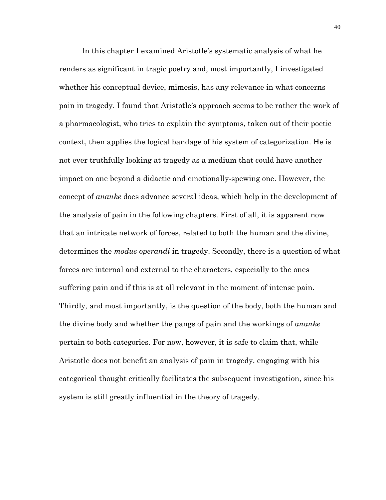In this chapter I examined Aristotle's systematic analysis of what he renders as significant in tragic poetry and, most importantly, I investigated whether his conceptual device, mimesis, has any relevance in what concerns pain in tragedy. I found that Aristotle's approach seems to be rather the work of a pharmacologist, who tries to explain the symptoms, taken out of their poetic context, then applies the logical bandage of his system of categorization. He is not ever truthfully looking at tragedy as a medium that could have another impact on one beyond a didactic and emotionally-spewing one. However, the concept of *ananke* does advance several ideas, which help in the development of the analysis of pain in the following chapters. First of all, it is apparent now that an intricate network of forces, related to both the human and the divine, determines the *modus operandi* in tragedy. Secondly, there is a question of what forces are internal and external to the characters, especially to the ones suffering pain and if this is at all relevant in the moment of intense pain. Thirdly, and most importantly, is the question of the body, both the human and the divine body and whether the pangs of pain and the workings of *ananke* pertain to both categories. For now, however, it is safe to claim that, while Aristotle does not benefit an analysis of pain in tragedy, engaging with his categorical thought critically facilitates the subsequent investigation, since his system is still greatly influential in the theory of tragedy.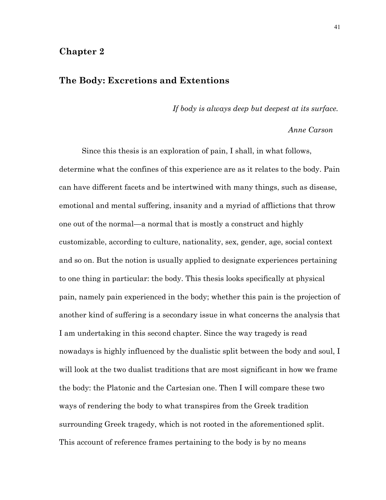## **Chapter 2**

# **The Body: Excretions and Extentions**

*If body is always deep but deepest at its surface.*

#### *Anne Carson*

Since this thesis is an exploration of pain, I shall, in what follows, determine what the confines of this experience are as it relates to the body. Pain can have different facets and be intertwined with many things, such as disease, emotional and mental suffering, insanity and a myriad of afflictions that throw one out of the normal—a normal that is mostly a construct and highly customizable, according to culture, nationality, sex, gender, age, social context and so on. But the notion is usually applied to designate experiences pertaining to one thing in particular: the body. This thesis looks specifically at physical pain, namely pain experienced in the body; whether this pain is the projection of another kind of suffering is a secondary issue in what concerns the analysis that I am undertaking in this second chapter. Since the way tragedy is read nowadays is highly influenced by the dualistic split between the body and soul, I will look at the two dualist traditions that are most significant in how we frame the body: the Platonic and the Cartesian one. Then I will compare these two ways of rendering the body to what transpires from the Greek tradition surrounding Greek tragedy, which is not rooted in the aforementioned split. This account of reference frames pertaining to the body is by no means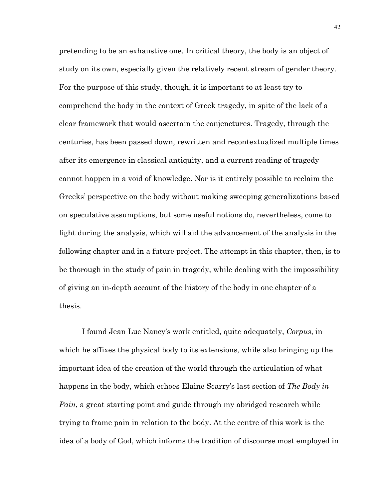pretending to be an exhaustive one. In critical theory, the body is an object of study on its own, especially given the relatively recent stream of gender theory. For the purpose of this study, though, it is important to at least try to comprehend the body in the context of Greek tragedy, in spite of the lack of a clear framework that would ascertain the conjenctures. Tragedy, through the centuries, has been passed down, rewritten and recontextualized multiple times after its emergence in classical antiquity, and a current reading of tragedy cannot happen in a void of knowledge. Nor is it entirely possible to reclaim the Greeks' perspective on the body without making sweeping generalizations based on speculative assumptions, but some useful notions do, nevertheless, come to light during the analysis, which will aid the advancement of the analysis in the following chapter and in a future project. The attempt in this chapter, then, is to be thorough in the study of pain in tragedy, while dealing with the impossibility of giving an in-depth account of the history of the body in one chapter of a thesis.

I found Jean Luc Nancy's work entitled, quite adequately, *Corpus*, in which he affixes the physical body to its extensions, while also bringing up the important idea of the creation of the world through the articulation of what happens in the body, which echoes Elaine Scarry's last section of *The Body in Pain*, a great starting point and guide through my abridged research while trying to frame pain in relation to the body. At the centre of this work is the idea of a body of God, which informs the tradition of discourse most employed in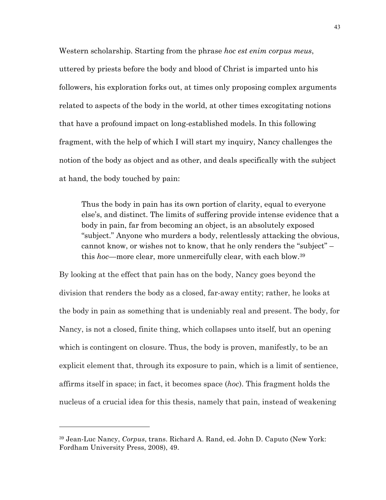Western scholarship. Starting from the phrase *hoc est enim corpus meus*, uttered by priests before the body and blood of Christ is imparted unto his followers, his exploration forks out, at times only proposing complex arguments related to aspects of the body in the world, at other times excogitating notions that have a profound impact on long-established models. In this following fragment, with the help of which I will start my inquiry, Nancy challenges the notion of the body as object and as other, and deals specifically with the subject at hand, the body touched by pain:

Thus the body in pain has its own portion of clarity, equal to everyone else's, and distinct. The limits of suffering provide intense evidence that a body in pain, far from becoming an object, is an absolutely exposed "subject." Anyone who murders a body, relentlessly attacking the obvious, cannot know, or wishes not to know, that he only renders the "subject" – this *hoc*—more clear, more unmercifully clear, with each blow.39

By looking at the effect that pain has on the body, Nancy goes beyond the division that renders the body as a closed, far-away entity; rather, he looks at the body in pain as something that is undeniably real and present. The body, for Nancy, is not a closed, finite thing, which collapses unto itself, but an opening which is contingent on closure. Thus, the body is proven, manifestly, to be an explicit element that, through its exposure to pain, which is a limit of sentience, affirms itself in space; in fact, it becomes space (*hoc*). This fragment holds the nucleus of a crucial idea for this thesis, namely that pain, instead of weakening

<sup>39</sup> Jean-Luc Nancy, *Corpus*, trans. Richard A. Rand, ed. John D. Caputo (New York: Fordham University Press, 2008), 49.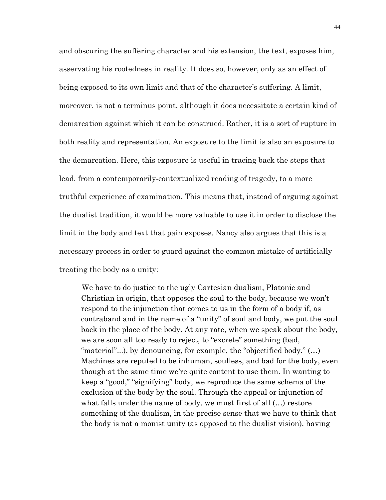and obscuring the suffering character and his extension, the text, exposes him, asservating his rootedness in reality. It does so, however, only as an effect of being exposed to its own limit and that of the character's suffering. A limit, moreover, is not a terminus point, although it does necessitate a certain kind of demarcation against which it can be construed. Rather, it is a sort of rupture in both reality and representation. An exposure to the limit is also an exposure to the demarcation. Here, this exposure is useful in tracing back the steps that lead, from a contemporarily-contextualized reading of tragedy, to a more truthful experience of examination. This means that, instead of arguing against the dualist tradition, it would be more valuable to use it in order to disclose the limit in the body and text that pain exposes. Nancy also argues that this is a necessary process in order to guard against the common mistake of artificially treating the body as a unity:

We have to do justice to the ugly Cartesian dualism, Platonic and Christian in origin, that opposes the soul to the body, because we won't respond to the injunction that comes to us in the form of a body if, as contraband and in the name of a "unity" of soul and body, we put the soul back in the place of the body. At any rate, when we speak about the body, we are soon all too ready to reject, to "excrete" something (bad, "material"...), by denouncing, for example, the "objectified body." (…) Machines are reputed to be inhuman, soulless, and bad for the body, even though at the same time we're quite content to use them. In wanting to keep a "good," "signifying" body, we reproduce the same schema of the exclusion of the body by the soul. Through the appeal or injunction of what falls under the name of body, we must first of all (…) restore something of the dualism, in the precise sense that we have to think that the body is not a monist unity (as opposed to the dualist vision), having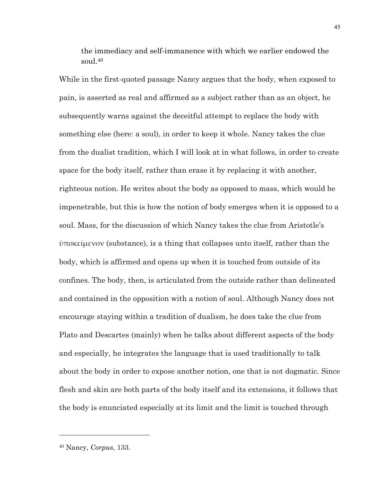the immediacy and self-immanence with which we earlier endowed the soul.40

While in the first-quoted passage Nancy argues that the body, when exposed to pain, is asserted as real and affirmed as a subject rather than as an object, he subsequently warns against the deceitful attempt to replace the body with something else (here: a soul), in order to keep it whole. Nancy takes the clue from the dualist tradition, which I will look at in what follows, in order to create space for the body itself, rather than erase it by replacing it with another, righteous notion. He writes about the body as opposed to mass, which would be impenetrable, but this is how the notion of body emerges when it is opposed to a soul. Mass, for the discussion of which Nancy takes the clue from Aristotle's  $\dot{\varphi}$ ποκείμενον (substance), is a thing that collapses unto itself, rather than the body, which is affirmed and opens up when it is touched from outside of its confines. The body, then, is articulated from the outside rather than delineated and contained in the opposition with a notion of soul. Although Nancy does not encourage staying within a tradition of dualism, he does take the clue from Plato and Descartes (mainly) when he talks about different aspects of the body and especially, he integrates the language that is used traditionally to talk about the body in order to expose another notion, one that is not dogmatic. Since flesh and skin are both parts of the body itself and its extensions, it follows that the body is enunciated especially at its limit and the limit is touched through

<sup>40</sup> Nancy, *Corpus*, 133.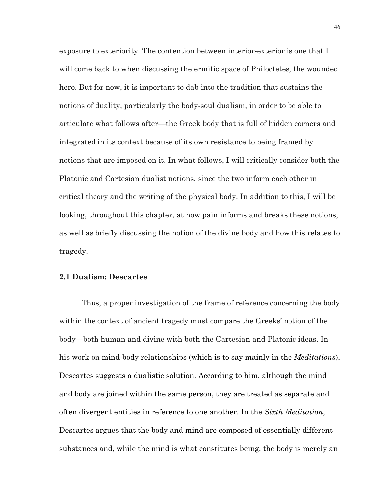exposure to exteriority. The contention between interior-exterior is one that I will come back to when discussing the ermitic space of Philoctetes, the wounded hero. But for now, it is important to dab into the tradition that sustains the notions of duality, particularly the body-soul dualism, in order to be able to articulate what follows after—the Greek body that is full of hidden corners and integrated in its context because of its own resistance to being framed by notions that are imposed on it. In what follows, I will critically consider both the Platonic and Cartesian dualist notions, since the two inform each other in critical theory and the writing of the physical body. In addition to this, I will be looking, throughout this chapter, at how pain informs and breaks these notions, as well as briefly discussing the notion of the divine body and how this relates to tragedy.

#### **2.1 Dualism: Descartes**

Thus, a proper investigation of the frame of reference concerning the body within the context of ancient tragedy must compare the Greeks' notion of the body—both human and divine with both the Cartesian and Platonic ideas. In his work on mind-body relationships (which is to say mainly in the *Meditations*), Descartes suggests a dualistic solution. According to him, although the mind and body are joined within the same person, they are treated as separate and often divergent entities in reference to one another. In the *Sixth Meditation*, Descartes argues that the body and mind are composed of essentially different substances and, while the mind is what constitutes being, the body is merely an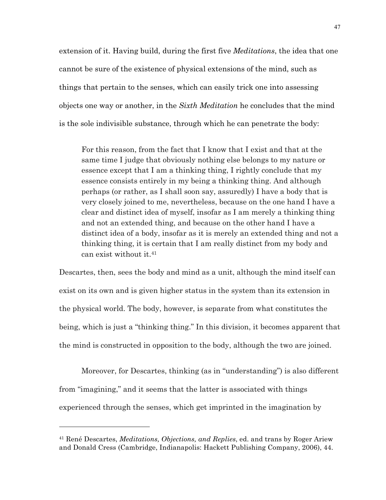extension of it. Having build, during the first five *Meditations*, the idea that one cannot be sure of the existence of physical extensions of the mind, such as things that pertain to the senses, which can easily trick one into assessing objects one way or another, in the *Sixth Meditation* he concludes that the mind is the sole indivisible substance, through which he can penetrate the body:

For this reason, from the fact that I know that I exist and that at the same time I judge that obviously nothing else belongs to my nature or essence except that I am a thinking thing, I rightly conclude that my essence consists entirely in my being a thinking thing. And although perhaps (or rather, as I shall soon say, assuredly) I have a body that is very closely joined to me, nevertheless, because on the one hand I have a clear and distinct idea of myself, insofar as I am merely a thinking thing and not an extended thing, and because on the other hand I have a distinct idea of a body, insofar as it is merely an extended thing and not a thinking thing, it is certain that I am really distinct from my body and can exist without it.41

Descartes, then, sees the body and mind as a unit, although the mind itself can exist on its own and is given higher status in the system than its extension in the physical world. The body, however, is separate from what constitutes the being, which is just a "thinking thing." In this division, it becomes apparent that the mind is constructed in opposition to the body, although the two are joined.

Moreover, for Descartes, thinking (as in "understanding") is also different from "imagining," and it seems that the latter is associated with things experienced through the senses, which get imprinted in the imagination by

<sup>41</sup> René Descartes, *Meditations, Objections, and Replies*, ed. and trans by Roger Ariew and Donald Cress (Cambridge, Indianapolis: Hackett Publishing Company, 2006), 44.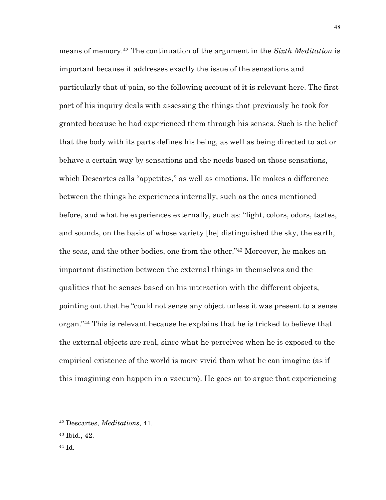means of memory.42 The continuation of the argument in the *Sixth Meditation* is important because it addresses exactly the issue of the sensations and particularly that of pain, so the following account of it is relevant here. The first part of his inquiry deals with assessing the things that previously he took for granted because he had experienced them through his senses. Such is the belief that the body with its parts defines his being, as well as being directed to act or behave a certain way by sensations and the needs based on those sensations, which Descartes calls "appetites," as well as emotions. He makes a difference between the things he experiences internally, such as the ones mentioned before, and what he experiences externally, such as: "light, colors, odors, tastes, and sounds, on the basis of whose variety [he] distinguished the sky, the earth, the seas, and the other bodies, one from the other."43 Moreover, he makes an important distinction between the external things in themselves and the qualities that he senses based on his interaction with the different objects, pointing out that he "could not sense any object unless it was present to a sense organ."44 This is relevant because he explains that he is tricked to believe that the external objects are real, since what he perceives when he is exposed to the empirical existence of the world is more vivid than what he can imagine (as if this imagining can happen in a vacuum). He goes on to argue that experiencing

<sup>42</sup> Descartes, *Meditations*, 41.

<sup>43</sup> Ibid., 42.

<sup>44</sup> Id.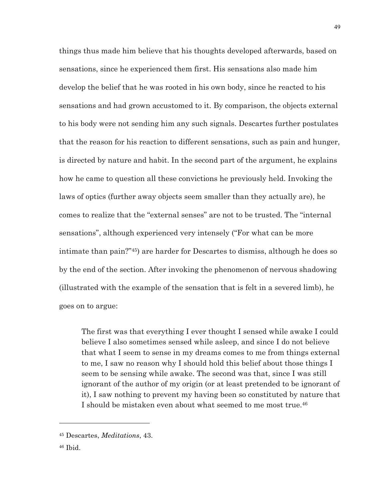things thus made him believe that his thoughts developed afterwards, based on sensations, since he experienced them first. His sensations also made him develop the belief that he was rooted in his own body, since he reacted to his sensations and had grown accustomed to it. By comparison, the objects external to his body were not sending him any such signals. Descartes further postulates that the reason for his reaction to different sensations, such as pain and hunger, is directed by nature and habit. In the second part of the argument, he explains how he came to question all these convictions he previously held. Invoking the laws of optics (further away objects seem smaller than they actually are), he comes to realize that the "external senses" are not to be trusted. The "internal sensations", although experienced very intensely ("For what can be more intimate than pain?"45) are harder for Descartes to dismiss, although he does so by the end of the section. After invoking the phenomenon of nervous shadowing (illustrated with the example of the sensation that is felt in a severed limb), he goes on to argue:

The first was that everything I ever thought I sensed while awake I could believe I also sometimes sensed while asleep, and since I do not believe that what I seem to sense in my dreams comes to me from things external to me, I saw no reason why I should hold this belief about those things I seem to be sensing while awake. The second was that, since I was still ignorant of the author of my origin (or at least pretended to be ignorant of it), I saw nothing to prevent my having been so constituted by nature that I should be mistaken even about what seemed to me most true.46

<sup>46</sup> Ibid.

<sup>45</sup> Descartes, *Meditations*, 43.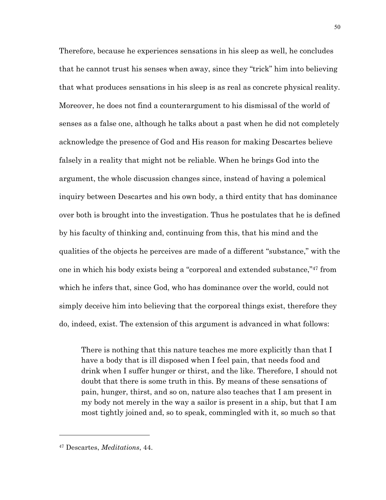Therefore, because he experiences sensations in his sleep as well, he concludes that he cannot trust his senses when away, since they "trick" him into believing that what produces sensations in his sleep is as real as concrete physical reality. Moreover, he does not find a counterargument to his dismissal of the world of senses as a false one, although he talks about a past when he did not completely acknowledge the presence of God and His reason for making Descartes believe falsely in a reality that might not be reliable. When he brings God into the argument, the whole discussion changes since, instead of having a polemical inquiry between Descartes and his own body, a third entity that has dominance over both is brought into the investigation. Thus he postulates that he is defined by his faculty of thinking and, continuing from this, that his mind and the qualities of the objects he perceives are made of a different "substance," with the one in which his body exists being a "corporeal and extended substance,"47 from which he infers that, since God, who has dominance over the world, could not simply deceive him into believing that the corporeal things exist, therefore they do, indeed, exist. The extension of this argument is advanced in what follows:

There is nothing that this nature teaches me more explicitly than that I have a body that is ill disposed when I feel pain, that needs food and drink when I suffer hunger or thirst, and the like. Therefore, I should not doubt that there is some truth in this. By means of these sensations of pain, hunger, thirst, and so on, nature also teaches that I am present in my body not merely in the way a sailor is present in a ship, but that I am most tightly joined and, so to speak, commingled with it, so much so that

<sup>47</sup> Descartes, *Meditations*, 44.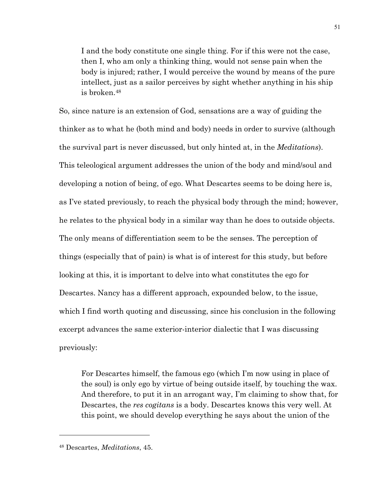I and the body constitute one single thing. For if this were not the case, then I, who am only a thinking thing, would not sense pain when the body is injured; rather, I would perceive the wound by means of the pure intellect, just as a sailor perceives by sight whether anything in his ship is broken.48

So, since nature is an extension of God, sensations are a way of guiding the thinker as to what he (both mind and body) needs in order to survive (although the survival part is never discussed, but only hinted at, in the *Meditations*). This teleological argument addresses the union of the body and mind/soul and developing a notion of being, of ego. What Descartes seems to be doing here is, as I've stated previously, to reach the physical body through the mind; however, he relates to the physical body in a similar way than he does to outside objects. The only means of differentiation seem to be the senses. The perception of things (especially that of pain) is what is of interest for this study, but before looking at this, it is important to delve into what constitutes the ego for Descartes. Nancy has a different approach, expounded below, to the issue, which I find worth quoting and discussing, since his conclusion in the following excerpt advances the same exterior-interior dialectic that I was discussing previously:

For Descartes himself, the famous ego (which I'm now using in place of the soul) is only ego by virtue of being outside itself, by touching the wax. And therefore, to put it in an arrogant way, I'm claiming to show that, for Descartes, the *res cogitans* is a body. Descartes knows this very well. At this point, we should develop everything he says about the union of the

<sup>48</sup> Descartes, *Meditations*, 45.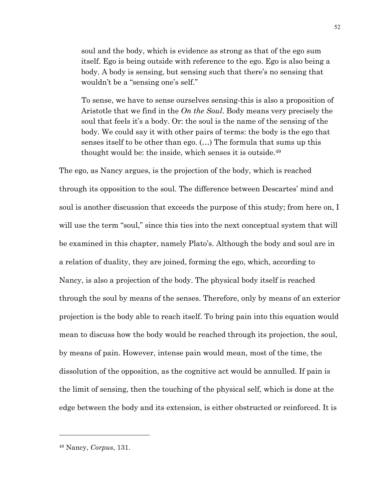soul and the body, which is evidence as strong as that of the ego sum itself. Ego is being outside with reference to the ego. Ego is also being a body. A body is sensing, but sensing such that there's no sensing that wouldn't be a "sensing one's self."

To sense, we have to sense ourselves sensing-this is also a proposition of Aristotle that we find in the *On the Soul*. Body means very precisely the soul that feels it's a body. Or: the soul is the name of the sensing of the body. We could say it with other pairs of terms: the body is the ego that senses itself to be other than ego. (…) The formula that sums up this thought would be: the inside, which senses it is outside.49

The ego, as Nancy argues, is the projection of the body, which is reached through its opposition to the soul. The difference between Descartes' mind and soul is another discussion that exceeds the purpose of this study; from here on, I will use the term "soul," since this ties into the next conceptual system that will be examined in this chapter, namely Plato's. Although the body and soul are in a relation of duality, they are joined, forming the ego, which, according to Nancy, is also a projection of the body. The physical body itself is reached through the soul by means of the senses. Therefore, only by means of an exterior projection is the body able to reach itself. To bring pain into this equation would mean to discuss how the body would be reached through its projection, the soul, by means of pain. However, intense pain would mean, most of the time, the dissolution of the opposition, as the cognitive act would be annulled. If pain is the limit of sensing, then the touching of the physical self, which is done at the edge between the body and its extension, is either obstructed or reinforced. It is

<sup>49</sup> Nancy, *Corpus*, 131.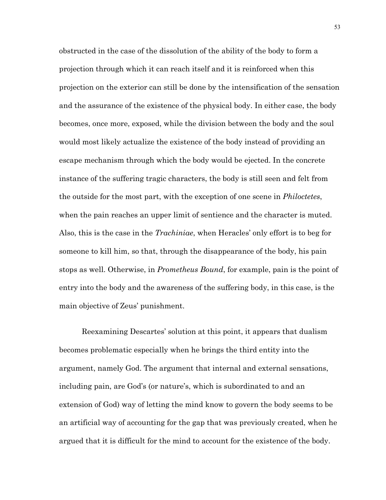obstructed in the case of the dissolution of the ability of the body to form a projection through which it can reach itself and it is reinforced when this projection on the exterior can still be done by the intensification of the sensation and the assurance of the existence of the physical body. In either case, the body becomes, once more, exposed, while the division between the body and the soul would most likely actualize the existence of the body instead of providing an escape mechanism through which the body would be ejected. In the concrete instance of the suffering tragic characters, the body is still seen and felt from the outside for the most part, with the exception of one scene in *Philoctetes*, when the pain reaches an upper limit of sentience and the character is muted. Also, this is the case in the *Trachiniae*, when Heracles' only effort is to beg for someone to kill him, so that, through the disappearance of the body, his pain stops as well. Otherwise, in *Prometheus Bound*, for example, pain is the point of entry into the body and the awareness of the suffering body, in this case, is the main objective of Zeus' punishment.

Reexamining Descartes' solution at this point, it appears that dualism becomes problematic especially when he brings the third entity into the argument, namely God. The argument that internal and external sensations, including pain, are God's (or nature's, which is subordinated to and an extension of God) way of letting the mind know to govern the body seems to be an artificial way of accounting for the gap that was previously created, when he argued that it is difficult for the mind to account for the existence of the body.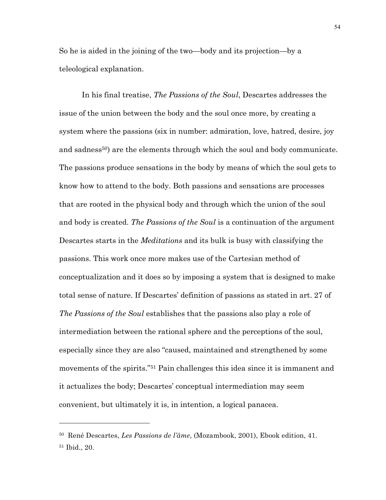So he is aided in the joining of the two—body and its projection—by a teleological explanation.

In his final treatise, *The Passions of the Soul*, Descartes addresses the issue of the union between the body and the soul once more, by creating a system where the passions (six in number: admiration, love, hatred, desire, joy and sadness<sup>50</sup>) are the elements through which the soul and body communicate. The passions produce sensations in the body by means of which the soul gets to know how to attend to the body. Both passions and sensations are processes that are rooted in the physical body and through which the union of the soul and body is created. *The Passions of the Soul* is a continuation of the argument Descartes starts in the *Meditations* and its bulk is busy with classifying the passions. This work once more makes use of the Cartesian method of conceptualization and it does so by imposing a system that is designed to make total sense of nature. If Descartes' definition of passions as stated in art. 27 of *The Passions of the Soul* establishes that the passions also play a role of intermediation between the rational sphere and the perceptions of the soul, especially since they are also "caused, maintained and strengthened by some movements of the spirits."51 Pain challenges this idea since it is immanent and it actualizes the body; Descartes' conceptual intermediation may seem convenient, but ultimately it is, in intention, a logical panacea.

<sup>50</sup> René Descartes, *Les Passions de l'âme*, (Mozambook, 2001), Ebook edition, 41. <sup>51</sup> Ibid., 20.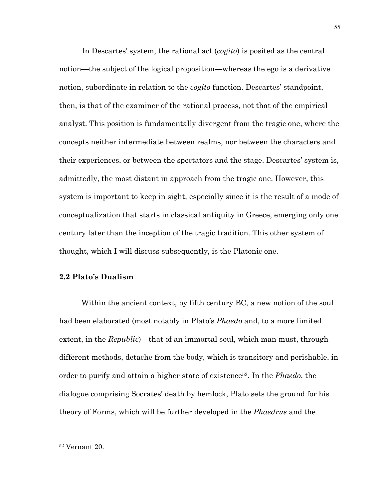In Descartes' system, the rational act (*cogito*) is posited as the central notion—the subject of the logical proposition—whereas the ego is a derivative notion, subordinate in relation to the *cogito* function. Descartes' standpoint, then, is that of the examiner of the rational process, not that of the empirical analyst. This position is fundamentally divergent from the tragic one, where the concepts neither intermediate between realms, nor between the characters and their experiences, or between the spectators and the stage. Descartes' system is, admittedly, the most distant in approach from the tragic one. However, this system is important to keep in sight, especially since it is the result of a mode of conceptualization that starts in classical antiquity in Greece, emerging only one century later than the inception of the tragic tradition. This other system of thought, which I will discuss subsequently, is the Platonic one.

#### **2.2 Plato's Dualism**

Within the ancient context, by fifth century BC, a new notion of the soul had been elaborated (most notably in Plato's *Phaedo* and, to a more limited extent, in the *Republic*)—that of an immortal soul, which man must, through different methods, detache from the body, which is transitory and perishable, in order to purify and attain a higher state of existence52. In the *Phaedo*, the dialogue comprising Socrates' death by hemlock, Plato sets the ground for his theory of Forms, which will be further developed in the *Phaedrus* and the

<sup>52</sup> Vernant 20.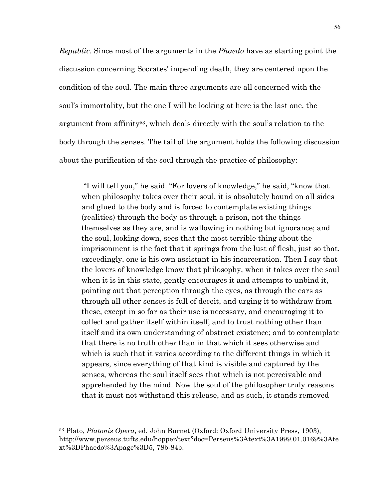*Republic*. Since most of the arguments in the *Phaedo* have as starting point the discussion concerning Socrates' impending death, they are centered upon the condition of the soul. The main three arguments are all concerned with the soul's immortality, but the one I will be looking at here is the last one, the argument from affinity53, which deals directly with the soul's relation to the body through the senses. The tail of the argument holds the following discussion about the purification of the soul through the practice of philosophy:

"I will tell you," he said. "For lovers of knowledge," he said, "know that when philosophy takes over their soul, it is absolutely bound on all sides and glued to the body and is forced to contemplate existing things (realities) through the body as through a prison, not the things themselves as they are, and is wallowing in nothing but ignorance; and the soul, looking down, sees that the most terrible thing about the imprisonment is the fact that it springs from the lust of flesh, just so that, exceedingly, one is his own assistant in his incarceration. Then I say that the lovers of knowledge know that philosophy, when it takes over the soul when it is in this state, gently encourages it and attempts to unbind it, pointing out that perception through the eyes, as through the ears as through all other senses is full of deceit, and urging it to withdraw from these, except in so far as their use is necessary, and encouraging it to collect and gather itself within itself, and to trust nothing other than itself and its own understanding of abstract existence; and to contemplate that there is no truth other than in that which it sees otherwise and which is such that it varies according to the different things in which it appears, since everything of that kind is visible and captured by the senses, whereas the soul itself sees that which is not perceivable and apprehended by the mind. Now the soul of the philosopher truly reasons that it must not withstand this release, and as such, it stands removed

<sup>53</sup> Plato, *Platonis Opera*, ed. John Burnet (Oxford: Oxford University Press, 1903), http://www.perseus.tufts.edu/hopper/text?doc=Perseus%3Atext%3A1999.01.0169%3Ate xt%3DPhaedo%3Apage%3D5, 78b-84b.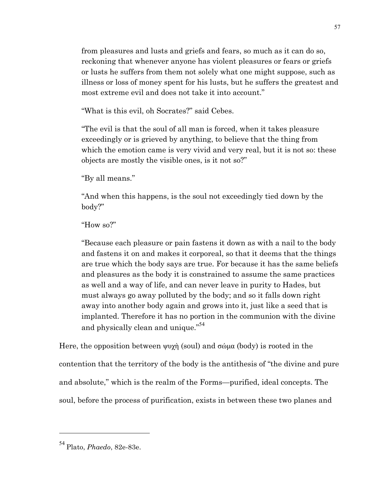from pleasures and lusts and griefs and fears, so much as it can do so, reckoning that whenever anyone has violent pleasures or fears or griefs or lusts he suffers from them not solely what one might suppose, such as illness or loss of money spent for his lusts, but he suffers the greatest and most extreme evil and does not take it into account."

"What is this evil, oh Socrates?" said Cebes.

"The evil is that the soul of all man is forced, when it takes pleasure exceedingly or is grieved by anything, to believe that the thing from which the emotion came is very vivid and very real, but it is not so: these objects are mostly the visible ones, is it not so?"

"By all means."

"And when this happens, is the soul not exceedingly tied down by the body?"

## "How so?"

"Because each pleasure or pain fastens it down as with a nail to the body and fastens it on and makes it corporeal, so that it deems that the things are true which the body says are true. For because it has the same beliefs and pleasures as the body it is constrained to assume the same practices as well and a way of life, and can never leave in purity to Hades, but must always go away polluted by the body; and so it falls down right away into another body again and grows into it, just like a seed that is implanted. Therefore it has no portion in the communion with the divine and physically clean and unique." 54

Here, the opposition between ψυχὴ (soul) and σώµα (body) is rooted in the contention that the territory of the body is the antithesis of "the divine and pure and absolute," which is the realm of the Forms—purified, ideal concepts. The soul, before the process of purification, exists in between these two planes and

<sup>57</sup>

<sup>54</sup> Plato, *Phaedo*, 82e-83e.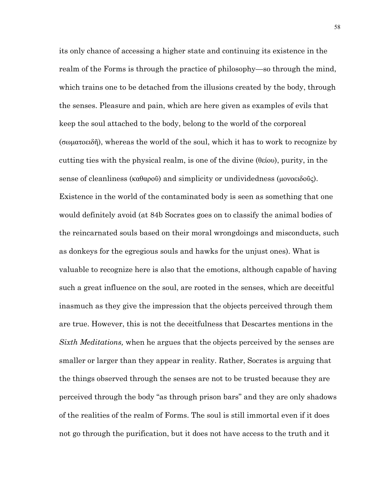its only chance of accessing a higher state and continuing its existence in the realm of the Forms is through the practice of philosophy—so through the mind, which trains one to be detached from the illusions created by the body, through the senses. Pleasure and pain, which are here given as examples of evils that keep the soul attached to the body, belong to the world of the corporeal (σωµατοειδῆ), whereas the world of the soul, which it has to work to recognize by cutting ties with the physical realm, is one of the divine  $(\theta \in \mathcal{C}(\omega))$ , purity, in the sense of cleanliness (καθαροῦ) and simplicity or undividedness (μονοειδοῦς). Existence in the world of the contaminated body is seen as something that one would definitely avoid (at 84b Socrates goes on to classify the animal bodies of the reincarnated souls based on their moral wrongdoings and misconducts, such as donkeys for the egregious souls and hawks for the unjust ones). What is valuable to recognize here is also that the emotions, although capable of having such a great influence on the soul, are rooted in the senses, which are deceitful inasmuch as they give the impression that the objects perceived through them are true. However, this is not the deceitfulness that Descartes mentions in the *Sixth Meditations,* when he argues that the objects perceived by the senses are smaller or larger than they appear in reality. Rather, Socrates is arguing that the things observed through the senses are not to be trusted because they are perceived through the body "as through prison bars" and they are only shadows of the realities of the realm of Forms. The soul is still immortal even if it does not go through the purification, but it does not have access to the truth and it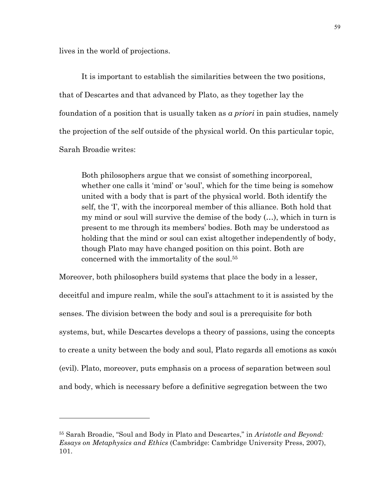lives in the world of projections.

 $\overline{a}$ 

It is important to establish the similarities between the two positions, that of Descartes and that advanced by Plato, as they together lay the foundation of a position that is usually taken as *a priori* in pain studies, namely the projection of the self outside of the physical world. On this particular topic, Sarah Broadie writes:

Both philosophers argue that we consist of something incorporeal, whether one calls it 'mind' or 'soul', which for the time being is somehow united with a body that is part of the physical world. Both identify the self, the 'I', with the incorporeal member of this alliance. Both hold that my mind or soul will survive the demise of the body (…), which in turn is present to me through its members' bodies. Both may be understood as holding that the mind or soul can exist altogether independently of body, though Plato may have changed position on this point. Both are concerned with the immortality of the soul.55

Moreover, both philosophers build systems that place the body in a lesser, deceitful and impure realm, while the soul's attachment to it is assisted by the senses. The division between the body and soul is a prerequisite for both systems, but, while Descartes develops a theory of passions, using the concepts to create a unity between the body and soul, Plato regards all emotions as κακόι (evil). Plato, moreover, puts emphasis on a process of separation between soul and body, which is necessary before a definitive segregation between the two

<sup>55</sup> Sarah Broadie, "Soul and Body in Plato and Descartes," in *Aristotle and Beyond: Essays on Metaphysics and Ethics* (Cambridge: Cambridge University Press, 2007), 101.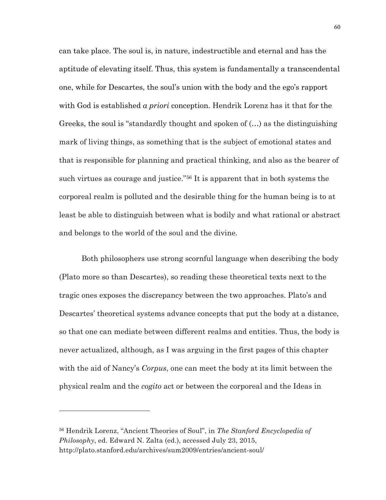can take place. The soul is, in nature, indestructible and eternal and has the aptitude of elevating itself. Thus, this system is fundamentally a transcendental one, while for Descartes, the soul's union with the body and the ego's rapport with God is established *a priori* conception. Hendrik Lorenz has it that for the Greeks, the soul is "standardly thought and spoken of (…) as the distinguishing mark of living things, as something that is the subject of emotional states and that is responsible for planning and practical thinking, and also as the bearer of such virtues as courage and justice."56 It is apparent that in both systems the corporeal realm is polluted and the desirable thing for the human being is to at least be able to distinguish between what is bodily and what rational or abstract and belongs to the world of the soul and the divine.

Both philosophers use strong scornful language when describing the body (Plato more so than Descartes), so reading these theoretical texts next to the tragic ones exposes the discrepancy between the two approaches. Plato's and Descartes' theoretical systems advance concepts that put the body at a distance, so that one can mediate between different realms and entities. Thus, the body is never actualized, although, as I was arguing in the first pages of this chapter with the aid of Nancy's *Corpus*, one can meet the body at its limit between the physical realm and the *cogito* act or between the corporeal and the Ideas in

<sup>56</sup> Hendrik Lorenz, "Ancient Theories of Soul", in *The Stanford Encyclopedia of Philosophy*, ed. Edward N. Zalta (ed.), accessed July 23, 2015, http://plato.stanford.edu/archives/sum2009/entries/ancient-soul/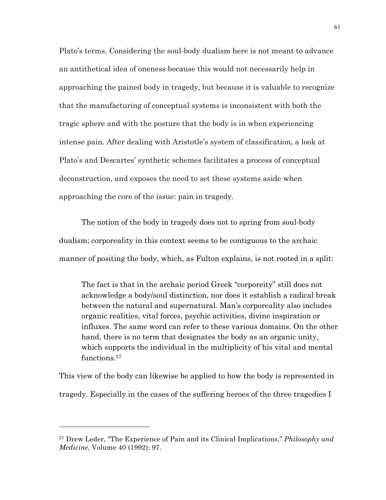Plato's terms. Considering the soul-body dualism here is not meant to advance an antithetical idea of oneness because this would not necessarily help in approaching the pained body in tragedy, but because it is valuable to recognize that the manufacturing of conceptual systems is inconsistent with both the tragic sphere and with the posture that the body is in when experiencing intense pain. After dealing with Aristotle's system of classification, a look at Plato's and Descartes' synthetic schemes facilitates a process of conceptual deconstruction, and exposes the need to set these systems aside when approaching the core of the issue: pain in tragedy.

The notion of the body in tragedy does not to spring from soul-body dualism; corporeality in this context seems to be contiguous to the archaic manner of positing the body, which, as Fulton explains, is not rooted in a split:

The fact is that in the archaic period Greek "corporeity" still does not acknowledge a body/soul distinction, nor does it establish a radical break between the natural and supernatural. Man's corporeality also includes organic realities, vital forces, psychic activities, divine inspiration or influxes. The same word can refer to these various domains. On the other hand, there is no term that designates the body as an organic unity, which supports the individual in the multiplicity of his vital and mental functions.57

This view of the body can likewise be applied to how the body is represented in tragedy. Especially in the cases of the suffering heroes of the three tragedies I

<sup>57</sup> Drew Leder, "The Experience of Pain and its Clinical Implications," *Philosophy and Medicine*, Volume 40 (1992): 97.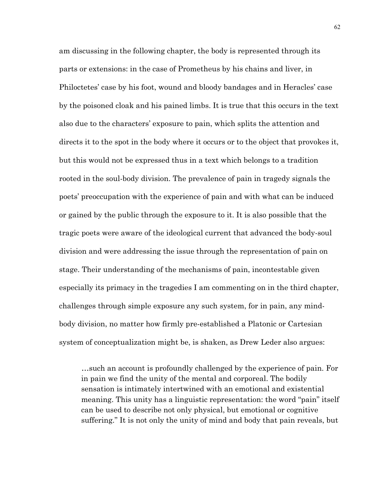am discussing in the following chapter, the body is represented through its parts or extensions: in the case of Prometheus by his chains and liver, in Philoctetes' case by his foot, wound and bloody bandages and in Heracles' case by the poisoned cloak and his pained limbs. It is true that this occurs in the text also due to the characters' exposure to pain, which splits the attention and directs it to the spot in the body where it occurs or to the object that provokes it, but this would not be expressed thus in a text which belongs to a tradition rooted in the soul-body division. The prevalence of pain in tragedy signals the poets' preoccupation with the experience of pain and with what can be induced or gained by the public through the exposure to it. It is also possible that the tragic poets were aware of the ideological current that advanced the body-soul division and were addressing the issue through the representation of pain on stage. Their understanding of the mechanisms of pain, incontestable given especially its primacy in the tragedies I am commenting on in the third chapter, challenges through simple exposure any such system, for in pain, any mindbody division, no matter how firmly pre-established a Platonic or Cartesian system of conceptualization might be, is shaken, as Drew Leder also argues:

…such an account is profoundly challenged by the experience of pain. For in pain we find the unity of the mental and corporeal. The bodily sensation is intimately intertwined with an emotional and existential meaning. This unity has a linguistic representation: the word "pain" itself can be used to describe not only physical, but emotional or cognitive suffering." It is not only the unity of mind and body that pain reveals, but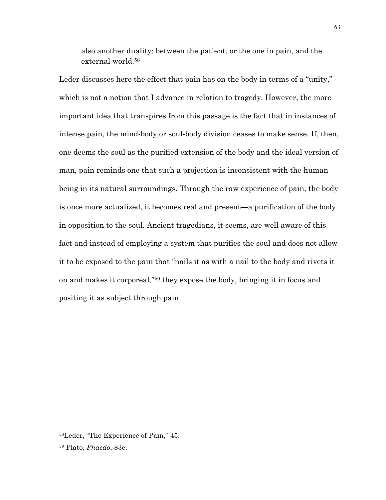also another duality: between the patient, or the one in pain, and the external world.58

Leder discusses here the effect that pain has on the body in terms of a "unity," which is not a notion that I advance in relation to tragedy. However, the more important idea that transpires from this passage is the fact that in instances of intense pain, the mind-body or soul-body division ceases to make sense. If, then, one deems the soul as the purified extension of the body and the ideal version of man, pain reminds one that such a projection is inconsistent with the human being in its natural surroundings. Through the raw experience of pain, the body is once more actualized, it becomes real and present—a purification of the body in opposition to the soul. Ancient tragedians, it seems, are well aware of this fact and instead of employing a system that purifies the soul and does not allow it to be exposed to the pain that "nails it as with a nail to the body and rivets it on and makes it corporeal,"59 they expose the body, bringing it in focus and positing it as subject through pain.

<sup>58</sup>Leder, "The Experience of Pain," 45.

<sup>59</sup> Plato, *Phaedo*, 83e.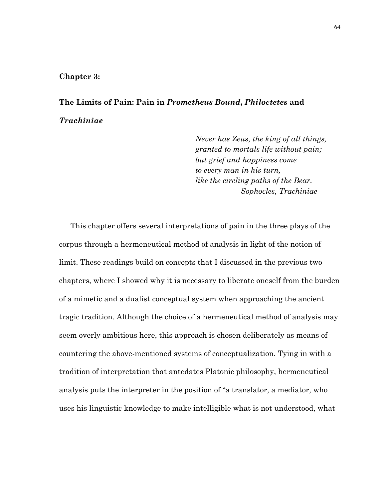#### **Chapter 3:**

# **The Limits of Pain: Pain in** *Prometheus Bound***,** *Philoctetes* **and**  *Trachiniae*

*Never has Zeus, the king of all things, granted to mortals life without pain; but grief and happiness come to every man in his turn, like the circling paths of the Bear. Sophocles, Trachiniae*

This chapter offers several interpretations of pain in the three plays of the corpus through a hermeneutical method of analysis in light of the notion of limit. These readings build on concepts that I discussed in the previous two chapters, where I showed why it is necessary to liberate oneself from the burden of a mimetic and a dualist conceptual system when approaching the ancient tragic tradition. Although the choice of a hermeneutical method of analysis may seem overly ambitious here, this approach is chosen deliberately as means of countering the above-mentioned systems of conceptualization. Tying in with a tradition of interpretation that antedates Platonic philosophy, hermeneutical analysis puts the interpreter in the position of "a translator, a mediator, who uses his linguistic knowledge to make intelligible what is not understood, what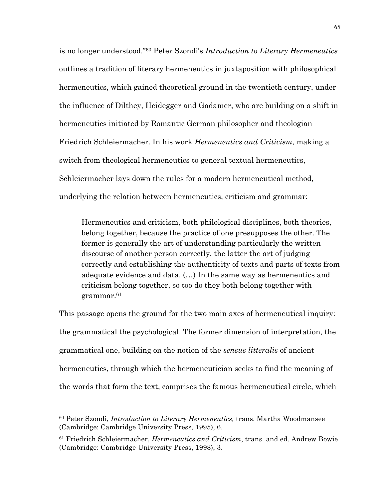is no longer understood."60 Peter Szondi's *Introduction to Literary Hermeneutics* outlines a tradition of literary hermeneutics in juxtaposition with philosophical hermeneutics, which gained theoretical ground in the twentieth century, under the influence of Dilthey, Heidegger and Gadamer, who are building on a shift in hermeneutics initiated by Romantic German philosopher and theologian Friedrich Schleiermacher. In his work *Hermeneutics and Criticism*, making a switch from theological hermeneutics to general textual hermeneutics, Schleiermacher lays down the rules for a modern hermeneutical method, underlying the relation between hermeneutics, criticism and grammar:

Hermeneutics and criticism, both philological disciplines, both theories, belong together, because the practice of one presupposes the other. The former is generally the art of understanding particularly the written discourse of another person correctly, the latter the art of judging correctly and establishing the authenticity of texts and parts of texts from adequate evidence and data. (…) In the same way as hermeneutics and criticism belong together, so too do they both belong together with grammar.61

This passage opens the ground for the two main axes of hermeneutical inquiry: the grammatical the psychological. The former dimension of interpretation, the grammatical one, building on the notion of the *sensus litteralis* of ancient hermeneutics, through which the hermeneutician seeks to find the meaning of the words that form the text, comprises the famous hermeneutical circle, which

<sup>60</sup> Peter Szondi, *Introduction to Literary Hermeneutics,* trans. Martha Woodmansee (Cambridge: Cambridge University Press, 1995), 6.

<sup>61</sup> Friedrich Schleiermacher, *Hermeneutics and Criticism*, trans. and ed. Andrew Bowie (Cambridge: Cambridge University Press, 1998), 3.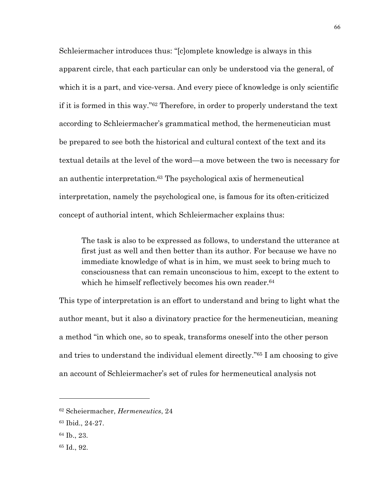Schleiermacher introduces thus: "[c]omplete knowledge is always in this apparent circle, that each particular can only be understood via the general, of which it is a part, and vice-versa. And every piece of knowledge is only scientific if it is formed in this way."62 Therefore, in order to properly understand the text according to Schleiermacher's grammatical method, the hermeneutician must be prepared to see both the historical and cultural context of the text and its textual details at the level of the word—a move between the two is necessary for an authentic interpretation.63 The psychological axis of hermeneutical interpretation, namely the psychological one, is famous for its often-criticized concept of authorial intent, which Schleiermacher explains thus:

The task is also to be expressed as follows, to understand the utterance at first just as well and then better than its author. For because we have no immediate knowledge of what is in him, we must seek to bring much to consciousness that can remain unconscious to him, except to the extent to which he himself reflectively becomes his own reader.<sup>64</sup>

This type of interpretation is an effort to understand and bring to light what the author meant, but it also a divinatory practice for the hermeneutician, meaning a method "in which one, so to speak, transforms oneself into the other person and tries to understand the individual element directly."65 I am choosing to give an account of Schleiermacher's set of rules for hermeneutical analysis not

<sup>62</sup> Scheiermacher, *Hermeneutics*, 24

<sup>63</sup> Ibid., 24-27.

<sup>64</sup> Ib., 23.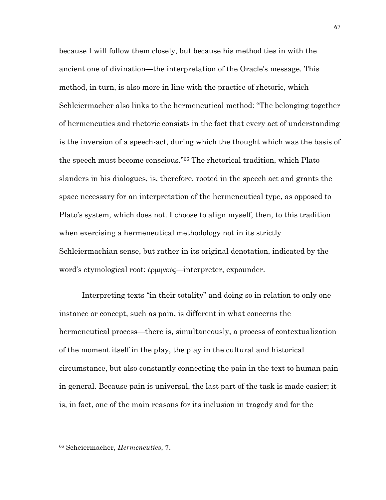because I will follow them closely, but because his method ties in with the ancient one of divination—the interpretation of the Oracle's message. This method, in turn, is also more in line with the practice of rhetoric, which Schleiermacher also links to the hermeneutical method: "The belonging together of hermeneutics and rhetoric consists in the fact that every act of understanding is the inversion of a speech-act, during which the thought which was the basis of the speech must become conscious."66 The rhetorical tradition, which Plato slanders in his dialogues, is, therefore, rooted in the speech act and grants the space necessary for an interpretation of the hermeneutical type, as opposed to Plato's system, which does not. I choose to align myself, then, to this tradition when exercising a hermeneutical methodology not in its strictly Schleiermachian sense, but rather in its original denotation, indicated by the word's etymological root: ἑρµηνεύς—interpreter, expounder.

Interpreting texts "in their totality" and doing so in relation to only one instance or concept, such as pain, is different in what concerns the hermeneutical process—there is, simultaneously, a process of contextualization of the moment itself in the play, the play in the cultural and historical circumstance, but also constantly connecting the pain in the text to human pain in general. Because pain is universal, the last part of the task is made easier; it is, in fact, one of the main reasons for its inclusion in tragedy and for the

<sup>66</sup> Scheiermacher, *Hermeneutics*, 7.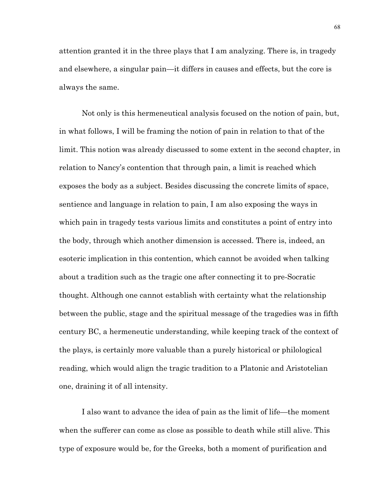attention granted it in the three plays that I am analyzing. There is, in tragedy and elsewhere, a singular pain—it differs in causes and effects, but the core is always the same.

Not only is this hermeneutical analysis focused on the notion of pain, but, in what follows, I will be framing the notion of pain in relation to that of the limit. This notion was already discussed to some extent in the second chapter, in relation to Nancy's contention that through pain, a limit is reached which exposes the body as a subject. Besides discussing the concrete limits of space, sentience and language in relation to pain, I am also exposing the ways in which pain in tragedy tests various limits and constitutes a point of entry into the body, through which another dimension is accessed. There is, indeed, an esoteric implication in this contention, which cannot be avoided when talking about a tradition such as the tragic one after connecting it to pre-Socratic thought. Although one cannot establish with certainty what the relationship between the public, stage and the spiritual message of the tragedies was in fifth century BC, a hermeneutic understanding, while keeping track of the context of the plays, is certainly more valuable than a purely historical or philological reading, which would align the tragic tradition to a Platonic and Aristotelian one, draining it of all intensity.

I also want to advance the idea of pain as the limit of life—the moment when the sufferer can come as close as possible to death while still alive. This type of exposure would be, for the Greeks, both a moment of purification and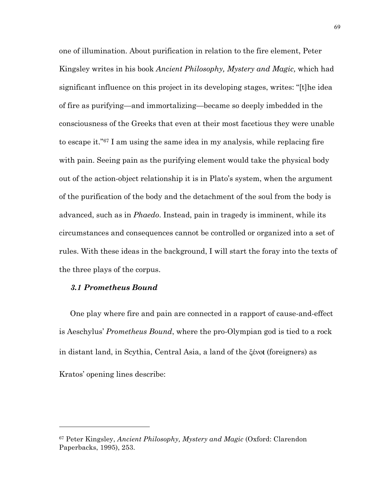one of illumination. About purification in relation to the fire element, Peter Kingsley writes in his book *Ancient Philosophy, Mystery and Magic,* which had significant influence on this project in its developing stages, writes: "[t]he idea of fire as purifying—and immortalizing—became so deeply imbedded in the consciousness of the Greeks that even at their most facetious they were unable to escape it."67 I am using the same idea in my analysis, while replacing fire with pain. Seeing pain as the purifying element would take the physical body out of the action-object relationship it is in Plato's system, when the argument of the purification of the body and the detachment of the soul from the body is advanced, such as in *Phaedo*. Instead, pain in tragedy is imminent, while its circumstances and consequences cannot be controlled or organized into a set of rules. With these ideas in the background, I will start the foray into the texts of the three plays of the corpus.

### *3.1 Prometheus Bound*

 $\overline{a}$ 

One play where fire and pain are connected in a rapport of cause-and-effect is Aeschylus' *Prometheus Bound*, where the pro-Olympian god is tied to a rock in distant land, in Scythia, Central Asia, a land of the ξένο**ι** (foreigners) as Kratos' opening lines describe:

<sup>67</sup> Peter Kingsley, *Ancient Philosophy, Mystery and Magic* (Oxford: Clarendon Paperbacks, 1995), 253.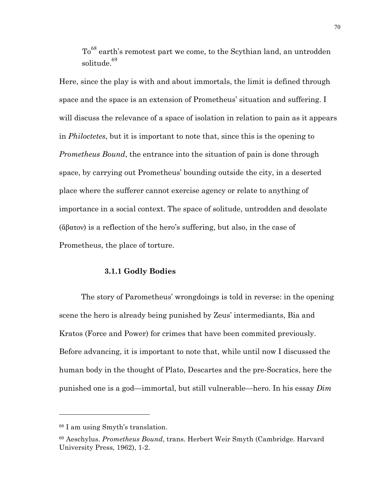To<sup>68</sup> earth's remotest part we come, to the Scythian land, an untrodden solitude.<sup>69</sup>

Here, since the play is with and about immortals, the limit is defined through space and the space is an extension of Prometheus' situation and suffering. I will discuss the relevance of a space of isolation in relation to pain as it appears in *Philoctetes*, but it is important to note that, since this is the opening to *Prometheus Bound*, the entrance into the situation of pain is done through space, by carrying out Prometheus' bounding outside the city, in a deserted place where the sufferer cannot exercise agency or relate to anything of importance in a social context. The space of solitude, untrodden and desolate (ἄβατον) is a reflection of the hero's suffering, but also, in the case of Prometheus, the place of torture.

# **3.1.1 Godly Bodies**

The story of Parometheus' wrongdoings is told in reverse: in the opening scene the hero is already being punished by Zeus' intermediants, Bia and Kratos (Force and Power) for crimes that have been commited previously. Before advancing, it is important to note that, while until now I discussed the human body in the thought of Plato, Descartes and the pre-Socratics, here the punished one is a god—immortal, but still vulnerable—hero. In his essay *Dim* 

<sup>68</sup> I am using Smyth's translation.

<sup>69</sup> Aeschylus. *Prometheus Bound*, trans. Herbert Weir Smyth (Cambridge. Harvard University Press, 1962), 1-2.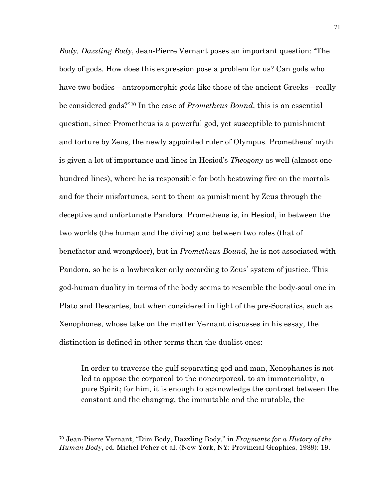*Body, Dazzling Body*, Jean-Pierre Vernant poses an important question: "The body of gods. How does this expression pose a problem for us? Can gods who have two bodies—antropomorphic gods like those of the ancient Greeks—really be considered gods?"70 In the case of *Prometheus Bound*, this is an essential question, since Prometheus is a powerful god, yet susceptible to punishment and torture by Zeus, the newly appointed ruler of Olympus. Prometheus' myth is given a lot of importance and lines in Hesiod's *Theogony* as well (almost one hundred lines), where he is responsible for both bestowing fire on the mortals and for their misfortunes, sent to them as punishment by Zeus through the deceptive and unfortunate Pandora. Prometheus is, in Hesiod, in between the two worlds (the human and the divine) and between two roles (that of benefactor and wrongdoer), but in *Prometheus Bound*, he is not associated with Pandora, so he is a lawbreaker only according to Zeus' system of justice. This god-human duality in terms of the body seems to resemble the body-soul one in Plato and Descartes, but when considered in light of the pre-Socratics, such as Xenophones, whose take on the matter Vernant discusses in his essay, the distinction is defined in other terms than the dualist ones:

In order to traverse the gulf separating god and man, Xenophanes is not led to oppose the corporeal to the noncorporeal, to an immateriality, a pure Spirit; for him, it is enough to acknowledge the contrast between the constant and the changing, the immutable and the mutable, the

<sup>70</sup> Jean-Pierre Vernant, "Dim Body, Dazzling Body," in *Fragments for a History of the Human Body*, ed. Michel Feher et al. (New York, NY: Provincial Graphics, 1989): 19.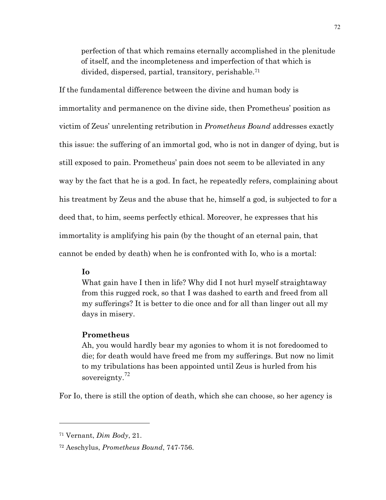perfection of that which remains eternally accomplished in the plenitude of itself, and the incompleteness and imperfection of that which is divided, dispersed, partial, transitory, perishable.71

If the fundamental difference between the divine and human body is immortality and permanence on the divine side, then Prometheus' position as victim of Zeus' unrelenting retribution in *Prometheus Bound* addresses exactly this issue: the suffering of an immortal god, who is not in danger of dying, but is still exposed to pain. Prometheus' pain does not seem to be alleviated in any way by the fact that he is a god. In fact, he repeatedly refers, complaining about his treatment by Zeus and the abuse that he, himself a god, is subjected to for a deed that, to him, seems perfectly ethical. Moreover, he expresses that his immortality is amplifying his pain (by the thought of an eternal pain, that cannot be ended by death) when he is confronted with Io, who is a mortal:

# **Io**

What gain have I then in life? Why did I not hurl myself straightaway from this rugged rock, so that I was dashed to earth and freed from all my sufferings? It is better to die once and for all than linger out all my days in misery.

## **Prometheus**

Ah, you would hardly bear my agonies to whom it is not foredoomed to die; for death would have freed me from my sufferings. But now no limit to my tribulations has been appointed until Zeus is hurled from his sovereignty.<sup>72</sup>

For Io, there is still the option of death, which she can choose, so her agency is

<sup>71</sup> Vernant, *Dim Body*, 21.

<sup>72</sup> Aeschylus, *Prometheus Bound*, 747-756.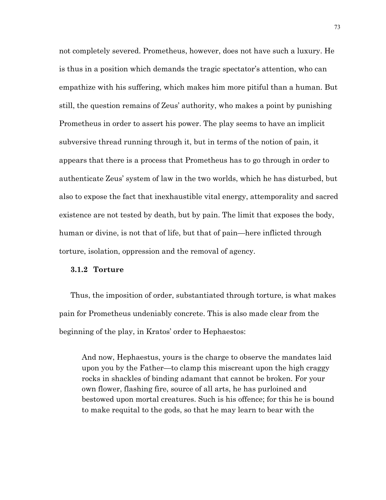not completely severed. Prometheus, however, does not have such a luxury. He is thus in a position which demands the tragic spectator's attention, who can empathize with his suffering, which makes him more pitiful than a human. But still, the question remains of Zeus' authority, who makes a point by punishing Prometheus in order to assert his power. The play seems to have an implicit subversive thread running through it, but in terms of the notion of pain, it appears that there is a process that Prometheus has to go through in order to authenticate Zeus' system of law in the two worlds, which he has disturbed, but also to expose the fact that inexhaustible vital energy, attemporality and sacred existence are not tested by death, but by pain. The limit that exposes the body, human or divine, is not that of life, but that of pain—here inflicted through torture, isolation, oppression and the removal of agency.

## **3.1.2 Torture**

Thus, the imposition of order, substantiated through torture, is what makes pain for Prometheus undeniably concrete. This is also made clear from the beginning of the play, in Kratos' order to Hephaestos:

And now, Hephaestus, yours is the charge to observe the mandates laid upon you by the Father—to clamp this miscreant upon the high craggy rocks in shackles of binding adamant that cannot be broken. For your own flower, flashing fire, source of all arts, he has purloined and bestowed upon mortal creatures. Such is his offence; for this he is bound to make requital to the gods, so that he may learn to bear with the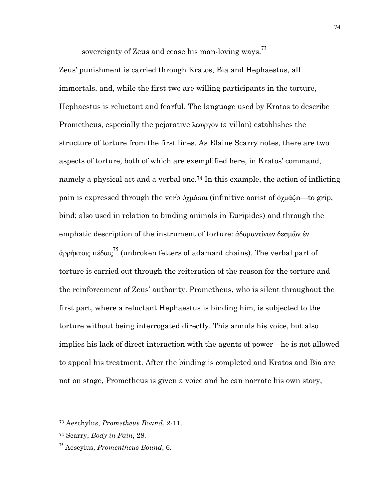sovereignty of Zeus and cease his man-loving ways.<sup>73</sup>

Zeus' punishment is carried through Kratos, Bia and Hephaestus, all immortals, and, while the first two are willing participants in the torture, Hephaestus is reluctant and fearful. The language used by Kratos to describe Prometheus, especially the pejorative λεωργόν (a villan) establishes the structure of torture from the first lines. As Elaine Scarry notes, there are two aspects of torture, both of which are exemplified here, in Kratos' command, namely a physical act and a verbal one.74 In this example, the action of inflicting pain is expressed through the verb ὀχµάσαι (infinitive aorist of ὀχµάζω—to grip, bind; also used in relation to binding animals in Euripides) and through the emphatic description of the instrument of torture: ἀδαµαντίνων δεσµῶν ἐν άρρήκτοις πέδαις<sup>75</sup> (unbroken fetters of adamant chains). The verbal part of torture is carried out through the reiteration of the reason for the torture and the reinforcement of Zeus' authority. Prometheus, who is silent throughout the first part, where a reluctant Hephaestus is binding him, is subjected to the torture without being interrogated directly. This annuls his voice, but also implies his lack of direct interaction with the agents of power—he is not allowed to appeal his treatment. After the binding is completed and Kratos and Bia are not on stage, Prometheus is given a voice and he can narrate his own story,

<sup>73</sup> Aeschylus, *Prometheus Bound*, 2-11.

<sup>74</sup> Scarry, *Body in Pain*, 28.

<sup>75</sup> Aescylus, *Promentheus Bound*, 6.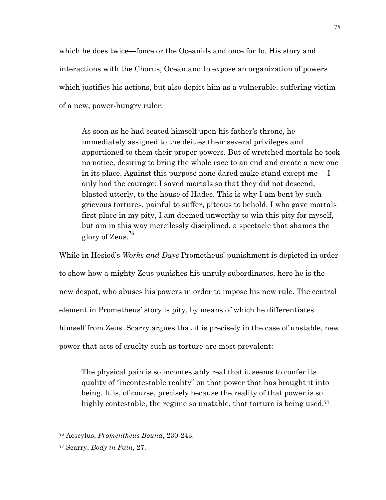which he does twice—fonce or the Oceanids and once for Io. His story and interactions with the Chorus, Ocean and Io expose an organization of powers which justifies his actions, but also depict him as a vulnerable, suffering victim of a new, power-hungry ruler:

As soon as he had seated himself upon his father's throne, he immediately assigned to the deities their several privileges and apportioned to them their proper powers. But of wretched mortals he took no notice, desiring to bring the whole race to an end and create a new one in its place. Against this purpose none dared make stand except me— I only had the courage; I saved mortals so that they did not descend, blasted utterly, to the house of Hades. This is why I am bent by such grievous tortures, painful to suffer, piteous to behold. I who gave mortals first place in my pity, I am deemed unworthy to win this pity for myself, but am in this way mercilessly disciplined, a spectacle that shames the glory of Zeus.<sup>76</sup>

While in Hesiod's *Works and Days* Prometheus' punishment is depicted in order to show how a mighty Zeus punishes his unruly subordinates, here he is the new despot, who abuses his powers in order to impose his new rule. The central element in Prometheus' story is pity, by means of which he differentiates himself from Zeus. Scarry argues that it is precisely in the case of unstable, new power that acts of cruelty such as torture are most prevalent:

The physical pain is so incontestably real that it seems to confer its quality of "incontestable reality" on that power that has brought it into being. It is, of course, precisely because the reality of that power is so highly contestable, the regime so unstable, that torture is being used.<sup>77</sup>

<sup>76</sup> Aescylus, *Promentheus Bound*, 230-243.

<sup>77</sup> Scarry, *Body in Pain*, 27.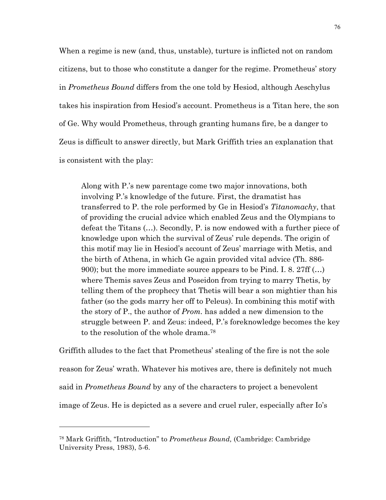When a regime is new (and, thus, unstable), turture is inflicted not on random citizens, but to those who constitute a danger for the regime. Prometheus' story in *Prometheus Bound* differs from the one told by Hesiod, although Aeschylus takes his inspiration from Hesiod's account. Prometheus is a Titan here, the son of Ge. Why would Prometheus, through granting humans fire, be a danger to Zeus is difficult to answer directly, but Mark Griffith tries an explanation that is consistent with the play:

Along with P.'s new parentage come two major innovations, both involving P.'s knowledge of the future. First, the dramatist has transferred to P. the role performed by Ge in Hesiod's *Titanomachy*, that of providing the crucial advice which enabled Zeus and the Olympians to defeat the Titans (…). Secondly, P. is now endowed with a further piece of knowledge upon which the survival of Zeus' rule depends. The origin of this motif may lie in Hesiod's account of Zeus' marriage with Metis, and the birth of Athena, in which Ge again provided vital advice (Th. 886- 900); but the more immediate source appears to be Pind. I. 8. 27ff (…) where Themis saves Zeus and Poseidon from trying to marry Thetis, by telling them of the prophecy that Thetis will bear a son mightier than his father (so the gods marry her off to Peleus). In combining this motif with the story of P., the author of *Prom.* has added a new dimension to the struggle between P. and Zeus: indeed, P.'s foreknowledge becomes the key to the resolution of the whole drama.78

Griffith alludes to the fact that Prometheus' stealing of the fire is not the sole reason for Zeus' wrath. Whatever his motives are, there is definitely not much said in *Prometheus Bound* by any of the characters to project a benevolent image of Zeus. He is depicted as a severe and cruel ruler, especially after Io's

<sup>78</sup> Mark Griffith, "Introduction" to *Prometheus Bound,* (Cambridge: Cambridge University Press, 1983), 5-6.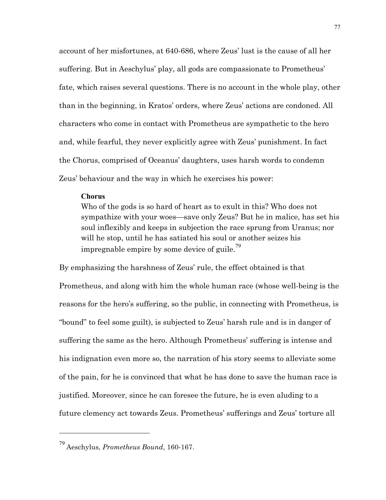account of her misfortunes, at 640-686, where Zeus' lust is the cause of all her suffering. But in Aeschylus' play, all gods are compassionate to Prometheus' fate, which raises several questions. There is no account in the whole play, other than in the beginning, in Kratos' orders, where Zeus' actions are condoned. All characters who come in contact with Prometheus are sympathetic to the hero and, while fearful, they never explicitly agree with Zeus' punishment. In fact the Chorus, comprised of Oceanus' daughters, uses harsh words to condemn Zeus' behaviour and the way in which he exercises his power:

#### **Chorus**

Who of the gods is so hard of heart as to exult in this? Who does not sympathize with your woes—save only Zeus? But he in malice, has set his soul inflexibly and keeps in subjection the race sprung from Uranus; nor will he stop, until he has satiated his soul or another seizes his impregnable empire by some device of guile.<sup>79</sup>

By emphasizing the harshness of Zeus' rule, the effect obtained is that Prometheus, and along with him the whole human race (whose well-being is the reasons for the hero's suffering, so the public, in connecting with Prometheus, is "bound" to feel some guilt), is subjected to Zeus' harsh rule and is in danger of suffering the same as the hero. Although Prometheus' suffering is intense and his indignation even more so, the narration of his story seems to alleviate some of the pain, for he is convinced that what he has done to save the human race is justified. Moreover, since he can foresee the future, he is even aluding to a future clemency act towards Zeus. Prometheus' sufferings and Zeus' torture all

<sup>79</sup> Aeschylus, *Prometheus Bound*, 160-167.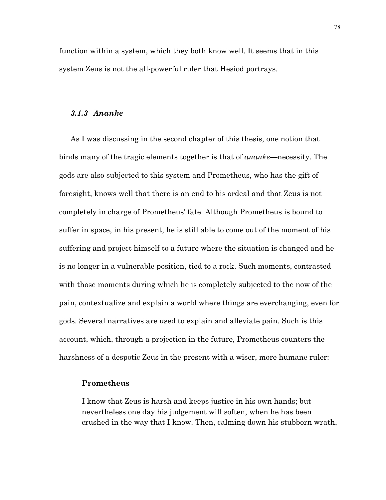function within a system, which they both know well. It seems that in this system Zeus is not the all-powerful ruler that Hesiod portrays.

# *3.1.3 Ananke*

As I was discussing in the second chapter of this thesis, one notion that binds many of the tragic elements together is that of *ananke*—necessity. The gods are also subjected to this system and Prometheus, who has the gift of foresight, knows well that there is an end to his ordeal and that Zeus is not completely in charge of Prometheus' fate. Although Prometheus is bound to suffer in space, in his present, he is still able to come out of the moment of his suffering and project himself to a future where the situation is changed and he is no longer in a vulnerable position, tied to a rock. Such moments, contrasted with those moments during which he is completely subjected to the now of the pain, contextualize and explain a world where things are everchanging, even for gods. Several narratives are used to explain and alleviate pain. Such is this account, which, through a projection in the future, Prometheus counters the harshness of a despotic Zeus in the present with a wiser, more humane ruler:

### **Prometheus**

I know that Zeus is harsh and keeps justice in his own hands; but nevertheless one day his judgement will soften, when he has been crushed in the way that I know. Then, calming down his stubborn wrath,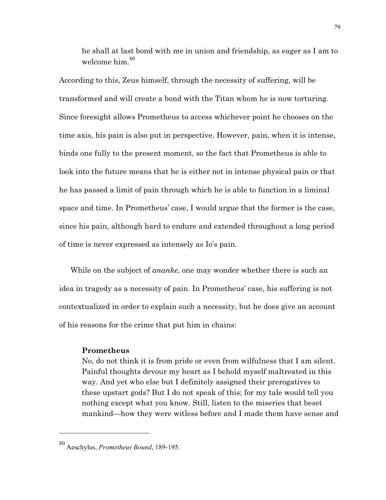he shall at last bond with me in union and friendship, as eager as I am to welcome him.<sup>80</sup>

According to this, Zeus himself, through the necessity of suffering, will be transformed and will create a bond with the Titan whom he is now torturing. Since foresight allows Prometheus to access whichever point he chooses on the time axis, his pain is also put in perspective. However, pain, when it is intense, binds one fully to the present moment, so the fact that Prometheus is able to look into the future means that he is either not in intense physical pain or that he has passed a limit of pain through which he is able to function in a liminal space and time. In Prometheus' case, I would argue that the former is the case, since his pain, although hard to endure and extended throughout a long period of time is never expressed as intensely as Io's pain.

While on the subject of *ananke*, one may wonder whether there is such an idea in tragedy as a necessity of pain. In Prometheus' case, his suffering is not contextualized in order to explain such a necessity, but he does give an account of his reasons for the crime that put him in chains:

# **Prometheus**

 $\overline{a}$ 

No, do not think it is from pride or even from wilfulness that I am silent. Painful thoughts devour my heart as I behold myself maltreated in this way. And yet who else but I definitely assigned their prerogatives to these upstart gods? But I do not speak of this; for my tale would tell you nothing except what you know. Still, listen to the miseries that beset mankind—how they were witless before and I made them have sense and

<sup>80</sup> Aeschylus, *Prometheus Bound*, 189-195.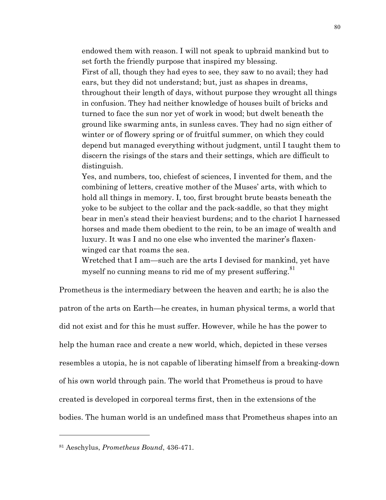endowed them with reason. I will not speak to upbraid mankind but to set forth the friendly purpose that inspired my blessing. First of all, though they had eyes to see, they saw to no avail; they had ears, but they did not understand; but, just as shapes in dreams, throughout their length of days, without purpose they wrought all things in confusion. They had neither knowledge of houses built of bricks and turned to face the sun nor yet of work in wood; but dwelt beneath the ground like swarming ants, in sunless caves. They had no sign either of winter or of flowery spring or of fruitful summer, on which they could depend but managed everything without judgment, until I taught them to discern the risings of the stars and their settings, which are difficult to distinguish.

Yes, and numbers, too, chiefest of sciences, I invented for them, and the combining of letters, creative mother of the Muses' arts, with which to hold all things in memory. I, too, first brought brute beasts beneath the yoke to be subject to the collar and the pack-saddle, so that they might bear in men's stead their heaviest burdens; and to the chariot I harnessed horses and made them obedient to the rein, to be an image of wealth and luxury. It was I and no one else who invented the mariner's flaxenwinged car that roams the sea.

Wretched that I am—such are the arts I devised for mankind, yet have myself no cunning means to rid me of my present suffering.<sup>81</sup>

Prometheus is the intermediary between the heaven and earth; he is also the patron of the arts on Earth—he creates, in human physical terms, a world that did not exist and for this he must suffer. However, while he has the power to help the human race and create a new world, which, depicted in these verses resembles a utopia, he is not capable of liberating himself from a breaking-down of his own world through pain. The world that Prometheus is proud to have created is developed in corporeal terms first, then in the extensions of the bodies. The human world is an undefined mass that Prometheus shapes into an

<sup>81</sup> Aeschylus, *Prometheus Bound*, 436-471.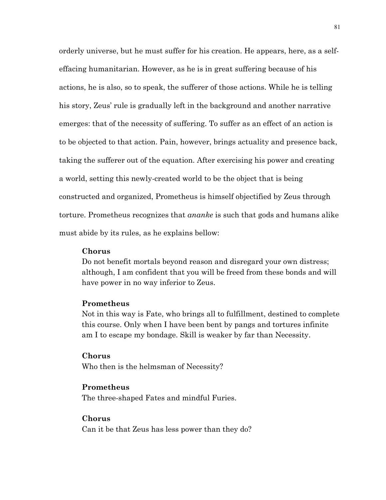orderly universe, but he must suffer for his creation. He appears, here, as a selfeffacing humanitarian. However, as he is in great suffering because of his actions, he is also, so to speak, the sufferer of those actions. While he is telling his story, Zeus' rule is gradually left in the background and another narrative emerges: that of the necessity of suffering. To suffer as an effect of an action is to be objected to that action. Pain, however, brings actuality and presence back, taking the sufferer out of the equation. After exercising his power and creating a world, setting this newly-created world to be the object that is being constructed and organized, Prometheus is himself objectified by Zeus through torture. Prometheus recognizes that *ananke* is such that gods and humans alike must abide by its rules, as he explains bellow:

## **Chorus**

Do not benefit mortals beyond reason and disregard your own distress; although, I am confident that you will be freed from these bonds and will have power in no way inferior to Zeus.

### **Prometheus**

Not in this way is Fate, who brings all to fulfillment, destined to complete this course. Only when I have been bent by pangs and tortures infinite am I to escape my bondage. Skill is weaker by far than Necessity.

#### **Chorus**

Who then is the helmsman of Necessity?

## **Prometheus**

The three-shaped Fates and mindful Furies.

## **Chorus**

Can it be that Zeus has less power than they do?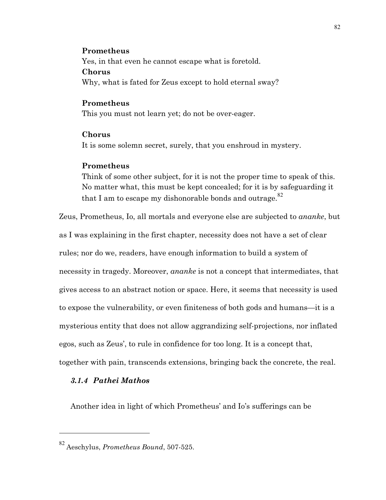### **Prometheus**

Yes, in that even he cannot escape what is foretold. **Chorus** Why, what is fated for Zeus except to hold eternal sway?

## **Prometheus**

This you must not learn yet; do not be over-eager.

## **Chorus**

It is some solemn secret, surely, that you enshroud in mystery.

## **Prometheus**

Think of some other subject, for it is not the proper time to speak of this. No matter what, this must be kept concealed; for it is by safeguarding it that I am to escape my dishonorable bonds and outrage. $82$ 

Zeus, Prometheus, Io, all mortals and everyone else are subjected to *ananke*, but as I was explaining in the first chapter, necessity does not have a set of clear rules; nor do we, readers, have enough information to build a system of necessity in tragedy. Moreover, *ananke* is not a concept that intermediates, that gives access to an abstract notion or space. Here, it seems that necessity is used to expose the vulnerability, or even finiteness of both gods and humans—it is a mysterious entity that does not allow aggrandizing self-projections, nor inflated egos, such as Zeus', to rule in confidence for too long. It is a concept that, together with pain, transcends extensions, bringing back the concrete, the real.

## *3.1.4 Pathei Mathos*

 $\overline{a}$ 

Another idea in light of which Prometheus' and Io's sufferings can be

<sup>82</sup> Aeschylus, *Prometheus Bound*, 507-525.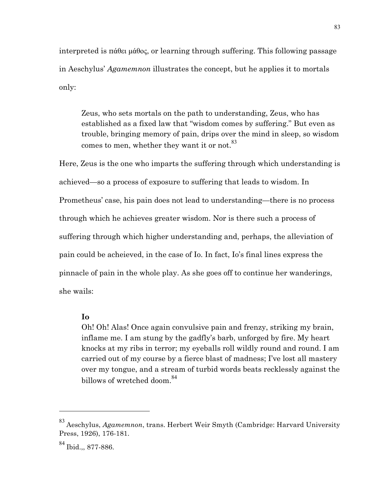interpreted is πάθει µάθος, or learning through suffering. This following passage in Aeschylus' *Agamemnon* illustrates the concept, but he applies it to mortals only:

Zeus, who sets mortals on the path to understanding, Zeus, who has established as a fixed law that "wisdom comes by suffering." But even as trouble, bringing memory of pain, drips over the mind in sleep, so wisdom comes to men, whether they want it or not.<sup>83</sup>

Here, Zeus is the one who imparts the suffering through which understanding is achieved—so a process of exposure to suffering that leads to wisdom. In Prometheus' case, his pain does not lead to understanding—there is no process through which he achieves greater wisdom. Nor is there such a process of suffering through which higher understanding and, perhaps, the alleviation of pain could be acheieved, in the case of Io. In fact, Io's final lines express the pinnacle of pain in the whole play. As she goes off to continue her wanderings, she wails:

## **Io**

Oh! Oh! Alas! Once again convulsive pain and frenzy, striking my brain, inflame me. I am stung by the gadfly's barb, unforged by fire. My heart knocks at my ribs in terror; my eyeballs roll wildly round and round. I am carried out of my course by a fierce blast of madness; I've lost all mastery over my tongue, and a stream of turbid words beats recklessly against the billows of wretched doom.<sup>84</sup>

<sup>83</sup> Aeschylus, *Agamemnon*, trans. Herbert Weir Smyth (Cambridge: Harvard University Press, 1926), 176-181.

<sup>84</sup> Ibid.,, 877-886.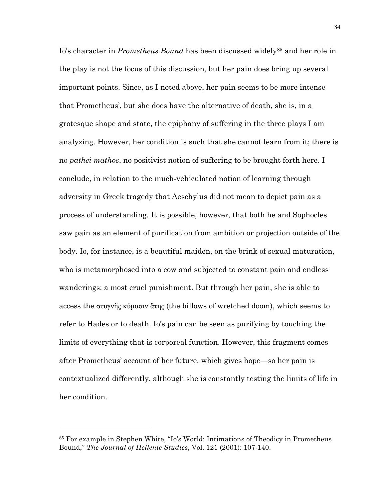Io's character in *Prometheus Bound* has been discussed widely<sup>85</sup> and her role in the play is not the focus of this discussion, but her pain does bring up several important points. Since, as I noted above, her pain seems to be more intense that Prometheus', but she does have the alternative of death, she is, in a grotesque shape and state, the epiphany of suffering in the three plays I am analyzing. However, her condition is such that she cannot learn from it; there is no *pathei mathos*, no positivist notion of suffering to be brought forth here. I conclude, in relation to the much-vehiculated notion of learning through adversity in Greek tragedy that Aeschylus did not mean to depict pain as a process of understanding. It is possible, however, that both he and Sophocles saw pain as an element of purification from ambition or projection outside of the body. Io, for instance, is a beautiful maiden, on the brink of sexual maturation, who is metamorphosed into a cow and subjected to constant pain and endless wanderings: a most cruel punishment. But through her pain, she is able to access the στυγνῆς κύµασιν ἄτης (the billows of wretched doom), which seems to refer to Hades or to death. Io's pain can be seen as purifying by touching the limits of everything that is corporeal function. However, this fragment comes after Prometheus' account of her future, which gives hope—so her pain is contextualized differently, although she is constantly testing the limits of life in her condition.

<sup>85</sup> For example in Stephen White, "Io's World: Intimations of Theodicy in Prometheus Bound," *The Journal of Hellenic Studies*, Vol. 121 (2001): 107-140.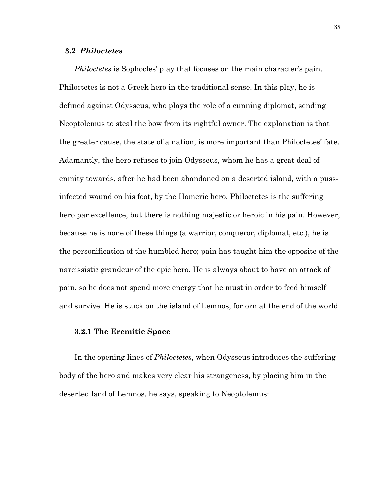## **3.2** *Philoctetes*

*Philoctetes* is Sophocles' play that focuses on the main character's pain. Philoctetes is not a Greek hero in the traditional sense. In this play, he is defined against Odysseus, who plays the role of a cunning diplomat, sending Neoptolemus to steal the bow from its rightful owner. The explanation is that the greater cause, the state of a nation, is more important than Philoctetes' fate. Adamantly, the hero refuses to join Odysseus, whom he has a great deal of enmity towards, after he had been abandoned on a deserted island, with a pussinfected wound on his foot, by the Homeric hero. Philoctetes is the suffering hero par excellence, but there is nothing majestic or heroic in his pain. However, because he is none of these things (a warrior, conqueror, diplomat, etc.), he is the personification of the humbled hero; pain has taught him the opposite of the narcissistic grandeur of the epic hero. He is always about to have an attack of pain, so he does not spend more energy that he must in order to feed himself and survive. He is stuck on the island of Lemnos, forlorn at the end of the world.

## **3.2.1 The Eremitic Space**

In the opening lines of *Philoctetes*, when Odysseus introduces the suffering body of the hero and makes very clear his strangeness, by placing him in the deserted land of Lemnos, he says, speaking to Neoptolemus: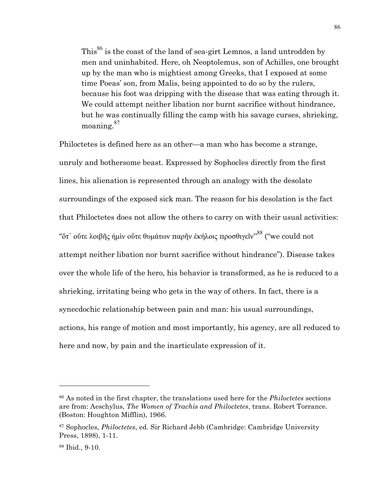This<sup>86</sup> is the coast of the land of sea-girt Lemnos, a land untrodden by men and uninhabited. Here, oh Neoptolemus, son of Achilles, one brought up by the man who is mightiest among Greeks, that I exposed at some time Poeas' son, from Malis, being appointed to do so by the rulers, because his foot was dripping with the disease that was eating through it. We could attempt neither libation nor burnt sacrifice without hindrance, but he was continually filling the camp with his savage curses, shrieking, moaning.<sup>87</sup>

Philoctetes is defined here as an other—a man who has become a strange, unruly and bothersome beast. Expressed by Sophocles directly from the first lines, his alienation is represented through an analogy with the desolate surroundings of the exposed sick man. The reason for his desolation is the fact that Philoctetes does not allow the others to carry on with their usual activities: "ὅτ᾽ οὔτε λοιβῆς ἡμὶν οὔτε θυμάτων παρῆν ἑκήλοις προσθιγεῖν''<sup>88</sup> ("we could not attempt neither libation nor burnt sacrifice without hindrance"). Disease takes over the whole life of the hero, his behavior is transformed, as he is reduced to a shrieking, irritating being who gets in the way of others. In fact, there is a synecdochic relationship between pain and man: his usual surroundings, actions, his range of motion and most importantly, his agency, are all reduced to here and now, by pain and the inarticulate expression of it.

<sup>86</sup> As noted in the first chapter, the translations used here for the *Philoctetes* sections are from: Aeschylus, *The Women of Trachis and Philoctetes*, trans. Robert Torrance. (Boston: Houghton Mifflin), 1966.

<sup>87</sup> Sophocles*, Philoctetes*, ed. Sir Richard Jebb (Cambridge: Cambridge University Press, 1898), 1-11.

<sup>88</sup> Ibid., 9-10.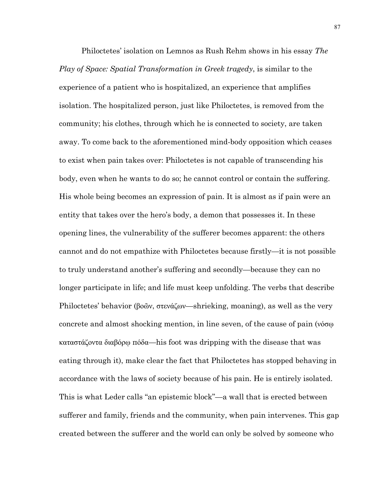Philoctetes' isolation on Lemnos as Rush Rehm shows in his essay *The Play of Space: Spatial Transformation in Greek tragedy*, is similar to the experience of a patient who is hospitalized, an experience that amplifies isolation. The hospitalized person, just like Philoctetes, is removed from the community; his clothes, through which he is connected to society, are taken away. To come back to the aforementioned mind-body opposition which ceases to exist when pain takes over: Philoctetes is not capable of transcending his body, even when he wants to do so; he cannot control or contain the suffering. His whole being becomes an expression of pain. It is almost as if pain were an entity that takes over the hero's body, a demon that possesses it. In these opening lines, the vulnerability of the sufferer becomes apparent: the others cannot and do not empathize with Philoctetes because firstly—it is not possible to truly understand another's suffering and secondly—because they can no longer participate in life; and life must keep unfolding. The verbs that describe Philoctetes' behavior (βοῶν, στενάζων—shrieking, moaning), as well as the very concrete and almost shocking mention, in line seven, of the cause of pain (νόσῳ καταστάζοντα διαβόρῳ πόδα—his foot was dripping with the disease that was eating through it), make clear the fact that Philoctetes has stopped behaving in accordance with the laws of society because of his pain. He is entirely isolated. This is what Leder calls "an epistemic block"—a wall that is erected between sufferer and family, friends and the community, when pain intervenes. This gap created between the sufferer and the world can only be solved by someone who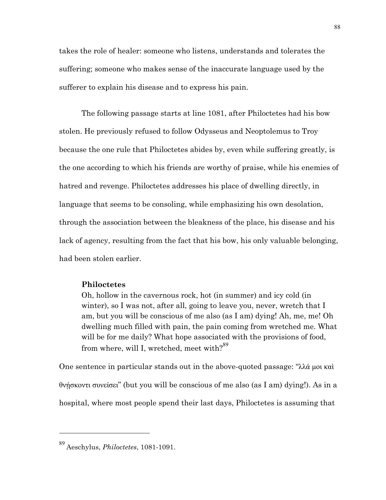takes the role of healer: someone who listens, understands and tolerates the suffering; someone who makes sense of the inaccurate language used by the sufferer to explain his disease and to express his pain.

The following passage starts at line 1081, after Philoctetes had his bow stolen. He previously refused to follow Odysseus and Neoptolemus to Troy because the one rule that Philoctetes abides by, even while suffering greatly, is the one according to which his friends are worthy of praise, while his enemies of hatred and revenge. Philoctetes addresses his place of dwelling directly, in language that seems to be consoling, while emphasizing his own desolation, through the association between the bleakness of the place, his disease and his lack of agency, resulting from the fact that his bow, his only valuable belonging, had been stolen earlier.

# **Philoctetes**

Oh, hollow in the cavernous rock, hot (in summer) and icy cold (in winter), so I was not, after all, going to leave you, never, wretch that I am, but you will be conscious of me also (as I am) dying! Ah, me, me! Oh dwelling much filled with pain, the pain coming from wretched me. What will be for me daily? What hope associated with the provisions of food, from where, will I, wretched, meet with? $89$ 

One sentence in particular stands out in the above-quoted passage: "λλά µοι καὶ θνήσκοντι συνείσει" (but you will be conscious of me also (as I am) dying!). As in a hospital, where most people spend their last days, Philoctetes is assuming that

<sup>89</sup> Aeschylus, *Philoctetes*, 1081-1091.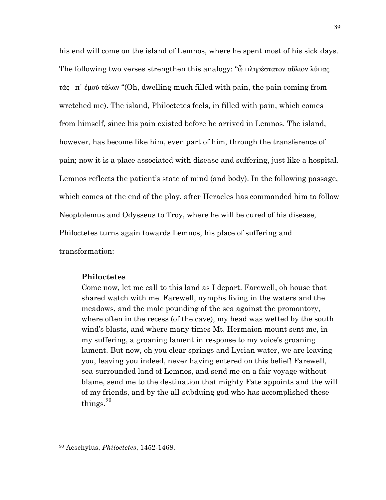his end will come on the island of Lemnos, where he spent most of his sick days. The following two verses strengthen this analogy: "ὦ πληρέστατον αὔλιον λύπας τᾶς π᾽ ἐµοῦ τάλαν "(Oh, dwelling much filled with pain, the pain coming from wretched me). The island, Philoctetes feels, in filled with pain, which comes from himself, since his pain existed before he arrived in Lemnos. The island, however, has become like him, even part of him, through the transference of pain; now it is a place associated with disease and suffering, just like a hospital. Lemnos reflects the patient's state of mind (and body). In the following passage, which comes at the end of the play, after Heracles has commanded him to follow Neoptolemus and Odysseus to Troy, where he will be cured of his disease, Philoctetes turns again towards Lemnos, his place of suffering and transformation:

## **Philoctetes**

Come now, let me call to this land as I depart. Farewell, oh house that shared watch with me. Farewell, nymphs living in the waters and the meadows, and the male pounding of the sea against the promontory, where often in the recess (of the cave), my head was wetted by the south wind's blasts, and where many times Mt. Hermaion mount sent me, in my suffering, a groaning lament in response to my voice's groaning lament. But now, oh you clear springs and Lycian water, we are leaving you, leaving you indeed, never having entered on this belief! Farewell, sea-surrounded land of Lemnos, and send me on a fair voyage without blame, send me to the destination that mighty Fate appoints and the will of my friends, and by the all-subduing god who has accomplished these things.<sup>90</sup>

<sup>90</sup> Aeschylus, *Philoctetes*, 1452-1468.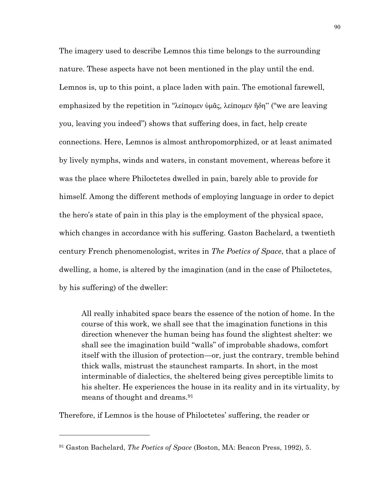The imagery used to describe Lemnos this time belongs to the surrounding nature. These aspects have not been mentioned in the play until the end. Lemnos is, up to this point, a place laden with pain. The emotional farewell, emphasized by the repetition in "λείποµεν ὑµᾶς, λείποµεν ἤδη" ("we are leaving you, leaving you indeed") shows that suffering does, in fact, help create connections. Here, Lemnos is almost anthropomorphized, or at least animated by lively nymphs, winds and waters, in constant movement, whereas before it was the place where Philoctetes dwelled in pain, barely able to provide for himself. Among the different methods of employing language in order to depict the hero's state of pain in this play is the employment of the physical space, which changes in accordance with his suffering. Gaston Bachelard, a twentieth century French phenomenologist, writes in *The Poetics of Space*, that a place of dwelling, a home, is altered by the imagination (and in the case of Philoctetes, by his suffering) of the dweller:

All really inhabited space bears the essence of the notion of home. In the course of this work, we shall see that the imagination functions in this direction whenever the human being has found the slightest shelter: we shall see the imagination build "walls" of improbable shadows, comfort itself with the illusion of protection—or, just the contrary, tremble behind thick walls, mistrust the staunchest ramparts. In short, in the most interminable of dialectics, the sheltered being gives perceptible limits to his shelter. He experiences the house in its reality and in its virtuality, by means of thought and dreams.91

Therefore, if Lemnos is the house of Philoctetes' suffering, the reader or

<sup>91</sup> Gaston Bachelard, *The Poetics of Space* (Boston, MA: Beacon Press, 1992), 5.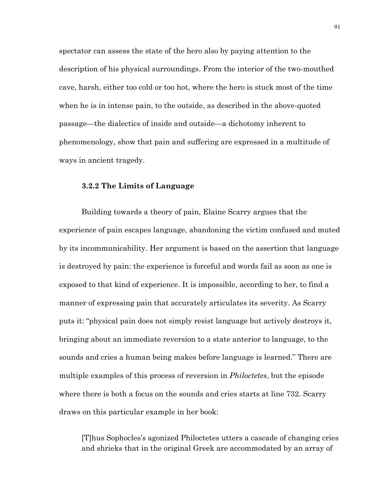spectator can assess the state of the hero also by paying attention to the description of his physical surroundings. From the interior of the two-mouthed cave, harsh, either too cold or too hot, where the hero is stuck most of the time when he is in intense pain, to the outside, as described in the above-quoted passage—the dialectics of inside and outside—a dichotomy inherent to phenomenology, show that pain and suffering are expressed in a multitude of ways in ancient tragedy.

## **3.2.2 The Limits of Language**

Building towards a theory of pain, Elaine Scarry argues that the experience of pain escapes language, abandoning the victim confused and muted by its incommunicability. Her argument is based on the assertion that language is destroyed by pain: the experience is forceful and words fail as soon as one is exposed to that kind of experience. It is impossible, according to her, to find a manner of expressing pain that accurately articulates its severity. As Scarry puts it: "physical pain does not simply resist language but actively destroys it, bringing about an immediate reversion to a state anterior to language, to the sounds and cries a human being makes before language is learned." There are multiple examples of this process of reversion in *Philoctetes*, but the episode where there is both a focus on the sounds and cries starts at line 732. Scarry draws on this particular example in her book:

[T]hus Sophocles's agonized Philoctetes utters a cascade of changing cries and shrieks that in the original Greek are accommodated by an array of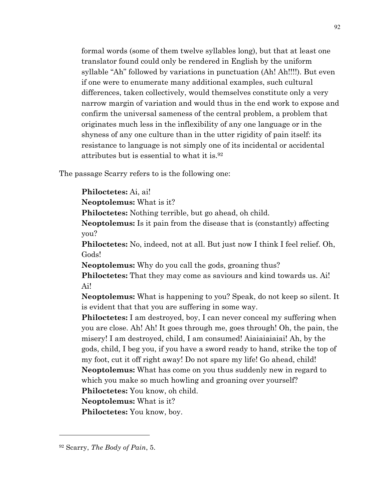formal words (some of them twelve syllables long), but that at least one translator found could only be rendered in English by the uniform syllable "Ah" followed by variations in punctuation (Ah! Ah!!!!). But even if one were to enumerate many additional examples, such cultural differences, taken collectively, would themselves constitute only a very narrow margin of variation and would thus in the end work to expose and confirm the universal sameness of the central problem, a problem that originates much less in the inflexibility of any one language or in the shyness of any one culture than in the utter rigidity of pain itself: its resistance to language is not simply one of its incidental or accidental attributes but is essential to what it is.92

The passage Scarry refers to is the following one:

**Philoctetes:** Ai, ai!

**Neoptolemus:** What is it?

**Philoctetes:** Nothing terrible, but go ahead, oh child.

**Neoptolemus:** Is it pain from the disease that is (constantly) affecting you?

**Philoctetes:** No, indeed, not at all. But just now I think I feel relief. Oh, Gods!

**Neoptolemus:** Why do you call the gods, groaning thus?

**Philoctetes:** That they may come as saviours and kind towards us. Ai! Ai!

**Neoptolemus:** What is happening to you? Speak, do not keep so silent. It is evident that that you are suffering in some way.

**Philoctetes:** I am destroyed, boy, I can never conceal my suffering when you are close. Ah! Ah! It goes through me, goes through! Oh, the pain, the misery! I am destroyed, child, I am consumed! Aiaiaiaiaiai! Ah, by the gods, child, I beg you, if you have a sword ready to hand, strike the top of my foot, cut it off right away! Do not spare my life! Go ahead, child! **Neoptolemus:** What has come on you thus suddenly new in regard to which you make so much howling and groaning over yourself? **Philoctetes:** You know, oh child.

**Neoptolemus:** What is it?

**Philoctetes:** You know, boy.

<sup>92</sup> Scarry, *The Body of Pain*, 5.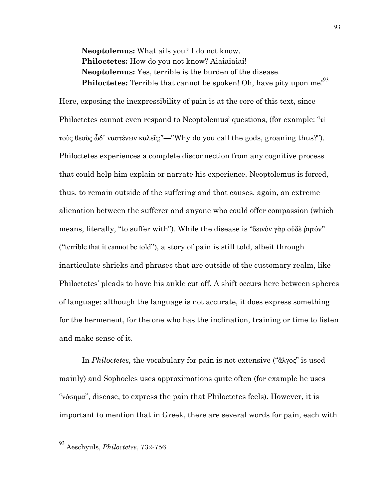**Neoptolemus:** What ails you? I do not know. **Philoctetes:** How do you not know? Aiaiaiaiai! **Neoptolemus:** Yes, terrible is the burden of the disease. **Philoctetes:** Terrible that cannot be spoken! Oh, have pity upon me!<sup>93</sup>

Here, exposing the inexpressibility of pain is at the core of this text, since Philoctetes cannot even respond to Neoptolemus' questions, (for example: "τί τοὺς θεοὺς ὧδ᾽ ναστένων καλεῖς;"—"Why do you call the gods, groaning thus?"). Philoctetes experiences a complete disconnection from any cognitive process that could help him explain or narrate his experience. Neoptolemus is forced, thus, to remain outside of the suffering and that causes, again, an extreme alienation between the sufferer and anyone who could offer compassion (which means, literally, "to suffer with"). While the disease is "δεινὸν γὰρ οὐδὲ ῥητόν" ("terrible that it cannot be told"), a story of pain is still told, albeit through inarticulate shrieks and phrases that are outside of the customary realm, like Philoctetes' pleads to have his ankle cut off. A shift occurs here between spheres of language: although the language is not accurate, it does express something for the hermeneut, for the one who has the inclination, training or time to listen and make sense of it.

In *Philoctetes,* the vocabulary for pain is not extensive ("ἄλγος" is used mainly) and Sophocles uses approximations quite often (for example he uses "νόσηµα", disease, to express the pain that Philoctetes feels). However, it is important to mention that in Greek, there are several words for pain, each with

<sup>93</sup> Aeschyuls, *Philoctetes*, 732-756.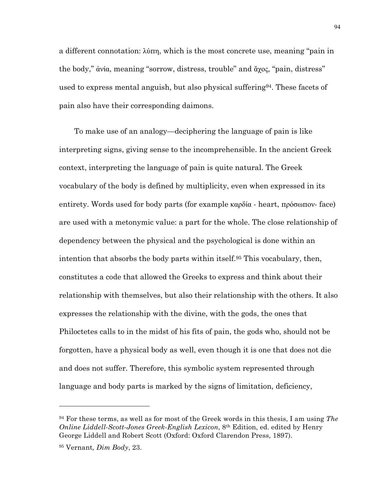a different connotation: λύπη, which is the most concrete use, meaning "pain in the body," ἀνία, meaning "sorrow, distress, trouble" and ἄχος, "pain, distress" used to express mental anguish, but also physical suffering94. These facets of pain also have their corresponding daimons.

To make use of an analogy—deciphering the language of pain is like interpreting signs, giving sense to the incomprehensible. In the ancient Greek context, interpreting the language of pain is quite natural. The Greek vocabulary of the body is defined by multiplicity, even when expressed in its entirety. Words used for body parts (for example καρδία - heart, πρόσωπον- face) are used with a metonymic value: a part for the whole. The close relationship of dependency between the physical and the psychological is done within an intention that absorbs the body parts within itself.95 This vocabulary, then, constitutes a code that allowed the Greeks to express and think about their relationship with themselves, but also their relationship with the others. It also expresses the relationship with the divine, with the gods, the ones that Philoctetes calls to in the midst of his fits of pain, the gods who, should not be forgotten, have a physical body as well, even though it is one that does not die and does not suffer. Therefore, this symbolic system represented through language and body parts is marked by the signs of limitation, deficiency,

<sup>94</sup> For these terms, as well as for most of the Greek words in this thesis, I am using *The Online Liddell-Scott-Jones Greek-English Lexicon*, 8<sup>th</sup> Edition, ed. edited by Henry George Liddell and Robert Scott (Oxford: Oxford Clarendon Press, 1897).

<sup>95</sup> Vernant*, Dim Body*, 23.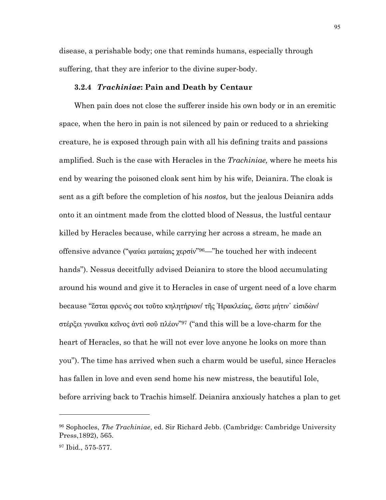disease, a perishable body; one that reminds humans, especially through suffering, that they are inferior to the divine super-body.

## **3.2.4** *Trachiniae***: Pain and Death by Centaur**

When pain does not close the sufferer inside his own body or in an eremitic space, when the hero in pain is not silenced by pain or reduced to a shrieking creature, he is exposed through pain with all his defining traits and passions amplified. Such is the case with Heracles in the *Trachiniae,* where he meets his end by wearing the poisoned cloak sent him by his wife, Deianira. The cloak is sent as a gift before the completion of his *nostos,* but the jealous Deianira adds onto it an ointment made from the clotted blood of Nessus, the lustful centaur killed by Heracles because, while carrying her across a stream, he made an offensive advance ("ψαύει µαταίαις χερσίν"96—"he touched her with indecent hands"). Nessus deceitfully advised Deianira to store the blood accumulating around his wound and give it to Heracles in case of urgent need of a love charm because "ἔσται φρενός σοι τοῦτο κηλητήριον/ τῆς Ἡρακλείας, ὥστε µήτιν᾽ εἰσιδὼν/ στέρξει γυναῖκα κεῖνος ἀντὶ σοῦ πλέον"97 ("and this will be a love-charm for the heart of Heracles, so that he will not ever love anyone he looks on more than you"). The time has arrived when such a charm would be useful, since Heracles has fallen in love and even send home his new mistress, the beautiful Iole, before arriving back to Trachis himself. Deianira anxiously hatches a plan to get

<sup>96</sup> Sophocles, *The Trachiniae*, ed. Sir Richard Jebb. (Cambridge: Cambridge University Press,1892), 565.

<sup>97</sup> Ibid., 575-577.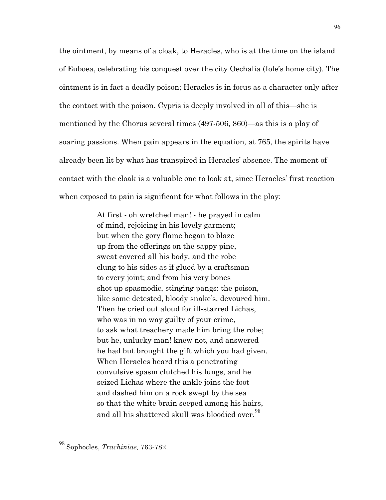the ointment, by means of a cloak, to Heracles, who is at the time on the island of Euboea, celebrating his conquest over the city Oechalia (Iole's home city). The ointment is in fact a deadly poison; Heracles is in focus as a character only after the contact with the poison. Cypris is deeply involved in all of this—she is mentioned by the Chorus several times (497-506, 860)—as this is a play of soaring passions. When pain appears in the equation, at 765, the spirits have already been lit by what has transpired in Heracles' absence. The moment of contact with the cloak is a valuable one to look at, since Heracles' first reaction when exposed to pain is significant for what follows in the play:

> At first - oh wretched man! - he prayed in calm of mind, rejoicing in his lovely garment; but when the gory flame began to blaze up from the offerings on the sappy pine, sweat covered all his body, and the robe clung to his sides as if glued by a craftsman to every joint; and from his very bones shot up spasmodic, stinging pangs: the poison, like some detested, bloody snake's, devoured him. Then he cried out aloud for ill-starred Lichas, who was in no way guilty of your crime, to ask what treachery made him bring the robe; but he, unlucky man! knew not, and answered he had but brought the gift which you had given. When Heracles heard this a penetrating convulsive spasm clutched his lungs, and he seized Lichas where the ankle joins the foot and dashed him on a rock swept by the sea so that the white brain seeped among his hairs, and all his shattered skull was bloodied over.<sup>98</sup>

<sup>98</sup> Sophocles, *Trachiniae,* 763-782.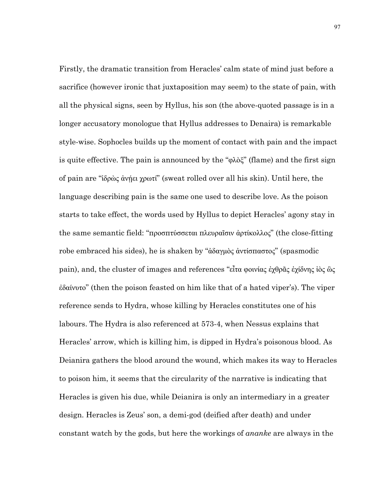Firstly, the dramatic transition from Heracles' calm state of mind just before a sacrifice (however ironic that juxtaposition may seem) to the state of pain, with all the physical signs, seen by Hyllus, his son (the above-quoted passage is in a longer accusatory monologue that Hyllus addresses to Denaira) is remarkable style-wise. Sophocles builds up the moment of contact with pain and the impact is quite effective. The pain is announced by the "φλὸξ" (flame) and the first sign of pain are "ἱδρὼς ἀνῄει χρωτί" (sweat rolled over all his skin). Until here, the language describing pain is the same one used to describe love. As the poison starts to take effect, the words used by Hyllus to depict Heracles' agony stay in the same semantic field: "προσπτύσσεται πλευραῖσιν ἀρτίκολλος" (the close-fitting robe embraced his sides), he is shaken by "ἀδαγµὸς ἀντίσπαστος" (spasmodic pain), and, the cluster of images and references "εἶτα φοινίας ἐχθρᾶς ἐχίδνης ἰὸς ὣς ἐδαίνυτο" (then the poison feasted on him like that of a hated viper's). The viper reference sends to Hydra, whose killing by Heracles constitutes one of his labours. The Hydra is also referenced at 573-4, when Nessus explains that Heracles' arrow, which is killing him, is dipped in Hydra's poisonous blood. As Deianira gathers the blood around the wound, which makes its way to Heracles to poison him, it seems that the circularity of the narrative is indicating that Heracles is given his due, while Deianira is only an intermediary in a greater design. Heracles is Zeus' son, a demi-god (deified after death) and under constant watch by the gods, but here the workings of *ananke* are always in the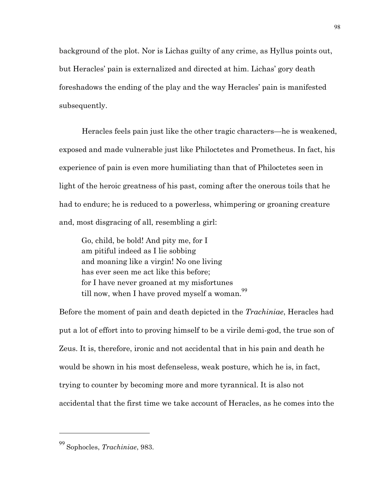background of the plot. Nor is Lichas guilty of any crime, as Hyllus points out, but Heracles' pain is externalized and directed at him. Lichas' gory death foreshadows the ending of the play and the way Heracles' pain is manifested subsequently.

Heracles feels pain just like the other tragic characters—he is weakened, exposed and made vulnerable just like Philoctetes and Prometheus. In fact, his experience of pain is even more humiliating than that of Philoctetes seen in light of the heroic greatness of his past, coming after the onerous toils that he had to endure; he is reduced to a powerless, whimpering or groaning creature and, most disgracing of all, resembling a girl:

Go, child, be bold! And pity me, for I am pitiful indeed as I lie sobbing and moaning like a virgin! No one living has ever seen me act like this before; for I have never groaned at my misfortunes till now, when I have proved myself a woman.<sup>99</sup>

Before the moment of pain and death depicted in the *Trachiniae*, Heracles had put a lot of effort into to proving himself to be a virile demi-god, the true son of Zeus. It is, therefore, ironic and not accidental that in his pain and death he would be shown in his most defenseless, weak posture, which he is, in fact, trying to counter by becoming more and more tyrannical. It is also not accidental that the first time we take account of Heracles, as he comes into the

<sup>99</sup> Sophocles, *Trachiniae*, 983.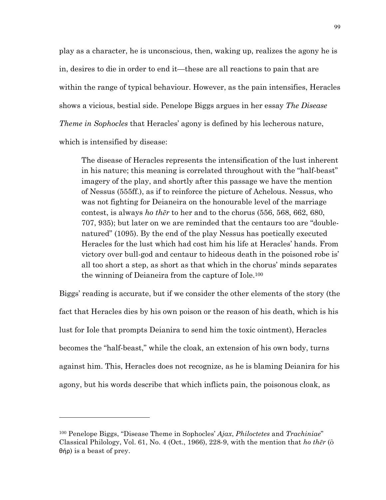play as a character, he is unconscious, then, waking up, realizes the agony he is in, desires to die in order to end it—these are all reactions to pain that are within the range of typical behaviour. However, as the pain intensifies, Heracles shows a vicious, bestial side. Penelope Biggs argues in her essay *The Disease Theme in Sophocles* that Heracles' agony is defined by his lecherous nature, which is intensified by disease:

The disease of Heracles represents the intensification of the lust inherent in his nature; this meaning is correlated throughout with the "half-beast" imagery of the play, and shortly after this passage we have the mention of Nessus (555ff.), as if to reinforce the picture of Achelous. Nessus, who was not fighting for Deianeira on the honourable level of the marriage contest, is always *ho thēr* to her and to the chorus (556, 568, 662, 680, 707, 935); but later on we are reminded that the centaurs too are "doublenatured" (1095). By the end of the play Nessus has poetically executed Heracles for the lust which had cost him his life at Heracles' hands. From victory over bull-god and centaur to hideous death in the poisoned robe is' all too short a step, as short as that which in the chorus' minds separates the winning of Deianeira from the capture of Iole.100

Biggs' reading is accurate, but if we consider the other elements of the story (the fact that Heracles dies by his own poison or the reason of his death, which is his lust for Iole that prompts Deianira to send him the toxic ointment), Heracles becomes the "half-beast," while the cloak, an extension of his own body, turns against him. This, Heracles does not recognize, as he is blaming Deianira for his agony, but his words describe that which inflicts pain, the poisonous cloak, as

<sup>100</sup> Penelope Biggs, "Disease Theme in Sophocles' *Ajax*, *Philoctetes* and *Trachiniae*" Classical Philology, Vol. 61, No. 4 (Oct., 1966), 228-9, with the mention that *ho thēr* (ὃ θήρ) is a beast of prey.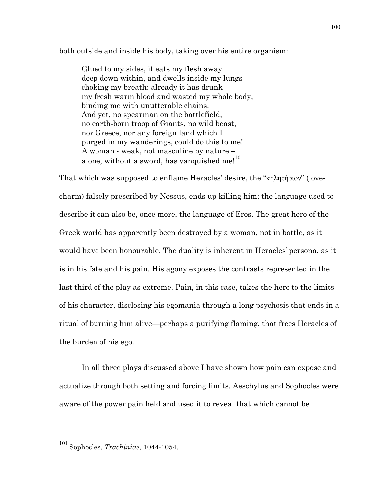both outside and inside his body, taking over his entire organism:

Glued to my sides, it eats my flesh away deep down within, and dwells inside my lungs choking my breath: already it has drunk my fresh warm blood and wasted my whole body, binding me with unutterable chains. And yet, no spearman on the battlefield, no earth-born troop of Giants, no wild beast, nor Greece, nor any foreign land which I purged in my wanderings, could do this to me! A woman - weak, not masculine by nature – alone, without a sword, has vanquished me!<sup>101</sup>

That which was supposed to enflame Heracles' desire, the "κηλητήριον" (lovecharm) falsely prescribed by Nessus, ends up killing him; the language used to describe it can also be, once more, the language of Eros. The great hero of the Greek world has apparently been destroyed by a woman, not in battle, as it would have been honourable. The duality is inherent in Heracles' persona, as it is in his fate and his pain. His agony exposes the contrasts represented in the last third of the play as extreme. Pain, in this case, takes the hero to the limits of his character, disclosing his egomania through a long psychosis that ends in a ritual of burning him alive—perhaps a purifying flaming, that frees Heracles of the burden of his ego.

In all three plays discussed above I have shown how pain can expose and actualize through both setting and forcing limits. Aeschylus and Sophocles were aware of the power pain held and used it to reveal that which cannot be

<sup>101</sup> Sophocles, *Trachiniae*, 1044-1054.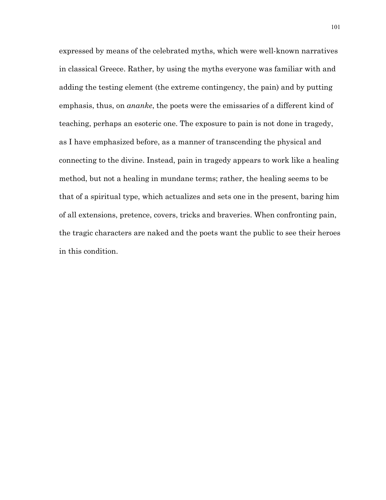expressed by means of the celebrated myths, which were well-known narratives in classical Greece. Rather, by using the myths everyone was familiar with and adding the testing element (the extreme contingency, the pain) and by putting emphasis, thus, on *ananke*, the poets were the emissaries of a different kind of teaching, perhaps an esoteric one. The exposure to pain is not done in tragedy, as I have emphasized before, as a manner of transcending the physical and connecting to the divine. Instead, pain in tragedy appears to work like a healing method, but not a healing in mundane terms; rather, the healing seems to be that of a spiritual type, which actualizes and sets one in the present, baring him of all extensions, pretence, covers, tricks and braveries. When confronting pain, the tragic characters are naked and the poets want the public to see their heroes in this condition.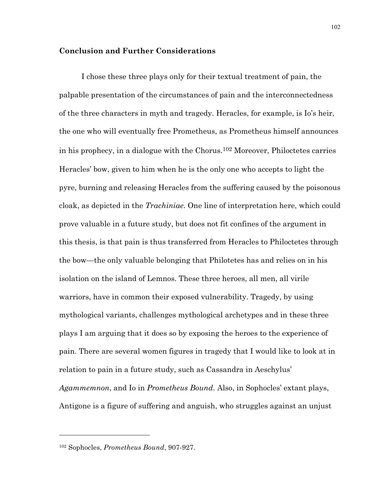## **Conclusion and Further Considerations**

I chose these three plays only for their textual treatment of pain, the palpable presentation of the circumstances of pain and the interconnectedness of the three characters in myth and tragedy. Heracles, for example, is Io's heir, the one who will eventually free Prometheus, as Prometheus himself announces in his prophecy, in a dialogue with the Chorus.<sup>102</sup> Moreover, Philoctetes carries Heracles' bow, given to him when he is the only one who accepts to light the pyre, burning and releasing Heracles from the suffering caused by the poisonous cloak, as depicted in the *Trachiniae*. One line of interpretation here, which could prove valuable in a future study, but does not fit confines of the argument in this thesis, is that pain is thus transferred from Heracles to Philoctetes through the bow—the only valuable belonging that Philotetes has and relies on in his isolation on the island of Lemnos. These three heroes, all men, all virile warriors, have in common their exposed vulnerability. Tragedy, by using mythological variants, challenges mythological archetypes and in these three plays I am arguing that it does so by exposing the heroes to the experience of pain. There are several women figures in tragedy that I would like to look at in relation to pain in a future study, such as Cassandra in Aeschylus' *Agammemnon*, and Io in *Prometheus Bound*. Also, in Sophocles' extant plays, Antigone is a figure of suffering and anguish, who struggles against an unjust

<sup>102</sup> Sophocles, *Prometheus Bound*, 907-927.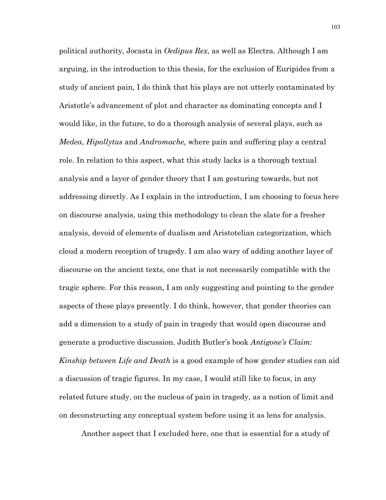political authority, Jocasta in *Oedipus Rex*, as well as Electra. Although I am arguing, in the introduction to this thesis, for the exclusion of Euripides from a study of ancient pain, I do think that his plays are not utterly contaminated by Aristotle's advancement of plot and character as dominating concepts and I would like, in the future, to do a thorough analysis of several plays, such as *Medea*, *Hipollytus* and *Andromache,* where pain and suffering play a central role. In relation to this aspect, what this study lacks is a thorough textual analysis and a layer of gender theory that I am gesturing towards, but not addressing directly. As I explain in the introduction, I am choosing to focus here on discourse analysis, using this methodology to clean the slate for a fresher analysis, devoid of elements of dualism and Aristotelian categorization, which cloud a modern reception of tragedy. I am also wary of adding another layer of discourse on the ancient texts, one that is not necessarily compatible with the tragic sphere. For this reason, I am only suggesting and pointing to the gender aspects of these plays presently. I do think, however, that gender theories can add a dimension to a study of pain in tragedy that would open discourse and generate a productive discussion. Judith Butler's book *Antigone's Claim: Kinship between Life and Death* is a good example of how gender studies can aid a discussion of tragic figures. In my case, I would still like to focus, in any related future study, on the nucleus of pain in tragedy, as a notion of limit and on deconstructing any conceptual system before using it as lens for analysis.

Another aspect that I excluded here, one that is essential for a study of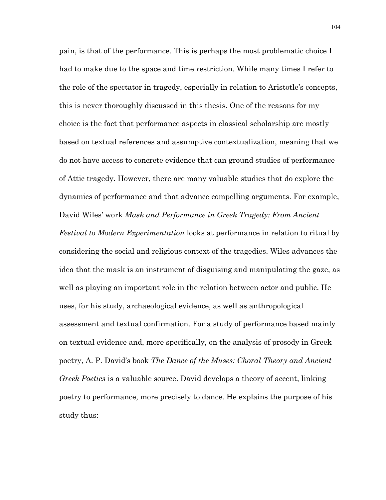pain, is that of the performance. This is perhaps the most problematic choice I had to make due to the space and time restriction. While many times I refer to the role of the spectator in tragedy, especially in relation to Aristotle's concepts, this is never thoroughly discussed in this thesis. One of the reasons for my choice is the fact that performance aspects in classical scholarship are mostly based on textual references and assumptive contextualization, meaning that we do not have access to concrete evidence that can ground studies of performance of Attic tragedy. However, there are many valuable studies that do explore the dynamics of performance and that advance compelling arguments. For example, David Wiles' work *Mask and Performance in Greek Tragedy: From Ancient Festival to Modern Experimentation* looks at performance in relation to ritual by considering the social and religious context of the tragedies. Wiles advances the idea that the mask is an instrument of disguising and manipulating the gaze, as well as playing an important role in the relation between actor and public. He uses, for his study, archaeological evidence, as well as anthropological assessment and textual confirmation. For a study of performance based mainly on textual evidence and, more specifically, on the analysis of prosody in Greek poetry, A. P. David's book *The Dance of the Muses: Choral Theory and Ancient Greek Poetics* is a valuable source. David develops a theory of accent, linking poetry to performance, more precisely to dance. He explains the purpose of his study thus: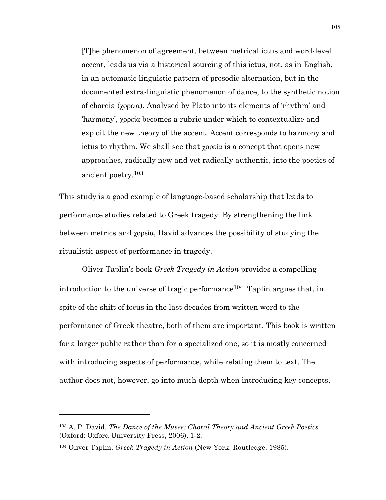[T]he phenomenon of agreement, between metrical ictus and word-level accent, leads us via a historical sourcing of this ictus, not, as in English, in an automatic linguistic pattern of prosodic alternation, but in the documented extra-linguistic phenomenon of dance, to the synthetic notion of choreia (χορεία). Analysed by Plato into its elements of 'rhythm' and 'harmony', χορεία becomes a rubric under which to contextualize and exploit the new theory of the accent. Accent corresponds to harmony and ictus to rhythm. We shall see that χορεία is a concept that opens new approaches, radically new and yet radically authentic, into the poetics of ancient poetry.103

This study is a good example of language-based scholarship that leads to performance studies related to Greek tragedy. By strengthening the link between metrics and χορεία, David advances the possibility of studying the ritualistic aspect of performance in tragedy.

Oliver Taplin's book *Greek Tragedy in Action* provides a compelling introduction to the universe of tragic performance<sup>104</sup>. Taplin argues that, in spite of the shift of focus in the last decades from written word to the performance of Greek theatre, both of them are important. This book is written for a larger public rather than for a specialized one, so it is mostly concerned with introducing aspects of performance, while relating them to text. The author does not, however, go into much depth when introducing key concepts,

<sup>103</sup> A. P. David, *The Dance of the Muses: Choral Theory and Ancient Greek Poetics*  (Oxford: Oxford University Press, 2006), 1-2.

<sup>104</sup> Oliver Taplin, *Greek Tragedy in Action* (New York: Routledge, 1985).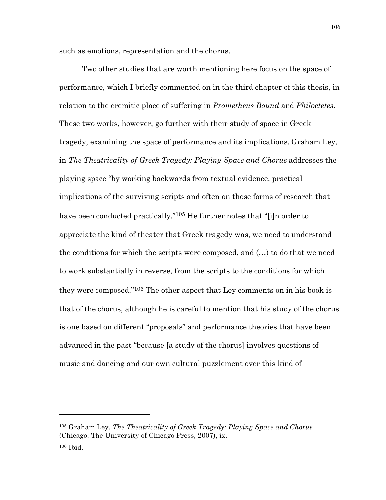such as emotions, representation and the chorus.

Two other studies that are worth mentioning here focus on the space of performance, which I briefly commented on in the third chapter of this thesis, in relation to the eremitic place of suffering in *Prometheus Bound* and *Philoctetes*. These two works, however, go further with their study of space in Greek tragedy, examining the space of performance and its implications. Graham Ley, in *The Theatricality of Greek Tragedy: Playing Space and Chorus* addresses the playing space "by working backwards from textual evidence, practical implications of the surviving scripts and often on those forms of research that have been conducted practically."<sup>105</sup> He further notes that "[i]n order to appreciate the kind of theater that Greek tragedy was, we need to understand the conditions for which the scripts were composed, and (…) to do that we need to work substantially in reverse, from the scripts to the conditions for which they were composed."106 The other aspect that Ley comments on in his book is that of the chorus, although he is careful to mention that his study of the chorus is one based on different "proposals" and performance theories that have been advanced in the past "because [a study of the chorus] involves questions of music and dancing and our own cultural puzzlement over this kind of

<sup>105</sup> Graham Ley, *The Theatricality of Greek Tragedy: Playing Space and Chorus*  (Chicago: The University of Chicago Press, 2007), ix.

<sup>106</sup> Ibid.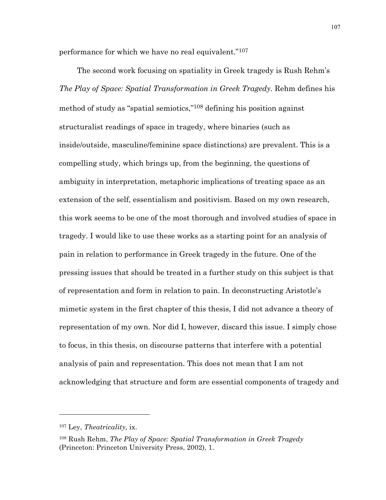performance for which we have no real equivalent."107

The second work focusing on spatiality in Greek tragedy is Rush Rehm's *The Play of Space: Spatial Transformation in Greek Tragedy.* Rehm defines his method of study as "spatial semiotics,"108 defining his position against structuralist readings of space in tragedy, where binaries (such as inside/outside, masculine/feminine space distinctions) are prevalent. This is a compelling study, which brings up, from the beginning, the questions of ambiguity in interpretation, metaphoric implications of treating space as an extension of the self, essentialism and positivism. Based on my own research, this work seems to be one of the most thorough and involved studies of space in tragedy. I would like to use these works as a starting point for an analysis of pain in relation to performance in Greek tragedy in the future. One of the pressing issues that should be treated in a further study on this subject is that of representation and form in relation to pain. In deconstructing Aristotle's mimetic system in the first chapter of this thesis, I did not advance a theory of representation of my own. Nor did I, however, discard this issue. I simply chose to focus, in this thesis, on discourse patterns that interfere with a potential analysis of pain and representation. This does not mean that I am not acknowledging that structure and form are essential components of tragedy and

<sup>107</sup> Ley, *Theatricality,* ix.

<sup>108</sup> Rush Rehm, *The Play of Space: Spatial Transformation in Greek Tragedy*  (Princeton: Princeton University Press, 2002), 1.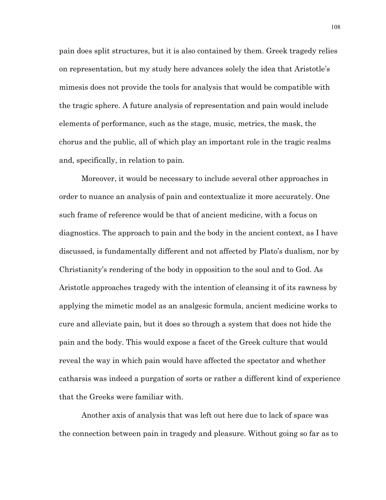pain does split structures, but it is also contained by them. Greek tragedy relies on representation, but my study here advances solely the idea that Aristotle's mimesis does not provide the tools for analysis that would be compatible with the tragic sphere. A future analysis of representation and pain would include elements of performance, such as the stage, music, metrics, the mask, the chorus and the public, all of which play an important role in the tragic realms and, specifically, in relation to pain.

Moreover, it would be necessary to include several other approaches in order to nuance an analysis of pain and contextualize it more accurately. One such frame of reference would be that of ancient medicine, with a focus on diagnostics. The approach to pain and the body in the ancient context, as I have discussed, is fundamentally different and not affected by Plato's dualism, nor by Christianity's rendering of the body in opposition to the soul and to God. As Aristotle approaches tragedy with the intention of cleansing it of its rawness by applying the mimetic model as an analgesic formula, ancient medicine works to cure and alleviate pain, but it does so through a system that does not hide the pain and the body. This would expose a facet of the Greek culture that would reveal the way in which pain would have affected the spectator and whether catharsis was indeed a purgation of sorts or rather a different kind of experience that the Greeks were familiar with.

Another axis of analysis that was left out here due to lack of space was the connection between pain in tragedy and pleasure. Without going so far as to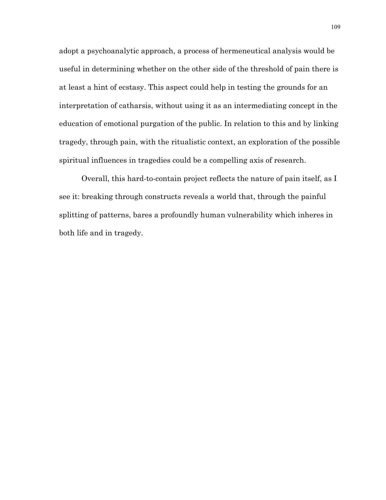adopt a psychoanalytic approach, a process of hermeneutical analysis would be useful in determining whether on the other side of the threshold of pain there is at least a hint of ecstasy. This aspect could help in testing the grounds for an interpretation of catharsis, without using it as an intermediating concept in the education of emotional purgation of the public. In relation to this and by linking tragedy, through pain, with the ritualistic context, an exploration of the possible spiritual influences in tragedies could be a compelling axis of research.

Overall, this hard-to-contain project reflects the nature of pain itself, as I see it: breaking through constructs reveals a world that, through the painful splitting of patterns, bares a profoundly human vulnerability which inheres in both life and in tragedy.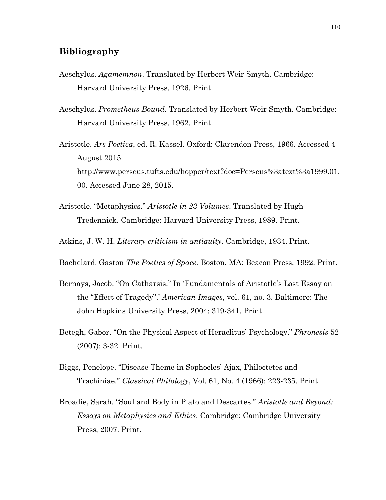## **Bibliography**

- Aeschylus. *Agamemnon*. Translated by Herbert Weir Smyth. Cambridge: Harvard University Press, 1926. Print.
- Aeschylus. *Prometheus Bound*. Translated by Herbert Weir Smyth. Cambridge: Harvard University Press, 1962. Print.
- Aristotle. *Ars Poetica*, ed. R. Kassel. Oxford: Clarendon Press, 1966. Accessed 4 August 2015. http://www.perseus.tufts.edu/hopper/text?doc=Perseus%3atext%3a1999.01. 00. Accessed June 28, 2015.
- Aristotle. "Metaphysics." *Aristotle in 23 Volumes*. Translated by Hugh Tredennick. Cambridge: Harvard University Press, 1989. Print.
- Atkins, J. W. H. *Literary criticism in antiquity*. Cambridge, 1934. Print.
- Bachelard, Gaston *The Poetics of Space.* Boston, MA: Beacon Press, 1992. Print.
- Bernays, Jacob. "On Catharsis." In 'Fundamentals of Aristotle's Lost Essay on the "Effect of Tragedy".' *American Images*, vol. 61, no. 3. Baltimore: The John Hopkins University Press, 2004: 319-341. Print.
- Betegh, Gabor. "On the Physical Aspect of Heraclitus' Psychology." *Phronesis* 52 (2007): 3-32. Print.
- Biggs, Penelope. "Disease Theme in Sophocles' Ajax, Philoctetes and Trachiniae." *Classical Philology*, Vol. 61, No. 4 (1966): 223-235. Print.
- Broadie, Sarah. "Soul and Body in Plato and Descartes." *Aristotle and Beyond: Essays on Metaphysics and Ethics*. Cambridge: Cambridge University Press, 2007. Print.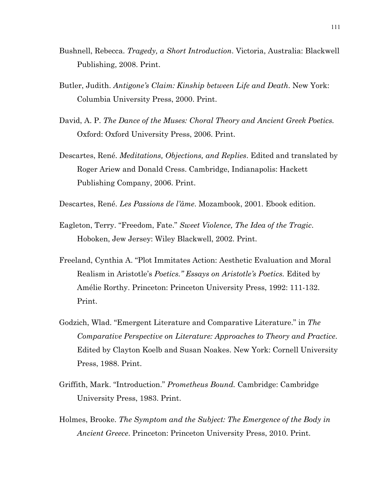- Bushnell, Rebecca. *Tragedy, a Short Introduction*. Victoria, Australia: Blackwell Publishing, 2008. Print.
- Butler, Judith. *Antigone's Claim: Kinship between Life and Death*. New York: Columbia University Press, 2000. Print.
- David, A. P. *The Dance of the Muses: Choral Theory and Ancient Greek Poetics.*  Oxford: Oxford University Press, 2006. Print.
- Descartes, René. *Meditations, Objections, and Replies*. Edited and translated by Roger Ariew and Donald Cress. Cambridge, Indianapolis: Hackett Publishing Company, 2006. Print.
- Descartes, René. *Les Passions de l'âme*. Mozambook, 2001. Ebook edition.
- Eagleton, Terry. "Freedom, Fate." *Sweet Violence, The Idea of the Tragic*. Hoboken, Jew Jersey: Wiley Blackwell, 2002. Print.
- Freeland, Cynthia A. "Plot Immitates Action: Aesthetic Evaluation and Moral Realism in Aristotle's *Poetics." Essays on Aristotle's Poetics.* Edited by Amélie Rorthy. Princeton: Princeton University Press, 1992: 111-132. Print.
- Godzich, Wlad. "Emergent Literature and Comparative Literature." in *The Comparative Perspective on Literature: Approaches to Theory and Practice*. Edited by Clayton Koelb and Susan Noakes. New York: Cornell University Press, 1988. Print.
- Griffith, Mark. "Introduction." *Prometheus Bound.* Cambridge: Cambridge University Press, 1983. Print.
- Holmes, Brooke. *The Symptom and the Subject: The Emergence of the Body in Ancient Greece*. Princeton: Princeton University Press, 2010. Print.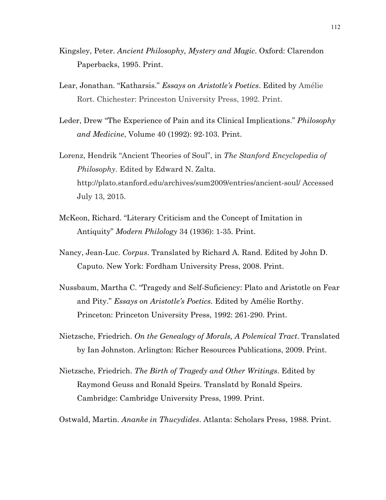- Kingsley, Peter. *Ancient Philosophy, Mystery and Magic*. Oxford: Clarendon Paperbacks, 1995. Print.
- Lear, Jonathan. "Katharsis." *Essays on Aristotle's Poetics*. Edited by Amélie Rort. Chichester: Princeston University Press, 1992. Print.
- Leder, Drew "The Experience of Pain and its Clinical Implications." *Philosophy and Medicine*, Volume 40 (1992): 92-103. Print.
- Lorenz, Hendrik "Ancient Theories of Soul", in *The Stanford Encyclopedia of Philosophy*. Edited by Edward N. Zalta. http://plato.stanford.edu/archives/sum2009/entries/ancient-soul/ Accessed July 13, 2015.
- McKeon, Richard. "Literary Criticism and the Concept of Imitation in Antiquity" *Modern Philology* 34 (1936): 1-35. Print.
- Nancy, Jean-Luc. *Corpus*. Translated by Richard A. Rand. Edited by John D. Caputo. New York: Fordham University Press, 2008. Print.
- Nussbaum, Martha C. "Tragedy and Self-Suficiency: Plato and Aristotle on Fear and Pity." *Essays on Aristotle's Poetics.* Edited by Amélie Rorthy. Princeton: Princeton University Press, 1992: 261-290. Print.
- Nietzsche, Friedrich. *On the Genealogy of Morals, A Polemical Tract*. Translated by Ian Johnston. Arlington: Richer Resources Publications, 2009. Print.
- Nietzsche, Friedrich. *The Birth of Tragedy and Other Writings*. Edited by Raymond Geuss and Ronald Speirs. Translatd by Ronald Speirs. Cambridge: Cambridge University Press, 1999. Print.
- Ostwald, Martin. *Ananke in Thucydides*. Atlanta: Scholars Press, 1988. Print.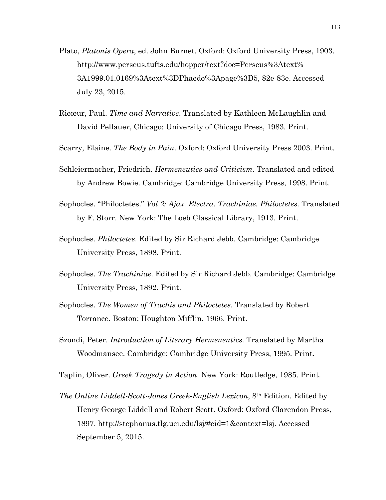- Plato, *Platonis Opera*, ed. John Burnet. Oxford: Oxford University Press, 1903. http://www.perseus.tufts.edu/hopper/text?doc=Perseus%3Atext% 3A1999.01.0169%3Atext%3DPhaedo%3Apage%3D5, 82e-83e. Accessed July 23, 2015.
- Ricœur, Paul. *Time and Narrative*. Translated by Kathleen McLaughlin and David Pellauer, Chicago: University of Chicago Press, 1983. Print.
- Scarry, Elaine. *The Body in Pain*. Oxford: Oxford University Press 2003. Print.
- Schleiermacher, Friedrich. *Hermeneutics and Criticism*. Translated and edited by Andrew Bowie. Cambridge: Cambridge University Press, 1998. Print.
- Sophocles. "Philoctetes." *Vol 2: Ajax. Electra. Trachiniae. Philoctetes.* Translated by F. Storr. New York: The Loeb Classical Library, 1913. Print.
- Sophocles*. Philoctetes*. Edited by Sir Richard Jebb. Cambridge: Cambridge University Press, 1898. Print.
- Sophocles. *The Trachiniae*. Edited by Sir Richard Jebb. Cambridge: Cambridge University Press, 1892. Print.
- Sophocles. *The Women of Trachis and Philoctetes*. Translated by Robert Torrance. Boston: Houghton Mifflin, 1966. Print.
- Szondi, Peter. *Introduction of Literary Hermeneutics.* Translated by Martha Woodmansee. Cambridge: Cambridge University Press, 1995. Print.
- Taplin, Oliver. *Greek Tragedy in Action*. New York: Routledge, 1985. Print.
- *The Online Liddell-Scott-Jones Greek-English Lexicon*, 8th Edition. Edited by Henry George Liddell and Robert Scott. Oxford: Oxford Clarendon Press, 1897. http://stephanus.tlg.uci.edu/lsj/#eid=1&context=lsj. Accessed September 5, 2015.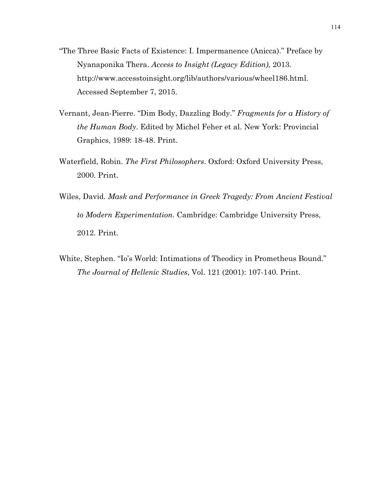- "The Three Basic Facts of Existence: I. Impermanence (Anicca)." Preface by Nyanaponika Thera. *Access to Insight (Legacy Edition),* 2013. http://www.accesstoinsight.org/lib/authors/various/wheel186.html. Accessed September 7, 2015.
- Vernant, Jean-Pierre. "Dim Body, Dazzling Body." *Fragments for a History of the Human Body*. Edited by Michel Feher et al. New York: Provincial Graphics, 1989: 18-48. Print.
- Waterfield, Robin. *The First Philosophers*. Oxford: Oxford University Press, 2000. Print.
- Wiles, David. *Mask and Performance in Greek Tragedy: From Ancient Festival to Modern Experimentation.* Cambridge: Cambridge University Press, 2012. Print.
- White, Stephen. "Io's World: Intimations of Theodicy in Prometheus Bound." *The Journal of Hellenic Studies*, Vol. 121 (2001): 107-140. Print.